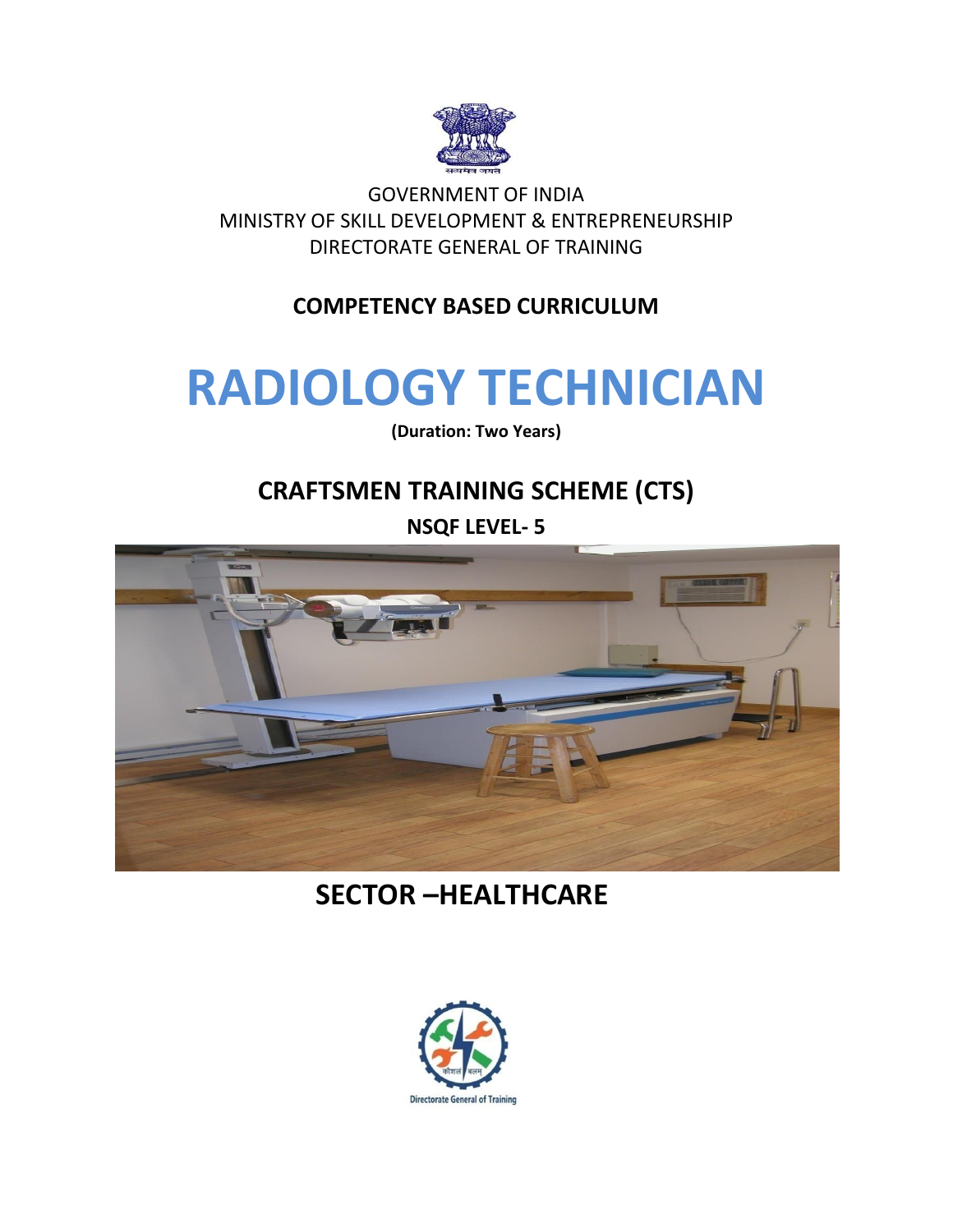

GOVERNMENT OF INDIA MINISTRY OF SKILL DEVELOPMENT & ENTREPRENEURSHIP DIRECTORATE GENERAL OF TRAINING

### **COMPETENCY BASED CURRICULUM**

# **RADIOLOGY TECHNICIAN**

**(Duration: Two Years)**

# **CRAFTSMEN TRAINING SCHEME (CTS)**

**NSQF LEVEL- 5**



**SECTOR –HEALTHCARE**

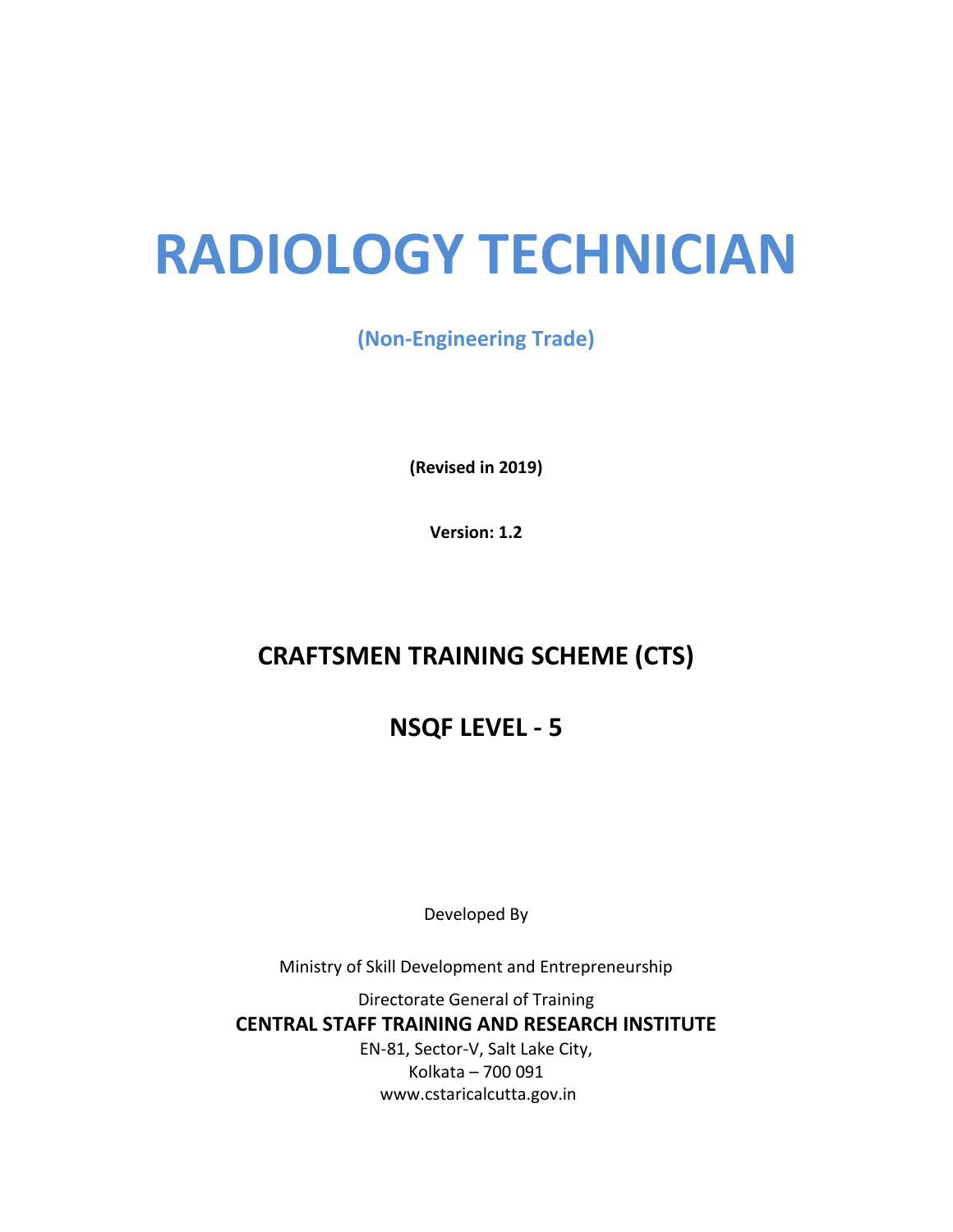# **RADIOLOGY TECHNICIAN**

**(Non-Engineering Trade)**

**(Revised in 2019)**

**Version: 1.2**

# **CRAFTSMEN TRAINING SCHEME (CTS)**

# **NSQF LEVEL - 5**

Developed By

Ministry of Skill Development and Entrepreneurship

Directorate General of Training **CENTRAL STAFF TRAINING AND RESEARCH INSTITUTE** EN-81, Sector-V, Salt Lake City, Kolkata – 700 091 www.cstaricalcutta.gov.in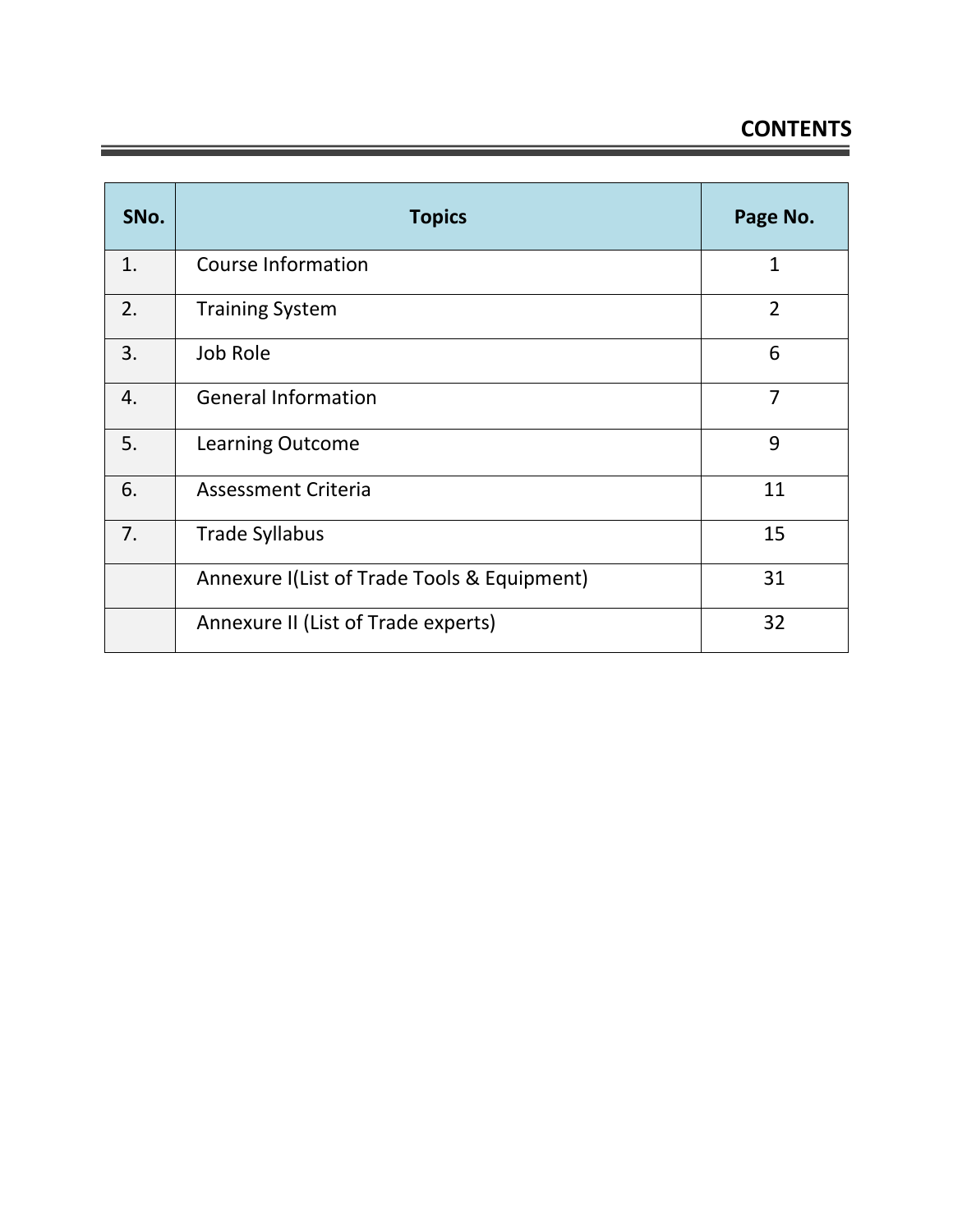## **CONTENTS**

| SNo. | <b>Topics</b>                               | Page No.       |
|------|---------------------------------------------|----------------|
| 1.   | <b>Course Information</b>                   | $\mathbf{1}$   |
| 2.   | <b>Training System</b>                      | $\overline{2}$ |
| 3.   | Job Role                                    | 6              |
| 4.   | <b>General Information</b>                  | 7              |
| 5.   | <b>Learning Outcome</b>                     | 9              |
| 6.   | <b>Assessment Criteria</b>                  | 11             |
| 7.   | <b>Trade Syllabus</b>                       | 15             |
|      | Annexure I(List of Trade Tools & Equipment) | 31             |
|      | Annexure II (List of Trade experts)         | 32             |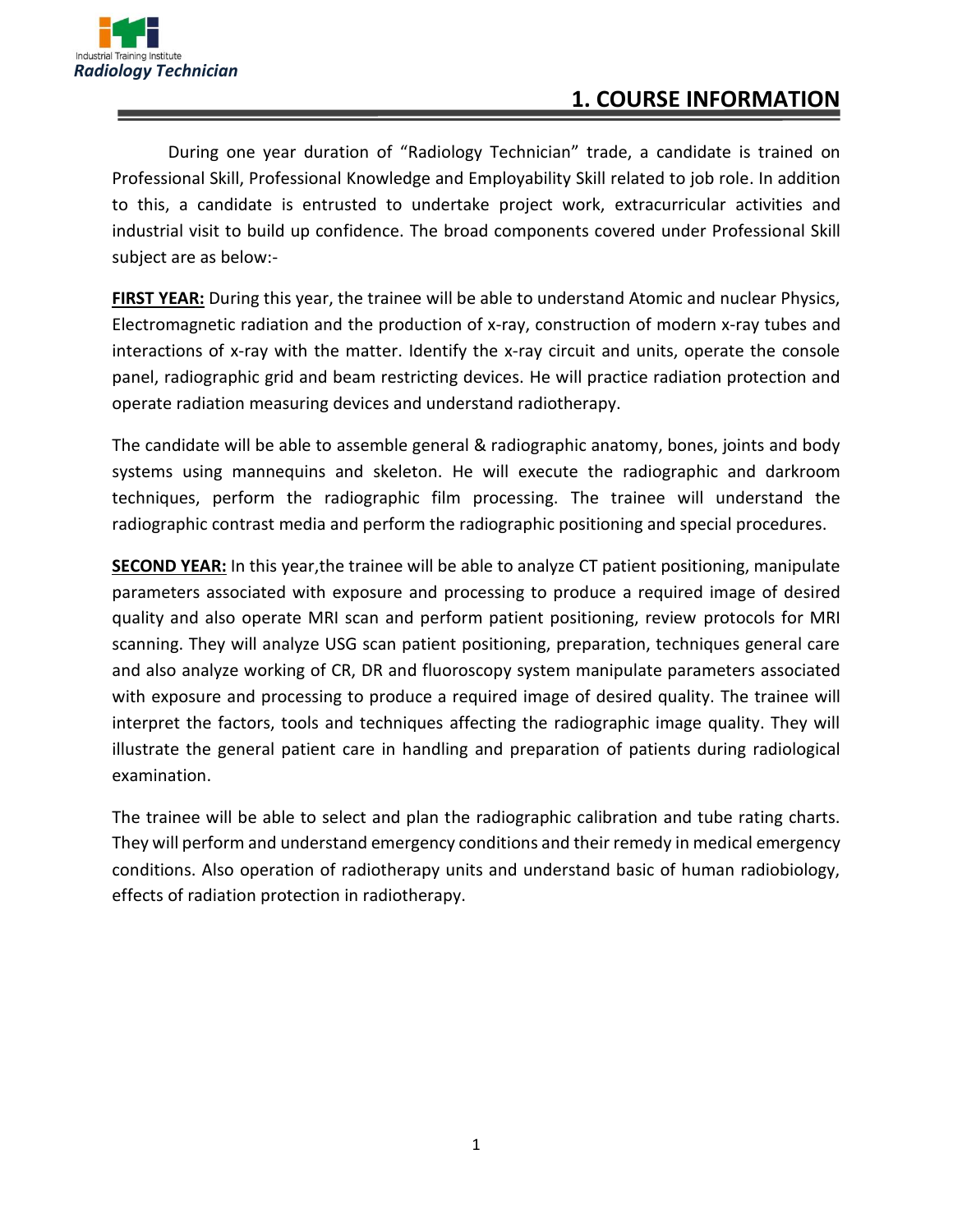

### **1. COURSE INFORMATION**

During one year duration of "Radiology Technician" trade, a candidate is trained on Professional Skill, Professional Knowledge and Employability Skill related to job role. In addition to this, a candidate is entrusted to undertake project work, extracurricular activities and industrial visit to build up confidence. The broad components covered under Professional Skill subject are as below:-

**FIRST YEAR:** During this year, the trainee will be able to understand Atomic and nuclear Physics, Electromagnetic radiation and the production of x-ray, construction of modern x-ray tubes and interactions of x-ray with the matter. Identify the x-ray circuit and units, operate the console panel, radiographic grid and beam restricting devices. He will practice radiation protection and operate radiation measuring devices and understand radiotherapy.

The candidate will be able to assemble general & radiographic anatomy, bones, joints and body systems using mannequins and skeleton. He will execute the radiographic and darkroom techniques, perform the radiographic film processing. The trainee will understand the radiographic contrast media and perform the radiographic positioning and special procedures.

**SECOND YEAR:** In this year,the trainee will be able to analyze CT patient positioning, manipulate parameters associated with exposure and processing to produce a required image of desired quality and also operate MRI scan and perform patient positioning, review protocols for MRI scanning. They will analyze USG scan patient positioning, preparation, techniques general care and also analyze working of CR, DR and fluoroscopy system manipulate parameters associated with exposure and processing to produce a required image of desired quality. The trainee will interpret the factors, tools and techniques affecting the radiographic image quality. They will illustrate the general patient care in handling and preparation of patients during radiological examination.

The trainee will be able to select and plan the radiographic calibration and tube rating charts. They will perform and understand emergency conditions and their remedy in medical emergency conditions. Also operation of radiotherapy units and understand basic of human radiobiology, effects of radiation protection in radiotherapy.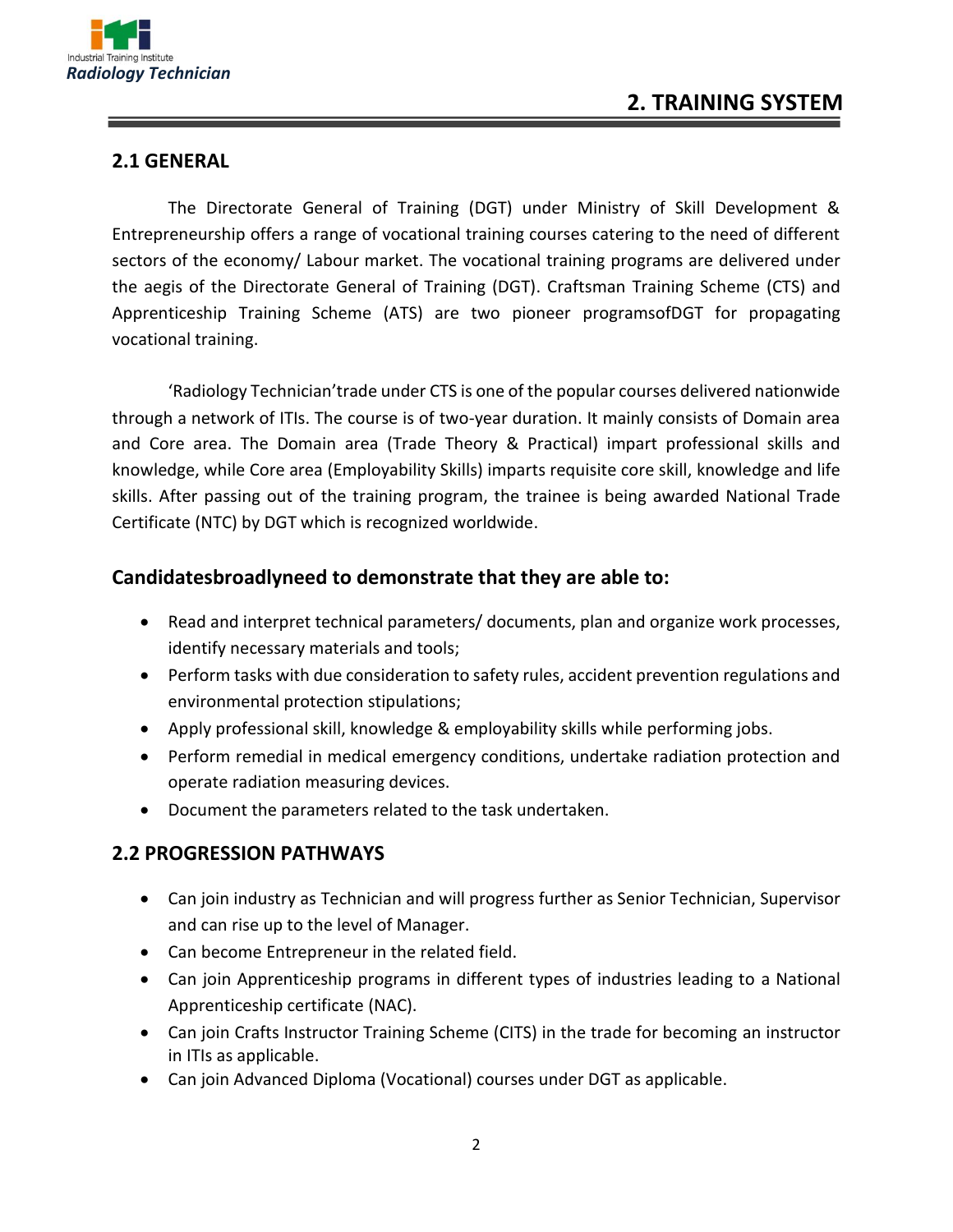

#### **2.1 GENERAL**

The Directorate General of Training (DGT) under Ministry of Skill Development & Entrepreneurship offers a range of vocational training courses catering to the need of different sectors of the economy/ Labour market. The vocational training programs are delivered under the aegis of the Directorate General of Training (DGT). Craftsman Training Scheme (CTS) and Apprenticeship Training Scheme (ATS) are two pioneer programsofDGT for propagating vocational training.

'Radiology Technician'trade under CTS is one of the popular courses delivered nationwide through a network of ITIs. The course is of two-year duration. It mainly consists of Domain area and Core area. The Domain area (Trade Theory & Practical) impart professional skills and knowledge, while Core area (Employability Skills) imparts requisite core skill, knowledge and life skills. After passing out of the training program, the trainee is being awarded National Trade Certificate (NTC) by DGT which is recognized worldwide.

#### **Candidatesbroadlyneed to demonstrate that they are able to:**

- Read and interpret technical parameters/ documents, plan and organize work processes, identify necessary materials and tools;
- Perform tasks with due consideration to safety rules, accident prevention regulations and environmental protection stipulations;
- Apply professional skill, knowledge & employability skills while performing jobs.
- Perform remedial in medical emergency conditions, undertake radiation protection and operate radiation measuring devices.
- Document the parameters related to the task undertaken.

#### **2.2 PROGRESSION PATHWAYS**

- Can join industry as Technician and will progress further as Senior Technician, Supervisor and can rise up to the level of Manager.
- Can become Entrepreneur in the related field.
- Can join Apprenticeship programs in different types of industries leading to a National Apprenticeship certificate (NAC).
- Can join Crafts Instructor Training Scheme (CITS) in the trade for becoming an instructor in ITIs as applicable.
- Can join Advanced Diploma (Vocational) courses under DGT as applicable.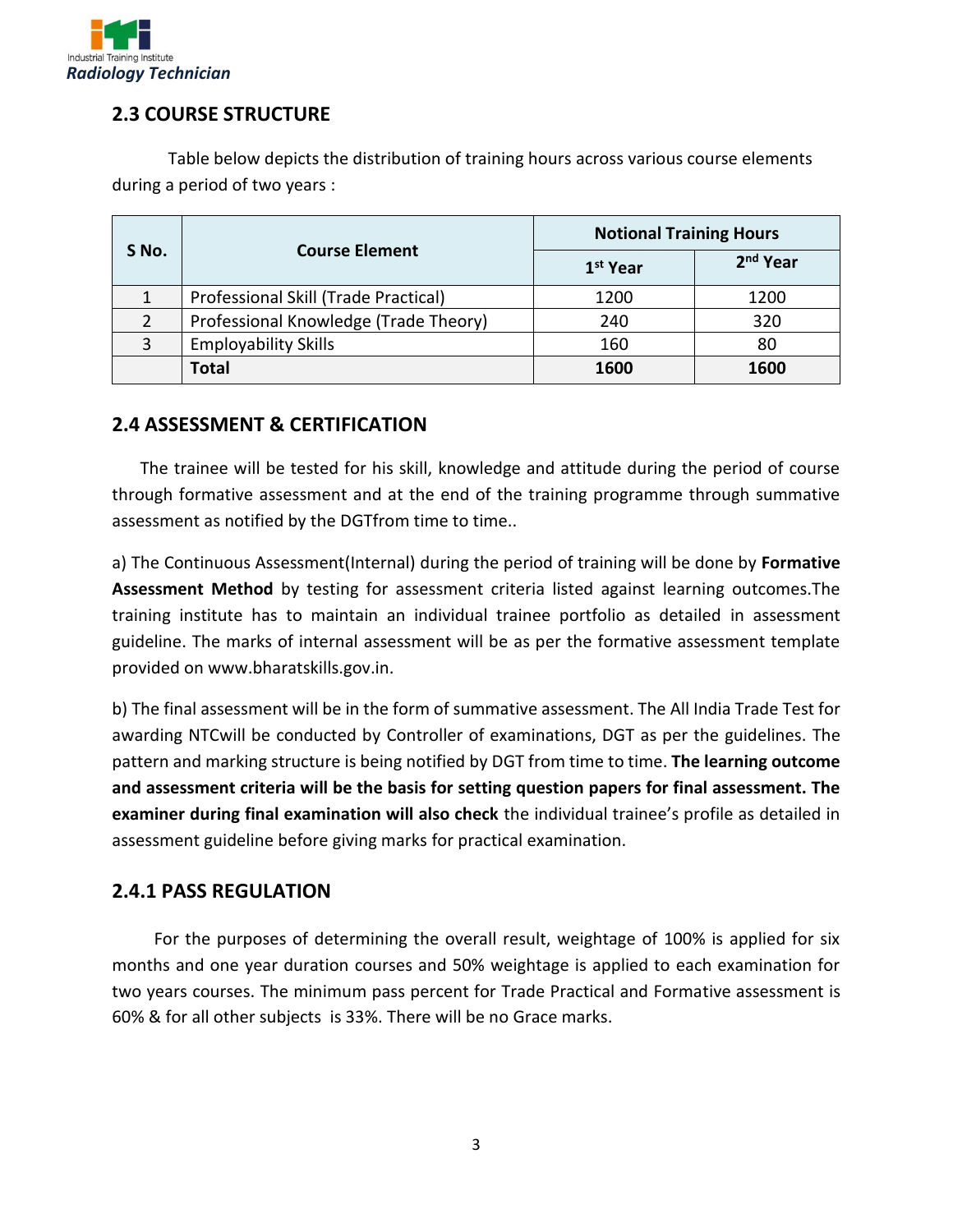

#### **2.3 COURSE STRUCTURE**

Table below depicts the distribution of training hours across various course elements during a period of two years :

|       |                                       | <b>Notional Training Hours</b> |                      |  |
|-------|---------------------------------------|--------------------------------|----------------------|--|
| S No. | <b>Course Element</b>                 | 1 <sup>st</sup> Year           | 2 <sup>nd</sup> Year |  |
|       | Professional Skill (Trade Practical)  | 1200                           | 1200                 |  |
|       | Professional Knowledge (Trade Theory) | 240                            | 320                  |  |
| 3     | <b>Employability Skills</b>           | 160                            | 80                   |  |
|       | <b>Total</b>                          | 1600                           | 1600                 |  |

#### **2.4 ASSESSMENT & CERTIFICATION**

The trainee will be tested for his skill, knowledge and attitude during the period of course through formative assessment and at the end of the training programme through summative assessment as notified by the DGTfrom time to time..

a) The Continuous Assessment(Internal) during the period of training will be done by **Formative Assessment Method** by testing for assessment criteria listed against learning outcomes.The training institute has to maintain an individual trainee portfolio as detailed in assessment guideline. The marks of internal assessment will be as per the formative assessment template provided on www.bharatskills.gov.in.

b) The final assessment will be in the form of summative assessment. The All India Trade Test for awarding NTCwill be conducted by Controller of examinations, DGT as per the guidelines. The pattern and marking structure is being notified by DGT from time to time. **The learning outcome and assessment criteria will be the basis for setting question papers for final assessment. The examiner during final examination will also check** the individual trainee's profile as detailed in assessment guideline before giving marks for practical examination.

#### **2.4.1 PASS REGULATION**

For the purposes of determining the overall result, weightage of 100% is applied for six months and one year duration courses and 50% weightage is applied to each examination for two years courses. The minimum pass percent for Trade Practical and Formative assessment is 60% & for all other subjects is 33%. There will be no Grace marks.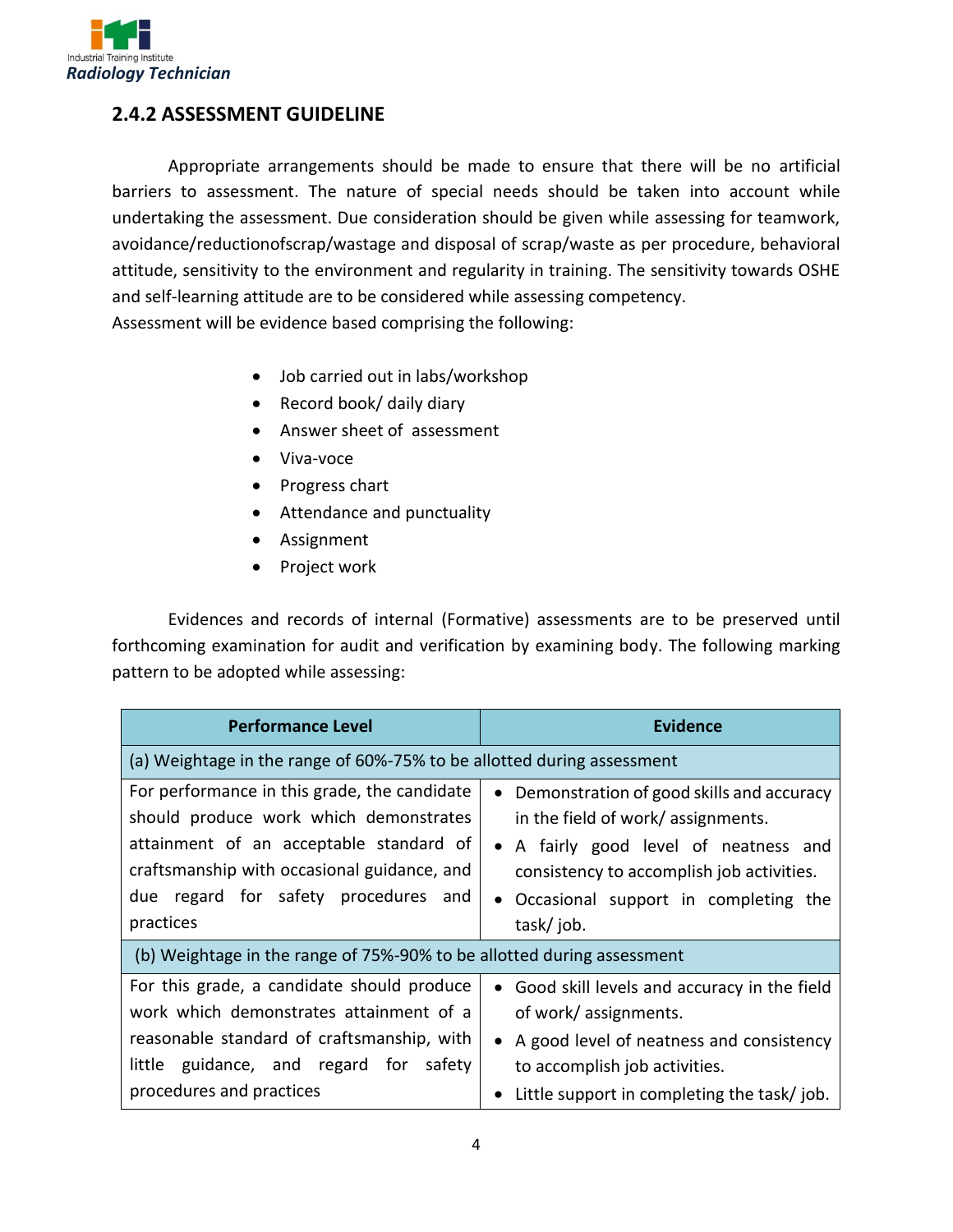

#### **2.4.2 ASSESSMENT GUIDELINE**

Appropriate arrangements should be made to ensure that there will be no artificial barriers to assessment. The nature of special needs should be taken into account while undertaking the assessment. Due consideration should be given while assessing for teamwork, avoidance/reductionofscrap/wastage and disposal of scrap/waste as per procedure, behavioral attitude, sensitivity to the environment and regularity in training. The sensitivity towards OSHE and self-learning attitude are to be considered while assessing competency.

Assessment will be evidence based comprising the following:

- Job carried out in labs/workshop
- Record book/ daily diary
- Answer sheet of assessment
- Viva-voce
- Progress chart
- Attendance and punctuality
- Assignment
- Project work

Evidences and records of internal (Formative) assessments are to be preserved until forthcoming examination for audit and verification by examining body. The following marking pattern to be adopted while assessing:

| <b>Performance Level</b>                                                                                                                                                                                                              | <b>Evidence</b>                                                                                                                                                                                                                          |  |  |  |  |  |
|---------------------------------------------------------------------------------------------------------------------------------------------------------------------------------------------------------------------------------------|------------------------------------------------------------------------------------------------------------------------------------------------------------------------------------------------------------------------------------------|--|--|--|--|--|
| (a) Weightage in the range of 60%-75% to be allotted during assessment                                                                                                                                                                |                                                                                                                                                                                                                                          |  |  |  |  |  |
| For performance in this grade, the candidate<br>should produce work which demonstrates<br>attainment of an acceptable standard of<br>craftsmanship with occasional guidance, and<br>due regard for safety procedures and<br>practices | Demonstration of good skills and accuracy<br>$\bullet$<br>in the field of work/assignments.<br>• A fairly good level of neatness and<br>consistency to accomplish job activities.<br>• Occasional support in completing the<br>task/job. |  |  |  |  |  |
| (b) Weightage in the range of 75%-90% to be allotted during assessment                                                                                                                                                                |                                                                                                                                                                                                                                          |  |  |  |  |  |
| For this grade, a candidate should produce<br>work which demonstrates attainment of a<br>reasonable standard of craftsmanship, with                                                                                                   | • Good skill levels and accuracy in the field<br>of work/ assignments.<br>• A good level of neatness and consistency                                                                                                                     |  |  |  |  |  |
| little guidance, and regard for safety<br>procedures and practices                                                                                                                                                                    | to accomplish job activities.<br>Little support in completing the task/job.                                                                                                                                                              |  |  |  |  |  |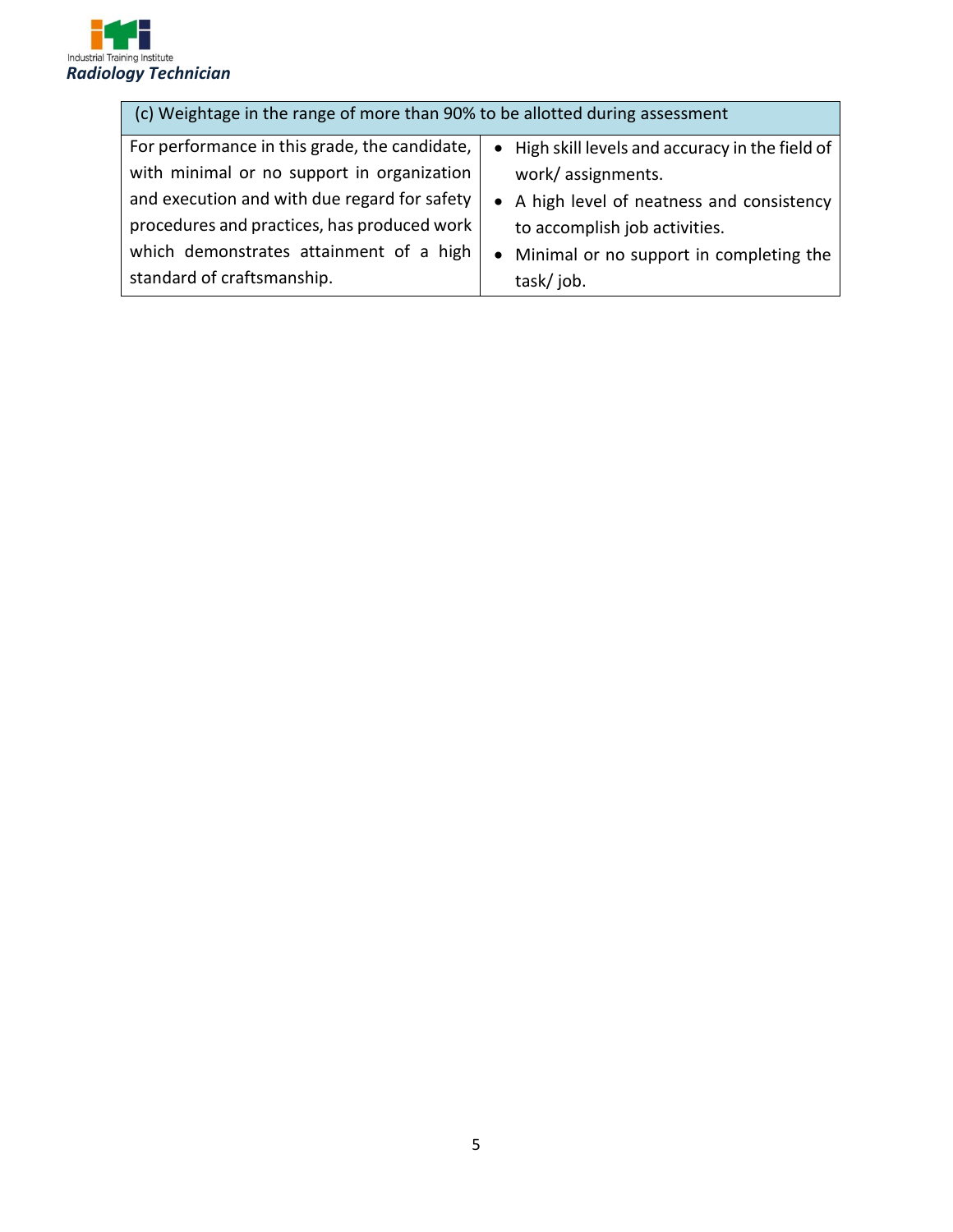

| (c) Weightage in the range of more than 90% to be allotted during assessment                      |                                            |  |  |  |  |  |
|---------------------------------------------------------------------------------------------------|--------------------------------------------|--|--|--|--|--|
| For performance in this grade, the candidate,<br>• High skill levels and accuracy in the field of |                                            |  |  |  |  |  |
| with minimal or no support in organization                                                        | work/assignments.                          |  |  |  |  |  |
| and execution and with due regard for safety                                                      | • A high level of neatness and consistency |  |  |  |  |  |
| procedures and practices, has produced work                                                       | to accomplish job activities.              |  |  |  |  |  |
| which demonstrates attainment of a high                                                           | Minimal or no support in completing the    |  |  |  |  |  |
| standard of craftsmanship.                                                                        | task/job.                                  |  |  |  |  |  |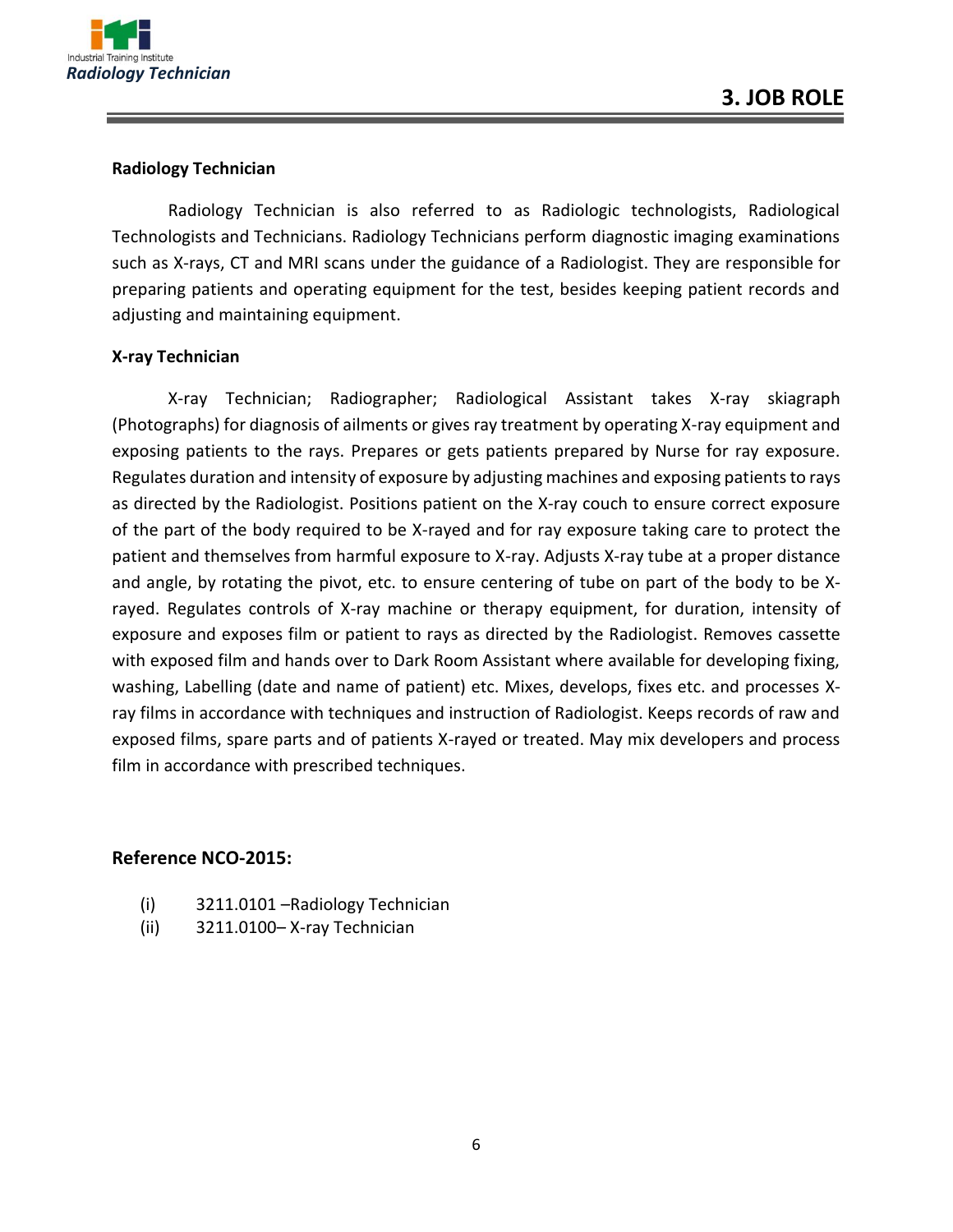

#### **Radiology Technician**

Radiology Technician is also referred to as Radiologic technologists, Radiological Technologists and Technicians. Radiology Technicians perform diagnostic imaging examinations such as X-rays, CT and MRI scans under the guidance of a Radiologist. They are responsible for preparing patients and operating equipment for the test, besides keeping patient records and adjusting and maintaining equipment.

#### **X-ray Technician**

X-ray Technician; Radiographer; Radiological Assistant takes X-ray skiagraph (Photographs) for diagnosis of ailments or gives ray treatment by operating X-ray equipment and exposing patients to the rays. Prepares or gets patients prepared by Nurse for ray exposure. Regulates duration and intensity of exposure by adjusting machines and exposing patients to rays as directed by the Radiologist. Positions patient on the X-ray couch to ensure correct exposure of the part of the body required to be X-rayed and for ray exposure taking care to protect the patient and themselves from harmful exposure to X-ray. Adjusts X-ray tube at a proper distance and angle, by rotating the pivot, etc. to ensure centering of tube on part of the body to be Xrayed. Regulates controls of X-ray machine or therapy equipment, for duration, intensity of exposure and exposes film or patient to rays as directed by the Radiologist. Removes cassette with exposed film and hands over to Dark Room Assistant where available for developing fixing, washing, Labelling (date and name of patient) etc. Mixes, develops, fixes etc. and processes Xray films in accordance with techniques and instruction of Radiologist. Keeps records of raw and exposed films, spare parts and of patients X-rayed or treated. May mix developers and process film in accordance with prescribed techniques.

#### **Reference NCO-2015:**

- (i) 3211.0101 –Radiology Technician
- (ii) 3211.0100– X-ray Technician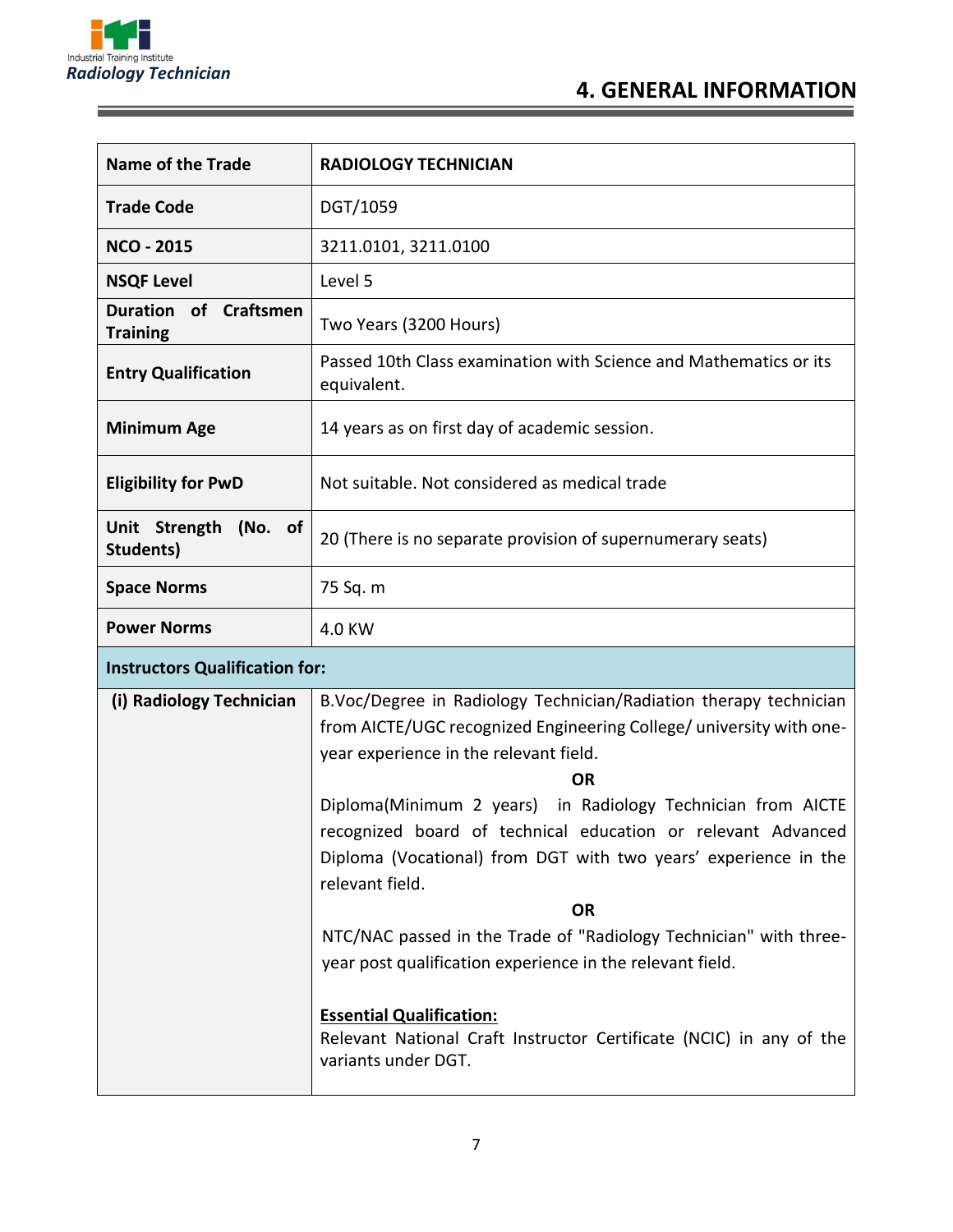

Ξ

## **4. GENERAL INFORMATION**

| <b>Name of the Trade</b>                           | <b>RADIOLOGY TECHNICIAN</b>                                                                                                                                                                                                                                                                                                                                                                                                                                                                                                                                                                            |  |  |  |
|----------------------------------------------------|--------------------------------------------------------------------------------------------------------------------------------------------------------------------------------------------------------------------------------------------------------------------------------------------------------------------------------------------------------------------------------------------------------------------------------------------------------------------------------------------------------------------------------------------------------------------------------------------------------|--|--|--|
| <b>Trade Code</b>                                  | DGT/1059                                                                                                                                                                                                                                                                                                                                                                                                                                                                                                                                                                                               |  |  |  |
| <b>NCO - 2015</b>                                  | 3211.0101, 3211.0100                                                                                                                                                                                                                                                                                                                                                                                                                                                                                                                                                                                   |  |  |  |
| <b>NSQF Level</b>                                  | Level 5                                                                                                                                                                                                                                                                                                                                                                                                                                                                                                                                                                                                |  |  |  |
| of Craftsmen<br><b>Duration</b><br><b>Training</b> | Two Years (3200 Hours)                                                                                                                                                                                                                                                                                                                                                                                                                                                                                                                                                                                 |  |  |  |
| <b>Entry Qualification</b>                         | Passed 10th Class examination with Science and Mathematics or its<br>equivalent.                                                                                                                                                                                                                                                                                                                                                                                                                                                                                                                       |  |  |  |
| <b>Minimum Age</b>                                 | 14 years as on first day of academic session.                                                                                                                                                                                                                                                                                                                                                                                                                                                                                                                                                          |  |  |  |
| <b>Eligibility for PwD</b>                         | Not suitable. Not considered as medical trade                                                                                                                                                                                                                                                                                                                                                                                                                                                                                                                                                          |  |  |  |
| Unit Strength (No. of<br>Students)                 | 20 (There is no separate provision of supernumerary seats)                                                                                                                                                                                                                                                                                                                                                                                                                                                                                                                                             |  |  |  |
| <b>Space Norms</b>                                 | 75 Sq. m                                                                                                                                                                                                                                                                                                                                                                                                                                                                                                                                                                                               |  |  |  |
| <b>Power Norms</b>                                 | 4.0 KW                                                                                                                                                                                                                                                                                                                                                                                                                                                                                                                                                                                                 |  |  |  |
| <b>Instructors Qualification for:</b>              |                                                                                                                                                                                                                                                                                                                                                                                                                                                                                                                                                                                                        |  |  |  |
| (i) Radiology Technician                           | B.Voc/Degree in Radiology Technician/Radiation therapy technician<br>from AICTE/UGC recognized Engineering College/ university with one-<br>year experience in the relevant field.<br><b>OR</b><br>Diploma(Minimum 2 years) in Radiology Technician from AICTE<br>recognized board of technical education or relevant Advanced<br>Diploma (Vocational) from DGT with two years' experience in the<br>relevant field.<br><b>OR</b><br>NTC/NAC passed in the Trade of "Radiology Technician" with three-<br>year post qualification experience in the relevant field.<br><b>Essential Qualification:</b> |  |  |  |
|                                                    | Relevant National Craft Instructor Certificate (NCIC) in any of the                                                                                                                                                                                                                                                                                                                                                                                                                                                                                                                                    |  |  |  |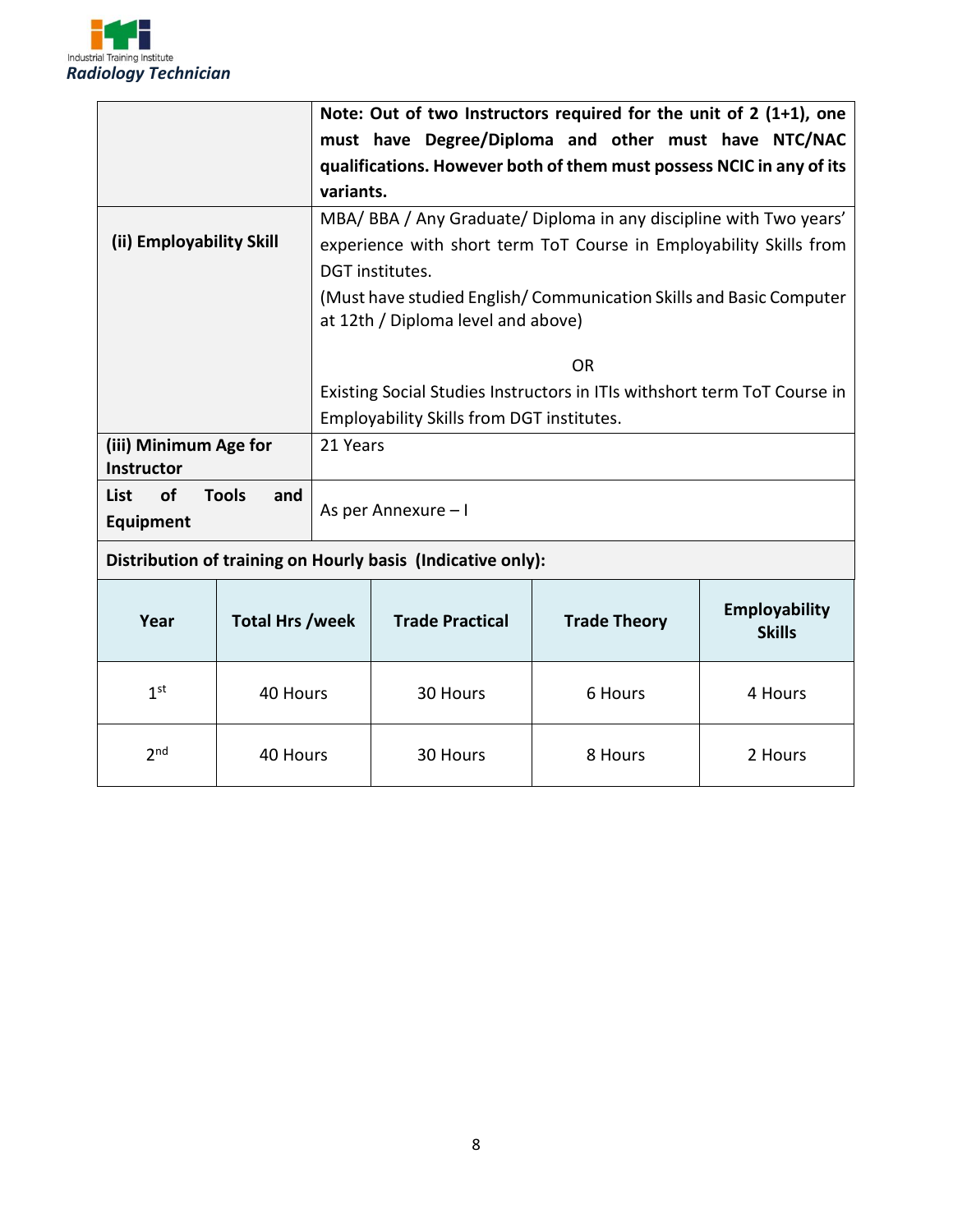

 $2<sup>nd</sup>$ 

|                                            |                     | Note: Out of two Instructors required for the unit of 2 (1+1), one       |                                                             |                                                                    |                                |  |  |
|--------------------------------------------|---------------------|--------------------------------------------------------------------------|-------------------------------------------------------------|--------------------------------------------------------------------|--------------------------------|--|--|
|                                            |                     | must have Degree/Diploma and other must have NTC/NAC                     |                                                             |                                                                    |                                |  |  |
|                                            |                     | qualifications. However both of them must possess NCIC in any of its     |                                                             |                                                                    |                                |  |  |
|                                            |                     | variants.                                                                |                                                             |                                                                    |                                |  |  |
|                                            |                     |                                                                          |                                                             | MBA/ BBA / Any Graduate/ Diploma in any discipline with Two years' |                                |  |  |
| (ii) Employability Skill                   |                     |                                                                          |                                                             | experience with short term ToT Course in Employability Skills from |                                |  |  |
|                                            |                     |                                                                          | DGT institutes.                                             |                                                                    |                                |  |  |
|                                            |                     | (Must have studied English/Communication Skills and Basic Computer       |                                                             |                                                                    |                                |  |  |
|                                            |                     |                                                                          | at 12th / Diploma level and above)                          |                                                                    |                                |  |  |
|                                            |                     |                                                                          |                                                             |                                                                    |                                |  |  |
|                                            |                     | <b>OR</b>                                                                |                                                             |                                                                    |                                |  |  |
|                                            |                     | Existing Social Studies Instructors in ITIs withshort term ToT Course in |                                                             |                                                                    |                                |  |  |
|                                            |                     | Employability Skills from DGT institutes.                                |                                                             |                                                                    |                                |  |  |
| (iii) Minimum Age for<br><b>Instructor</b> |                     | 21 Years                                                                 |                                                             |                                                                    |                                |  |  |
| of<br><b>List</b>                          | <b>Tools</b><br>and |                                                                          |                                                             |                                                                    |                                |  |  |
| <b>Equipment</b>                           |                     | As per Annexure - I                                                      |                                                             |                                                                    |                                |  |  |
|                                            |                     |                                                                          | Distribution of training on Hourly basis (Indicative only): |                                                                    |                                |  |  |
| <b>Total Hrs /week</b><br>Year             |                     |                                                                          | <b>Trade Practical</b>                                      | <b>Trade Theory</b>                                                | Employability<br><b>Skills</b> |  |  |
|                                            |                     |                                                                          |                                                             |                                                                    |                                |  |  |
| 1 <sup>st</sup><br>40 Hours                |                     |                                                                          | 30 Hours                                                    | 6 Hours                                                            | 4 Hours                        |  |  |
|                                            |                     |                                                                          |                                                             |                                                                    |                                |  |  |

40 Hours | 30 Hours | 8 Hours | 2 Hours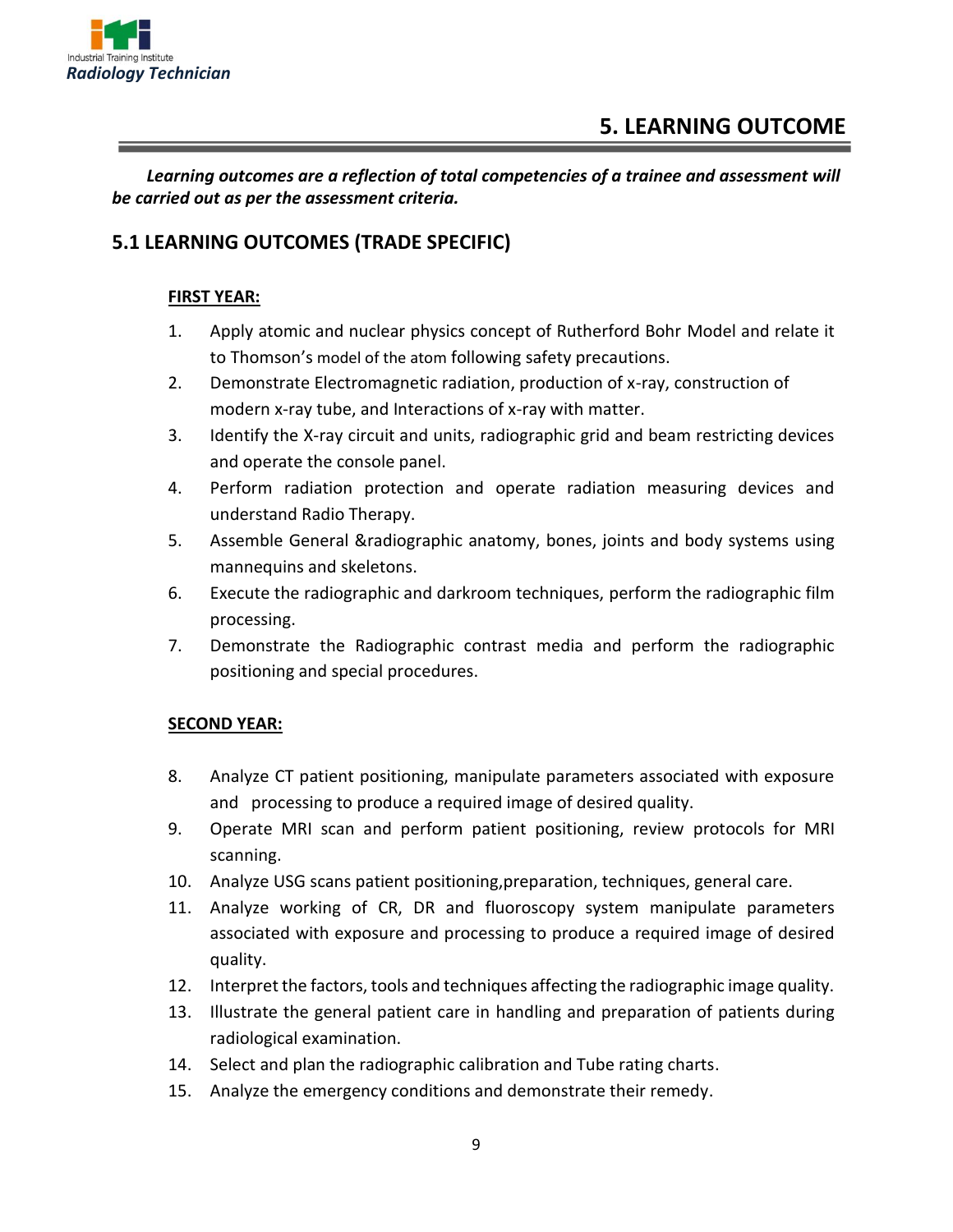

## **5. LEARNING OUTCOME**

*Learning outcomes are a reflection of total competencies of a trainee and assessment will be carried out as per the assessment criteria.*

#### **5.1 LEARNING OUTCOMES (TRADE SPECIFIC)**

#### **FIRST YEAR:**

- 1. Apply atomic and nuclear physics concept of Rutherford Bohr Model and relate it to Thomson's model of the atom following safety precautions.
- 2. Demonstrate Electromagnetic radiation, production of x-ray, construction of modern x-ray tube, and Interactions of x-ray with matter.
- 3. Identify the X-ray circuit and units, radiographic grid and beam restricting devices and operate the console panel.
- 4. Perform radiation protection and operate radiation measuring devices and understand Radio Therapy.
- 5. Assemble General &radiographic anatomy, bones, joints and body systems using mannequins and skeletons.
- 6. Execute the radiographic and darkroom techniques, perform the radiographic film processing.
- 7. Demonstrate the Radiographic contrast media and perform the radiographic positioning and special procedures.

#### **SECOND YEAR:**

- 8. Analyze CT patient positioning, manipulate parameters associated with exposure and processing to produce a required image of desired quality.
- 9. Operate MRI scan and perform patient positioning, review protocols for MRI scanning.
- 10. Analyze USG scans patient positioning,preparation, techniques, general care.
- 11. Analyze working of CR, DR and fluoroscopy system manipulate parameters associated with exposure and processing to produce a required image of desired quality.
- 12. Interpret the factors, tools and techniques affecting the radiographic image quality.
- 13. Illustrate the general patient care in handling and preparation of patients during radiological examination.
- 14. Select and plan the radiographic calibration and Tube rating charts.
- 15. Analyze the emergency conditions and demonstrate their remedy.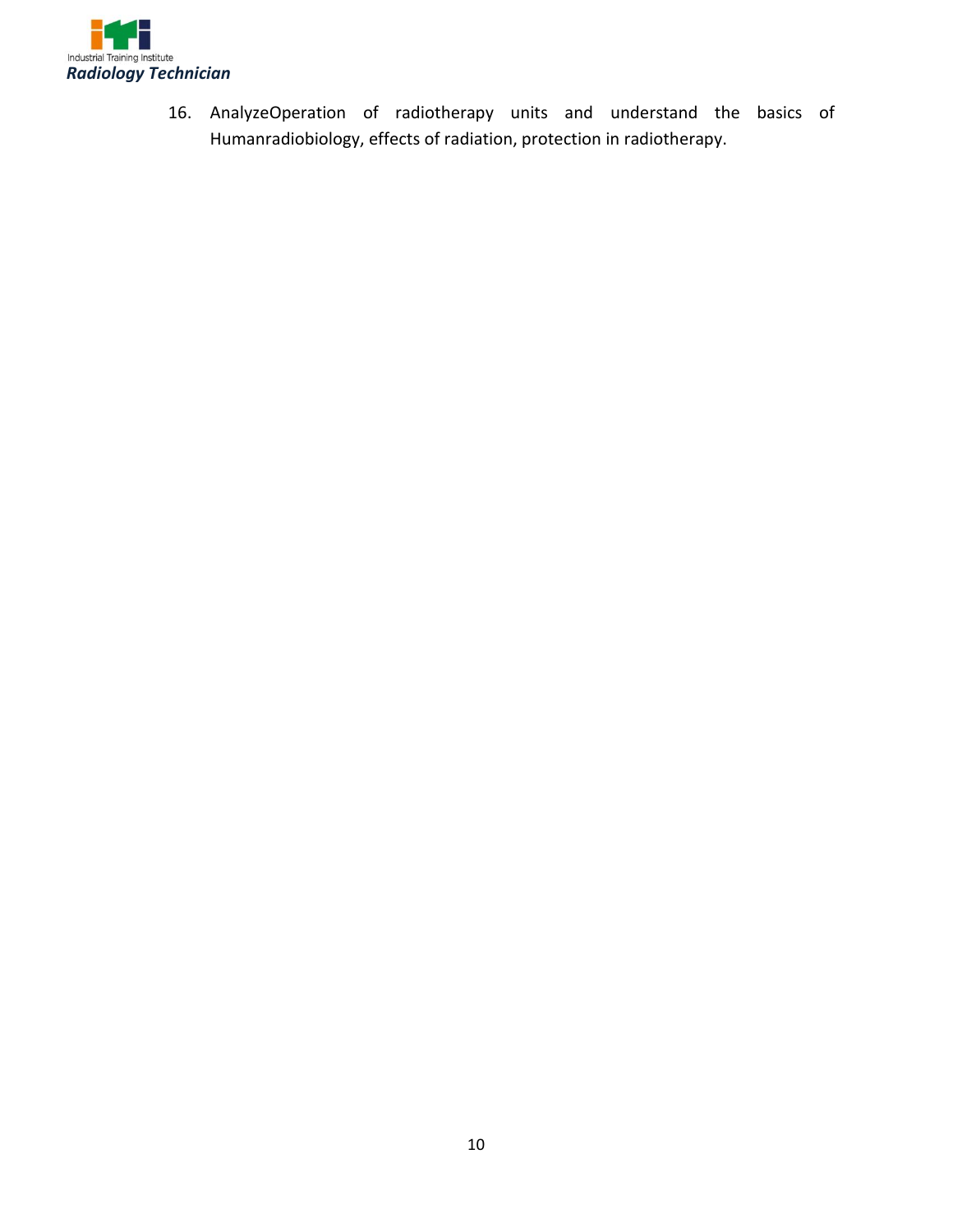

16. AnalyzeOperation of radiotherapy units and understand the basics of Humanradiobiology, effects of radiation, protection in radiotherapy.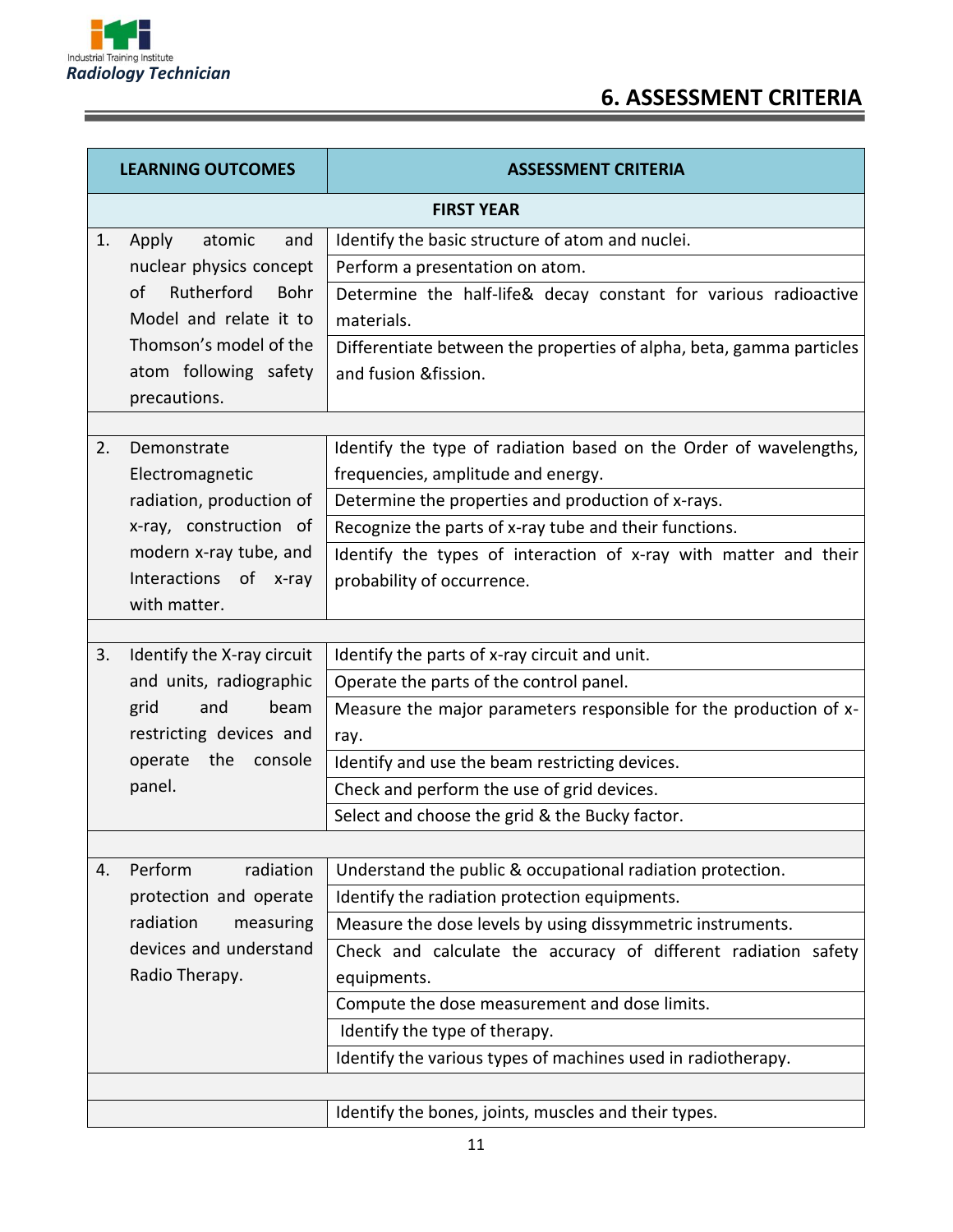

## **6. ASSESSMENT CRITERIA**

| <b>LEARNING OUTCOMES</b>         | <b>ASSESSMENT CRITERIA</b>                                           |  |  |  |  |
|----------------------------------|----------------------------------------------------------------------|--|--|--|--|
|                                  | <b>FIRST YEAR</b>                                                    |  |  |  |  |
| Apply<br>atomic<br>1.<br>and     | Identify the basic structure of atom and nuclei.                     |  |  |  |  |
| nuclear physics concept          | Perform a presentation on atom.                                      |  |  |  |  |
| of<br>Rutherford<br>Bohr         | Determine the half-life& decay constant for various radioactive      |  |  |  |  |
| Model and relate it to           | materials.                                                           |  |  |  |  |
| Thomson's model of the           | Differentiate between the properties of alpha, beta, gamma particles |  |  |  |  |
| atom following safety            | and fusion & fission.                                                |  |  |  |  |
| precautions.                     |                                                                      |  |  |  |  |
|                                  |                                                                      |  |  |  |  |
| 2.<br>Demonstrate                | Identify the type of radiation based on the Order of wavelengths,    |  |  |  |  |
| Electromagnetic                  | frequencies, amplitude and energy.                                   |  |  |  |  |
| radiation, production of         | Determine the properties and production of x-rays.                   |  |  |  |  |
| x-ray, construction of           | Recognize the parts of x-ray tube and their functions.               |  |  |  |  |
| modern x-ray tube, and           | Identify the types of interaction of x-ray with matter and their     |  |  |  |  |
| Interactions of x-ray            | probability of occurrence.                                           |  |  |  |  |
| with matter.                     |                                                                      |  |  |  |  |
| 3.<br>Identify the X-ray circuit | Identify the parts of x-ray circuit and unit.                        |  |  |  |  |
| and units, radiographic          | Operate the parts of the control panel.                              |  |  |  |  |
| beam<br>grid<br>and              | Measure the major parameters responsible for the production of x-    |  |  |  |  |
| restricting devices and          | ray.                                                                 |  |  |  |  |
| operate the console              | Identify and use the beam restricting devices.                       |  |  |  |  |
| panel.                           | Check and perform the use of grid devices.                           |  |  |  |  |
|                                  | Select and choose the grid & the Bucky factor.                       |  |  |  |  |
|                                  |                                                                      |  |  |  |  |
| Perform<br>radiation<br>4.       | Understand the public & occupational radiation protection.           |  |  |  |  |
| protection and operate           | Identify the radiation protection equipments.                        |  |  |  |  |
| radiation<br>measuring           | Measure the dose levels by using dissymmetric instruments.           |  |  |  |  |
| devices and understand           | Check and calculate the accuracy of different radiation safety       |  |  |  |  |
| Radio Therapy.                   | equipments.                                                          |  |  |  |  |
|                                  | Compute the dose measurement and dose limits.                        |  |  |  |  |
|                                  | Identify the type of therapy.                                        |  |  |  |  |
|                                  | Identify the various types of machines used in radiotherapy.         |  |  |  |  |
|                                  |                                                                      |  |  |  |  |
|                                  | Identify the bones, joints, muscles and their types.                 |  |  |  |  |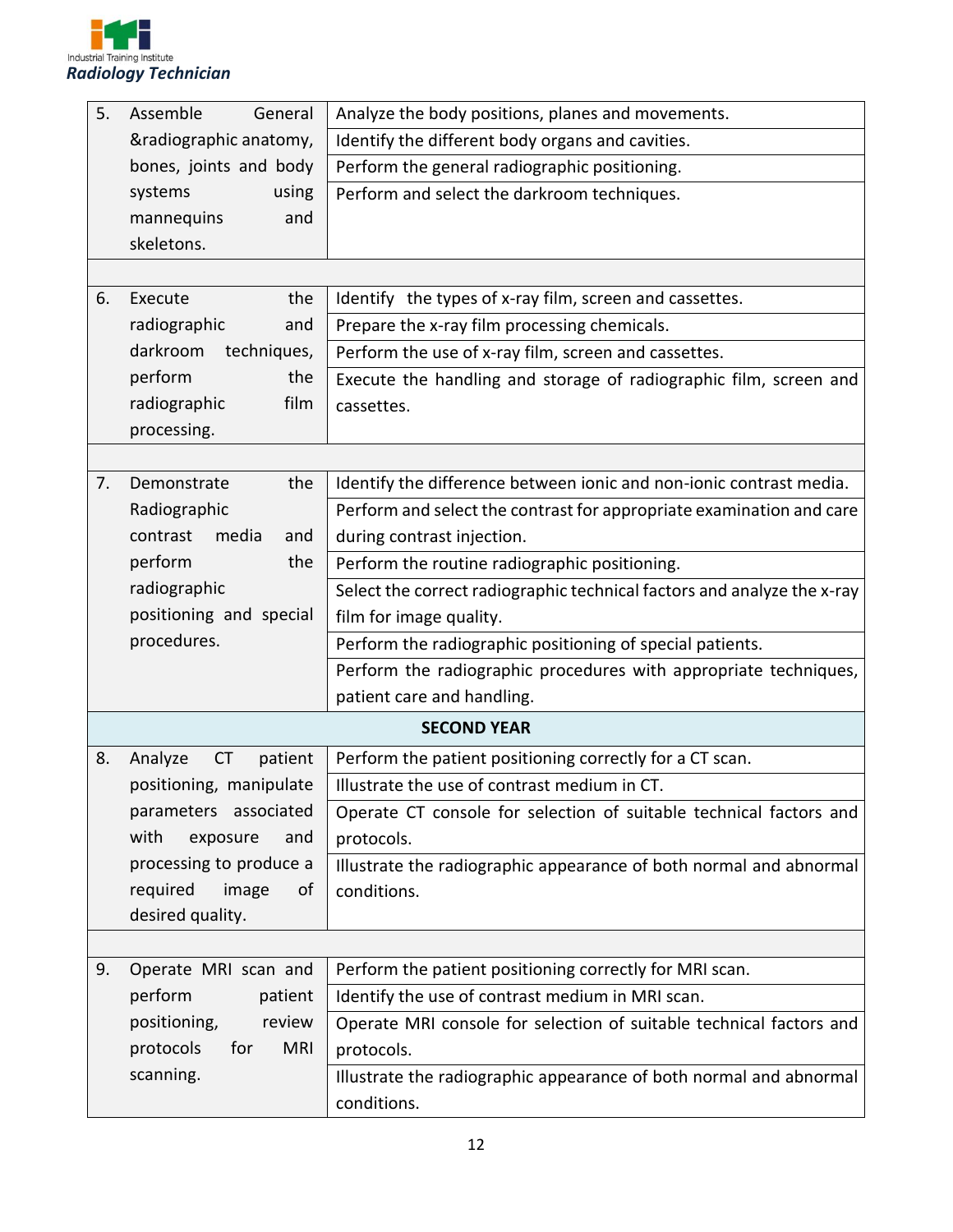

| 5. | Assemble<br>General             | Analyze the body positions, planes and movements.                       |  |  |  |  |
|----|---------------------------------|-------------------------------------------------------------------------|--|--|--|--|
|    | &radiographic anatomy,          | Identify the different body organs and cavities.                        |  |  |  |  |
|    | bones, joints and body          | Perform the general radiographic positioning.                           |  |  |  |  |
|    | systems<br>using                | Perform and select the darkroom techniques.                             |  |  |  |  |
|    | mannequins<br>and               |                                                                         |  |  |  |  |
|    | skeletons.                      |                                                                         |  |  |  |  |
|    |                                 |                                                                         |  |  |  |  |
| 6. | the<br>Execute                  | Identify the types of x-ray film, screen and cassettes.                 |  |  |  |  |
|    | radiographic<br>and             | Prepare the x-ray film processing chemicals.                            |  |  |  |  |
|    | darkroom<br>techniques,         | Perform the use of x-ray film, screen and cassettes.                    |  |  |  |  |
|    | perform<br>the                  | Execute the handling and storage of radiographic film, screen and       |  |  |  |  |
|    | film<br>radiographic            | cassettes.                                                              |  |  |  |  |
|    | processing.                     |                                                                         |  |  |  |  |
|    |                                 |                                                                         |  |  |  |  |
| 7. | Demonstrate<br>the              | Identify the difference between ionic and non-ionic contrast media.     |  |  |  |  |
|    | Radiographic                    | Perform and select the contrast for appropriate examination and care    |  |  |  |  |
|    | contrast<br>media<br>and        | during contrast injection.                                              |  |  |  |  |
|    | perform<br>the                  | Perform the routine radiographic positioning.                           |  |  |  |  |
|    | radiographic                    | Select the correct radiographic technical factors and analyze the x-ray |  |  |  |  |
|    | positioning and special         | film for image quality.                                                 |  |  |  |  |
|    | procedures.                     | Perform the radiographic positioning of special patients.               |  |  |  |  |
|    |                                 | Perform the radiographic procedures with appropriate techniques,        |  |  |  |  |
|    |                                 | patient care and handling.                                              |  |  |  |  |
|    |                                 | <b>SECOND YEAR</b>                                                      |  |  |  |  |
| 8. | patient<br>Analyze<br><b>CT</b> | Perform the patient positioning correctly for a CT scan.                |  |  |  |  |
|    | positioning, manipulate         | Illustrate the use of contrast medium in CT.                            |  |  |  |  |
|    | parameters associated           | Operate CT console for selection of suitable technical factors and      |  |  |  |  |
|    | with<br>exposure<br>and         | protocols.                                                              |  |  |  |  |
|    | processing to produce a         | Illustrate the radiographic appearance of both normal and abnormal      |  |  |  |  |
|    | required<br>image<br>οf         | conditions.                                                             |  |  |  |  |
|    | desired quality.                |                                                                         |  |  |  |  |
|    |                                 |                                                                         |  |  |  |  |
| 9. | Operate MRI scan and            | Perform the patient positioning correctly for MRI scan.                 |  |  |  |  |
|    | perform<br>patient              | Identify the use of contrast medium in MRI scan.                        |  |  |  |  |
|    | positioning,<br>review          | Operate MRI console for selection of suitable technical factors and     |  |  |  |  |
|    | protocols<br>for<br><b>MRI</b>  | protocols.                                                              |  |  |  |  |
|    | scanning.                       | Illustrate the radiographic appearance of both normal and abnormal      |  |  |  |  |
|    |                                 | conditions.                                                             |  |  |  |  |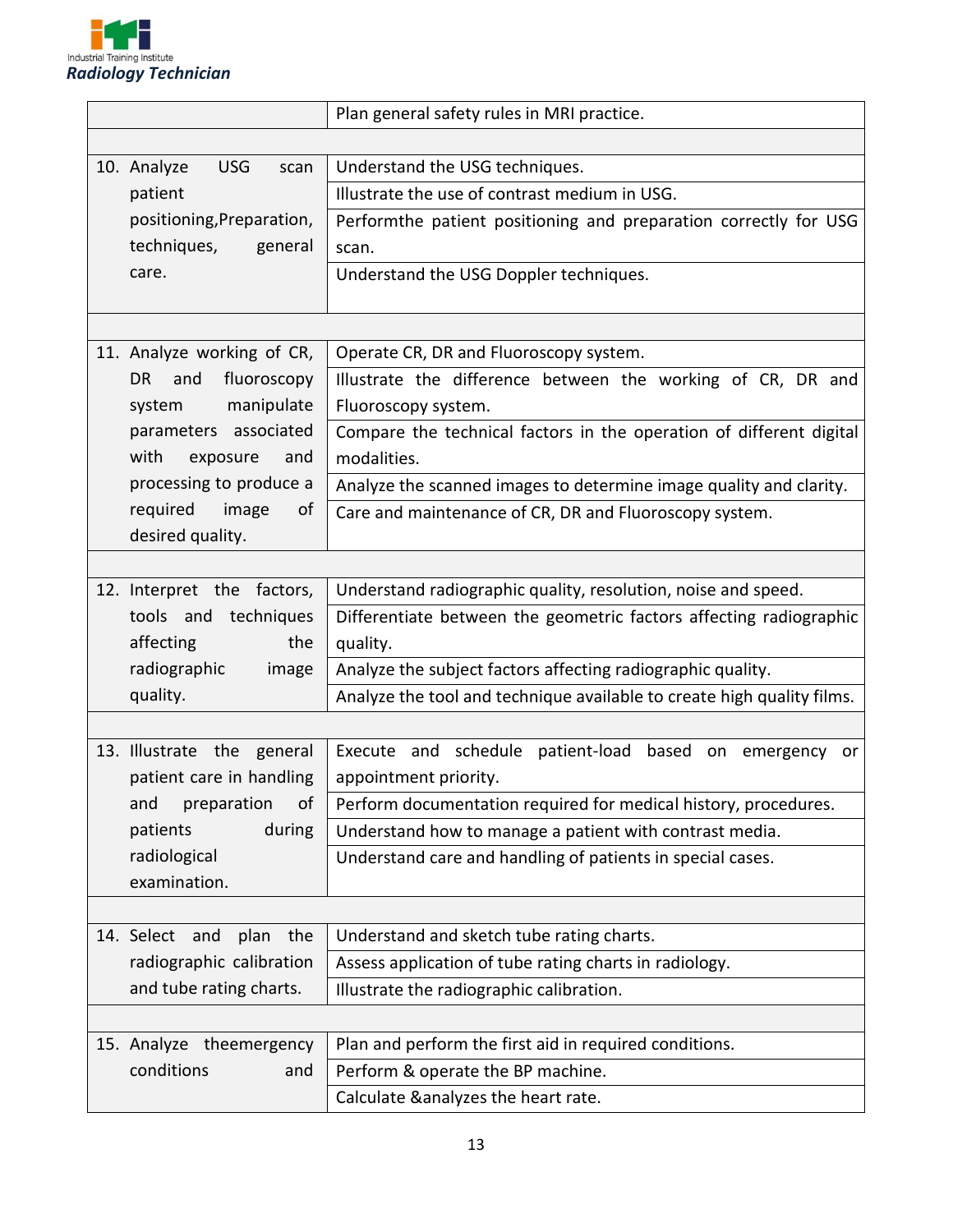

|                                   |                            | Plan general safety rules in MRI practice.                                                          |  |  |  |  |
|-----------------------------------|----------------------------|-----------------------------------------------------------------------------------------------------|--|--|--|--|
|                                   |                            |                                                                                                     |  |  |  |  |
| 10. Analyze<br><b>USG</b><br>scan |                            | Understand the USG techniques.                                                                      |  |  |  |  |
|                                   | patient                    | Illustrate the use of contrast medium in USG.                                                       |  |  |  |  |
|                                   | positioning, Preparation,  | Performthe patient positioning and preparation correctly for USG                                    |  |  |  |  |
|                                   | techniques,<br>general     | scan.                                                                                               |  |  |  |  |
|                                   | care.                      | Understand the USG Doppler techniques.                                                              |  |  |  |  |
|                                   |                            |                                                                                                     |  |  |  |  |
|                                   |                            |                                                                                                     |  |  |  |  |
|                                   | 11. Analyze working of CR, | Operate CR, DR and Fluoroscopy system.                                                              |  |  |  |  |
|                                   | DR.<br>and<br>fluoroscopy  | Illustrate the difference between the working of CR, DR and                                         |  |  |  |  |
|                                   | manipulate<br>system       | Fluoroscopy system.                                                                                 |  |  |  |  |
|                                   | parameters associated      | Compare the technical factors in the operation of different digital                                 |  |  |  |  |
|                                   | with<br>exposure<br>and    | modalities.                                                                                         |  |  |  |  |
|                                   | processing to produce a    | Analyze the scanned images to determine image quality and clarity.                                  |  |  |  |  |
|                                   | required image<br>of       | Care and maintenance of CR, DR and Fluoroscopy system.                                              |  |  |  |  |
|                                   | desired quality.           |                                                                                                     |  |  |  |  |
|                                   |                            |                                                                                                     |  |  |  |  |
|                                   | 12. Interpret the factors, | Understand radiographic quality, resolution, noise and speed.                                       |  |  |  |  |
|                                   | tools and techniques       | Differentiate between the geometric factors affecting radiographic                                  |  |  |  |  |
|                                   | affecting<br>the           | quality.                                                                                            |  |  |  |  |
|                                   | radiographic<br>image      | Analyze the subject factors affecting radiographic quality.                                         |  |  |  |  |
|                                   | quality.                   | Analyze the tool and technique available to create high quality films.                              |  |  |  |  |
|                                   |                            |                                                                                                     |  |  |  |  |
|                                   | 13. Illustrate the general | Execute and schedule patient-load based on emergency<br>or                                          |  |  |  |  |
|                                   | patient care in handling   | appointment priority.                                                                               |  |  |  |  |
|                                   | preparation<br>and<br>of   | Perform documentation required for medical history, procedures.                                     |  |  |  |  |
|                                   | patients<br>during         | Understand how to manage a patient with contrast media.                                             |  |  |  |  |
|                                   | radiological               | Understand care and handling of patients in special cases.                                          |  |  |  |  |
|                                   | examination.               |                                                                                                     |  |  |  |  |
|                                   | 14. Select and             |                                                                                                     |  |  |  |  |
|                                   | plan<br>the                | Understand and sketch tube rating charts.<br>Assess application of tube rating charts in radiology. |  |  |  |  |
|                                   | radiographic calibration   | Illustrate the radiographic calibration.                                                            |  |  |  |  |
|                                   | and tube rating charts.    |                                                                                                     |  |  |  |  |
|                                   |                            |                                                                                                     |  |  |  |  |
|                                   | 15. Analyze theemergency   | Plan and perform the first aid in required conditions.                                              |  |  |  |  |
|                                   | conditions<br>and          | Perform & operate the BP machine.                                                                   |  |  |  |  |
|                                   |                            | Calculate & analyzes the heart rate.                                                                |  |  |  |  |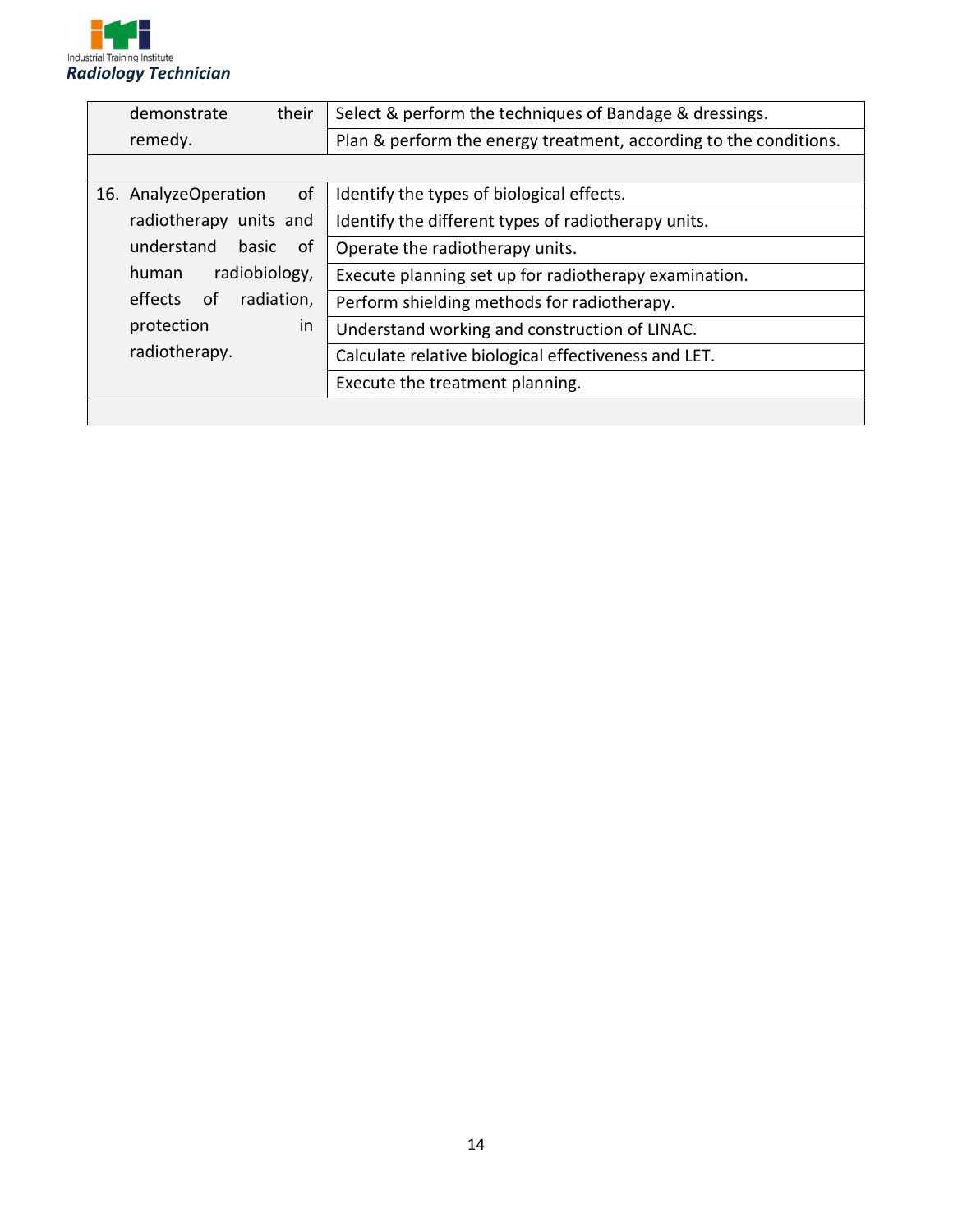

| demonstrate<br>their       | Select & perform the techniques of Bandage & dressings.           |  |  |
|----------------------------|-------------------------------------------------------------------|--|--|
| remedy.                    | Plan & perform the energy treatment, according to the conditions. |  |  |
|                            |                                                                   |  |  |
| of<br>16. AnalyzeOperation | Identify the types of biological effects.                         |  |  |
| radiotherapy units and     | Identify the different types of radiotherapy units.               |  |  |
| understand<br>basic<br>of  | Operate the radiotherapy units.                                   |  |  |
| radiobiology,<br>human     | Execute planning set up for radiotherapy examination.             |  |  |
| radiation,<br>effects of   | Perform shielding methods for radiotherapy.                       |  |  |
| protection<br>in           | Understand working and construction of LINAC.                     |  |  |
| radiotherapy.              | Calculate relative biological effectiveness and LET.              |  |  |
|                            | Execute the treatment planning.                                   |  |  |
|                            |                                                                   |  |  |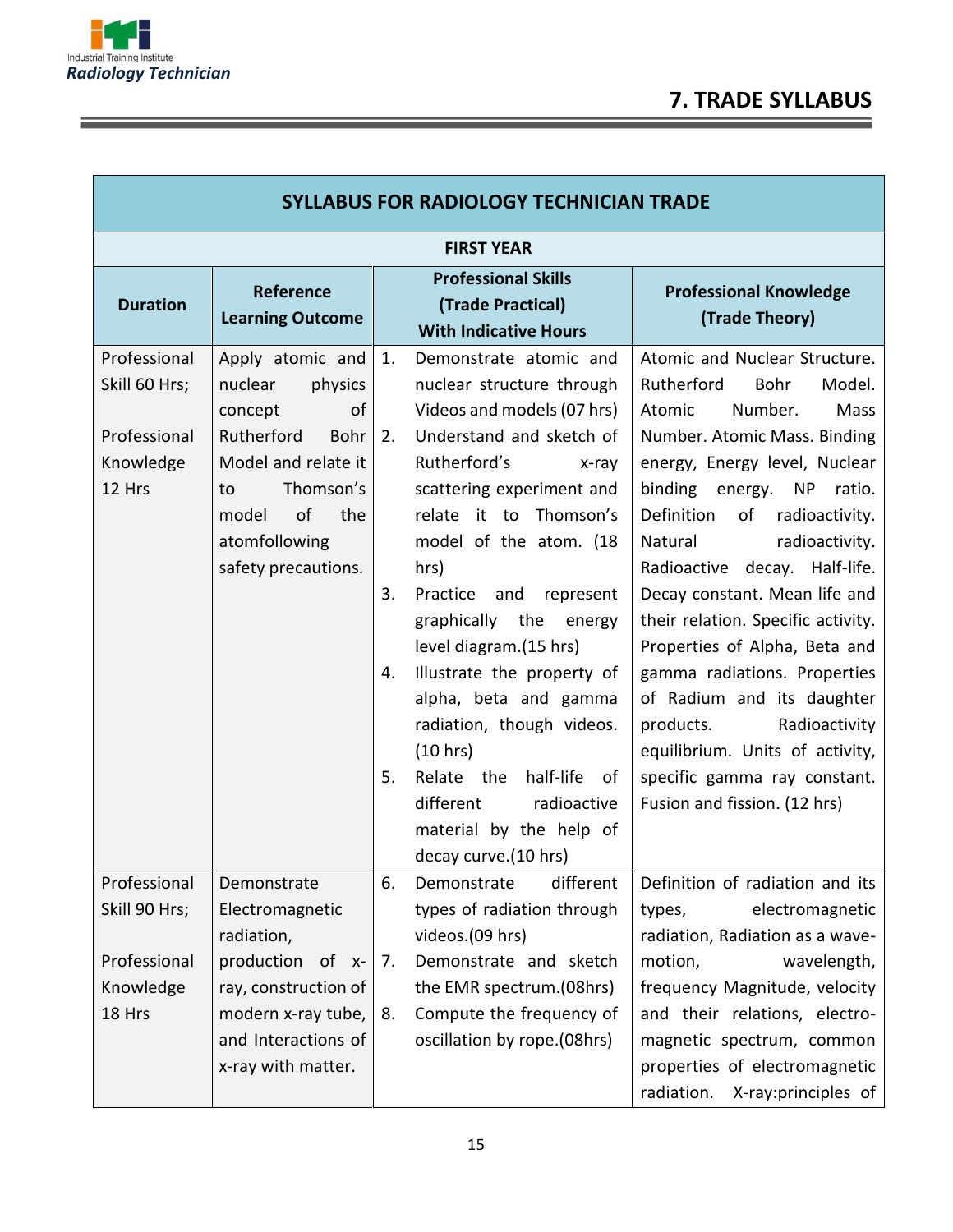Ξ

| <b>SYLLABUS FOR RADIOLOGY TECHNICIAN TRADE</b>                       |                                                                                                                                                                                       |                            |                                                                                                                                                                                                                                                                                                                                                                                                                                                                                                                                     |                                                                                                                                                                                                                                                                                                                                                                                                                                                                                                                                                                                                        |  |  |  |
|----------------------------------------------------------------------|---------------------------------------------------------------------------------------------------------------------------------------------------------------------------------------|----------------------------|-------------------------------------------------------------------------------------------------------------------------------------------------------------------------------------------------------------------------------------------------------------------------------------------------------------------------------------------------------------------------------------------------------------------------------------------------------------------------------------------------------------------------------------|--------------------------------------------------------------------------------------------------------------------------------------------------------------------------------------------------------------------------------------------------------------------------------------------------------------------------------------------------------------------------------------------------------------------------------------------------------------------------------------------------------------------------------------------------------------------------------------------------------|--|--|--|
|                                                                      | <b>FIRST YEAR</b>                                                                                                                                                                     |                            |                                                                                                                                                                                                                                                                                                                                                                                                                                                                                                                                     |                                                                                                                                                                                                                                                                                                                                                                                                                                                                                                                                                                                                        |  |  |  |
| <b>Duration</b>                                                      | <b>Reference</b><br><b>Learning Outcome</b>                                                                                                                                           |                            | <b>Professional Skills</b><br>(Trade Practical)<br><b>With Indicative Hours</b>                                                                                                                                                                                                                                                                                                                                                                                                                                                     | <b>Professional Knowledge</b><br>(Trade Theory)                                                                                                                                                                                                                                                                                                                                                                                                                                                                                                                                                        |  |  |  |
| Professional<br>Skill 60 Hrs;<br>Professional<br>Knowledge<br>12 Hrs | Apply atomic and<br>nuclear<br>physics<br>concept<br>οf<br>Rutherford<br>Bohr<br>Model and relate it<br>Thomson's<br>to<br>of<br>the<br>model<br>atomfollowing<br>safety precautions. | 1.<br>2.<br>3.<br>4.<br>5. | Demonstrate atomic and<br>nuclear structure through<br>Videos and models (07 hrs)<br>Understand and sketch of<br>Rutherford's<br>x-ray<br>scattering experiment and<br>relate it to Thomson's<br>model of the atom. (18<br>hrs)<br>Practice<br>and<br>represent<br>graphically the<br>energy<br>level diagram.(15 hrs)<br>Illustrate the property of<br>alpha, beta and gamma<br>radiation, though videos.<br>(10 hrs)<br>Relate the half-life<br>0f<br>different<br>radioactive<br>material by the help of<br>decay curve.(10 hrs) | Atomic and Nuclear Structure.<br>Rutherford<br>Bohr<br>Model.<br>Number.<br>Mass<br>Atomic<br>Number. Atomic Mass. Binding<br>energy, Energy level, Nuclear<br>binding<br>energy. NP ratio.<br>Definition<br>of<br>radioactivity.<br>Natural<br>radioactivity.<br>Radioactive decay. Half-life.<br>Decay constant. Mean life and<br>their relation. Specific activity.<br>Properties of Alpha, Beta and<br>gamma radiations. Properties<br>of Radium and its daughter<br>Radioactivity<br>products.<br>equilibrium. Units of activity,<br>specific gamma ray constant.<br>Fusion and fission. (12 hrs) |  |  |  |
| Professional<br>Skill 90 Hrs;<br>Professional<br>Knowledge           | Demonstrate<br>Electromagnetic<br>radiation,<br>production of x-<br>ray, construction of                                                                                              | 6.<br>7.                   | different<br>Demonstrate<br>types of radiation through<br>videos.(09 hrs)<br>Demonstrate and sketch<br>the EMR spectrum.(08hrs)                                                                                                                                                                                                                                                                                                                                                                                                     | Definition of radiation and its<br>types,<br>electromagnetic<br>radiation, Radiation as a wave-<br>motion,<br>wavelength,<br>frequency Magnitude, velocity                                                                                                                                                                                                                                                                                                                                                                                                                                             |  |  |  |
| 18 Hrs                                                               | modern x-ray tube,<br>and Interactions of<br>x-ray with matter.                                                                                                                       | 8.                         | Compute the frequency of<br>oscillation by rope.(08hrs)                                                                                                                                                                                                                                                                                                                                                                                                                                                                             | and their relations, electro-<br>magnetic spectrum, common<br>properties of electromagnetic<br>radiation.<br>X-ray: principles of                                                                                                                                                                                                                                                                                                                                                                                                                                                                      |  |  |  |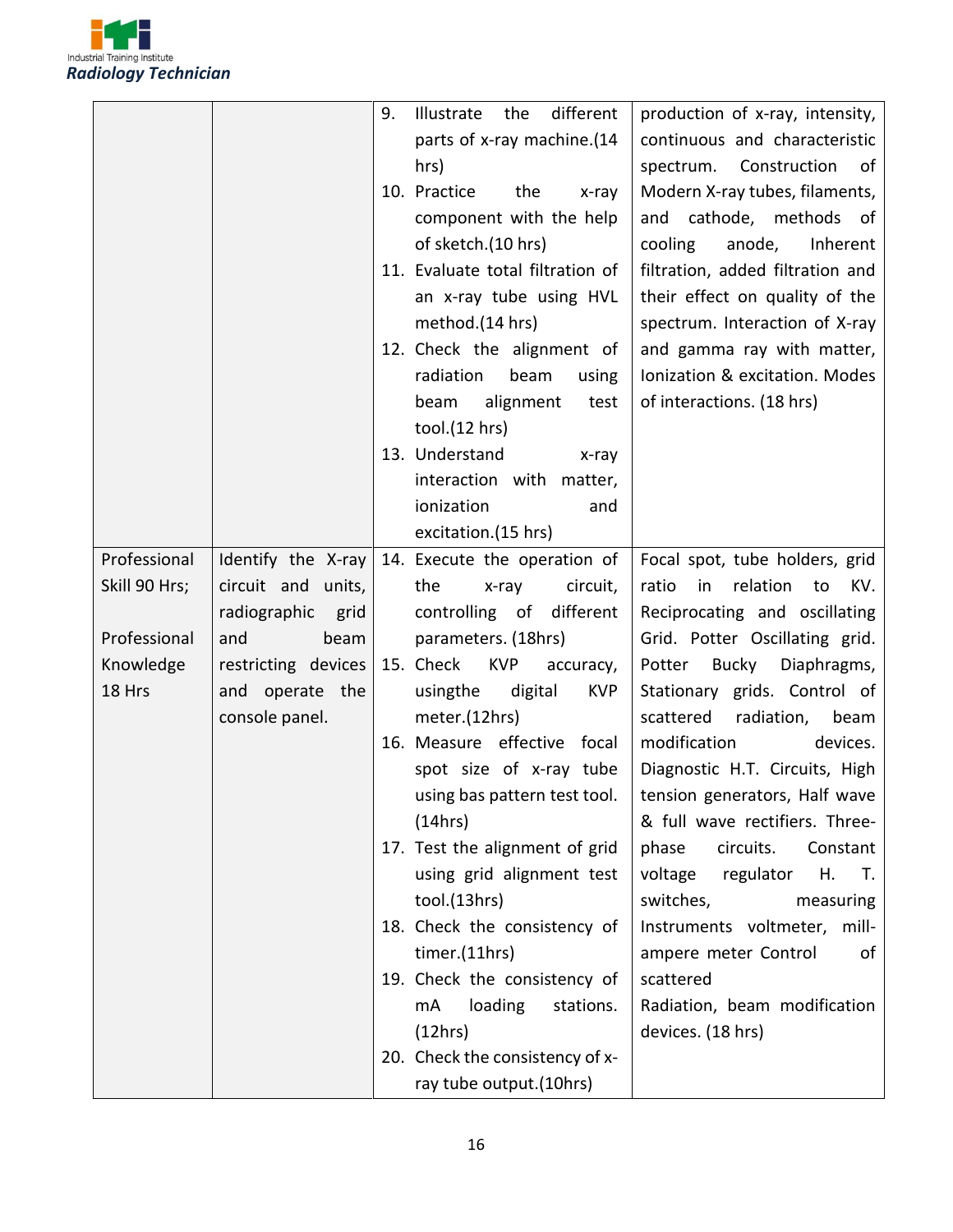

|               |                      | 9. | different<br>Illustrate<br>the       | production of x-ray, intensity,      |
|---------------|----------------------|----|--------------------------------------|--------------------------------------|
|               |                      |    | parts of x-ray machine.(14           | continuous and characteristic        |
|               |                      |    | hrs)                                 | spectrum.<br>Construction<br>of      |
|               |                      |    | 10. Practice<br>the<br>x-ray         | Modern X-ray tubes, filaments,       |
|               |                      |    | component with the help              | and cathode, methods of              |
|               |                      |    | of sketch.(10 hrs)                   | cooling<br>anode,<br>Inherent        |
|               |                      |    | 11. Evaluate total filtration of     | filtration, added filtration and     |
|               |                      |    | an x-ray tube using HVL              | their effect on quality of the       |
|               |                      |    | method.(14 hrs)                      | spectrum. Interaction of X-ray       |
|               |                      |    | 12. Check the alignment of           | and gamma ray with matter,           |
|               |                      |    | radiation<br>beam<br>using           | Ionization & excitation. Modes       |
|               |                      |    | alignment<br>beam<br>test            | of interactions. (18 hrs)            |
|               |                      |    | tool.(12 hrs)                        |                                      |
|               |                      |    | 13. Understand<br>x-ray              |                                      |
|               |                      |    | interaction with matter,             |                                      |
|               |                      |    | ionization<br>and                    |                                      |
|               |                      |    | excitation.(15 hrs)                  |                                      |
| Professional  | Identify the X-ray   |    | 14. Execute the operation of         | Focal spot, tube holders, grid       |
| Skill 90 Hrs; | circuit and units,   |    | the<br>circuit,<br>x-ray             | ratio<br>relation<br>KV.<br>in<br>to |
|               | radiographic<br>grid |    | controlling of<br>different          | Reciprocating and oscillating        |
| Professional  | and<br>beam          |    | parameters. (18hrs)                  | Grid. Potter Oscillating grid.       |
| Knowledge     | restricting devices  |    | 15. Check<br><b>KVP</b><br>accuracy, | Potter Bucky<br>Diaphragms,          |
| 18 Hrs        | and operate the      |    | usingthe<br>digital<br><b>KVP</b>    | Stationary grids. Control of         |
|               | console panel.       |    | meter.(12hrs)                        | scattered<br>radiation,<br>beam      |
|               |                      |    | 16. Measure effective focal          | modification<br>devices.             |
|               |                      |    | spot size of x-ray tube              | Diagnostic H.T. Circuits, High       |
|               |                      |    | using bas pattern test tool. $\vert$ | tension generators, Half wave        |
|               |                      |    | (14hrs)                              | & full wave rectifiers. Three-       |
|               |                      |    | 17. Test the alignment of grid       | phase<br>circuits.<br>Constant       |
|               |                      |    | using grid alignment test            | voltage<br>regulator<br>Η.<br>T.     |
|               |                      |    | tool.(13hrs)                         | switches,<br>measuring               |
|               |                      |    | 18. Check the consistency of         | Instruments voltmeter, mill-         |
|               |                      |    | timer.(11hrs)                        | ampere meter Control<br>of           |
|               |                      |    | 19. Check the consistency of         | scattered                            |
|               |                      |    | loading<br>mA<br>stations.           | Radiation, beam modification         |
|               |                      |    | (12hrs)                              | devices. (18 hrs)                    |
|               |                      |    | 20. Check the consistency of x-      |                                      |
|               |                      |    | ray tube output.(10hrs)              |                                      |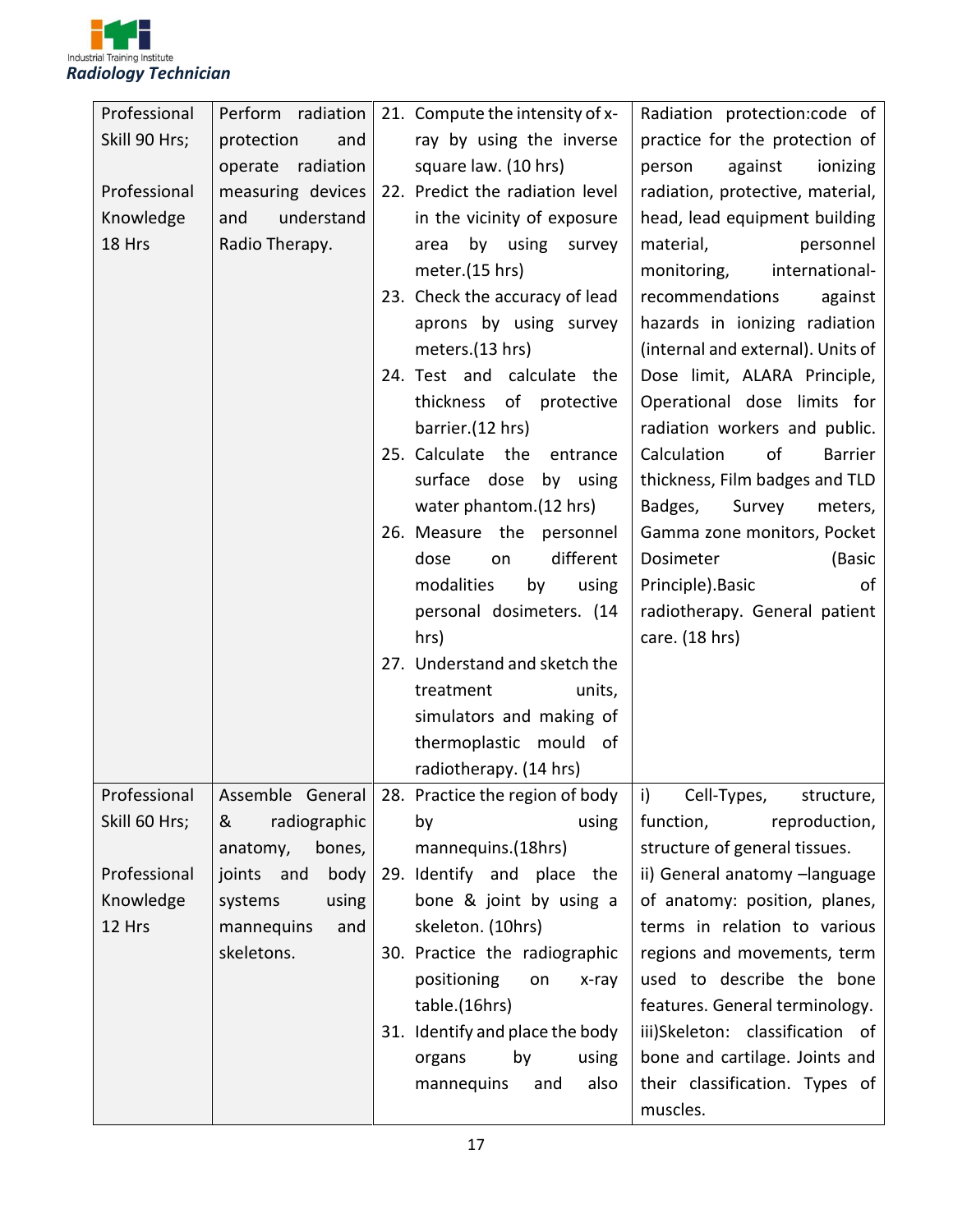

| Professional  | Perform radiation    | 21. Compute the intensity of x- | Radiation protection:code of          |
|---------------|----------------------|---------------------------------|---------------------------------------|
| Skill 90 Hrs; | protection<br>and    | ray by using the inverse        | practice for the protection of        |
|               | radiation<br>operate | square law. (10 hrs)            | person<br>against<br>ionizing         |
| Professional  | measuring devices    | 22. Predict the radiation level | radiation, protective, material,      |
| Knowledge     | and<br>understand    | in the vicinity of exposure     | head, lead equipment building         |
| 18 Hrs        | Radio Therapy.       | by using survey<br>area         | material,<br>personnel                |
|               |                      | meter.(15 hrs)                  | international-<br>monitoring,         |
|               |                      | 23. Check the accuracy of lead  | recommendations<br>against            |
|               |                      | aprons by using survey          | hazards in ionizing radiation         |
|               |                      | meters.(13 hrs)                 | (internal and external). Units of     |
|               |                      | 24. Test and calculate the      | Dose limit, ALARA Principle,          |
|               |                      | thickness of protective         | Operational dose limits for           |
|               |                      | barrier.(12 hrs)                | radiation workers and public.         |
|               |                      | 25. Calculate<br>the entrance   | Calculation<br>of<br><b>Barrier</b>   |
|               |                      | surface dose<br>by using        | thickness, Film badges and TLD        |
|               |                      | water phantom.(12 hrs)          | Badges,<br>Survey<br>meters,          |
|               |                      | 26. Measure the personnel       | Gamma zone monitors, Pocket           |
|               |                      | different<br>dose<br>on         | Dosimeter<br>(Basic                   |
|               |                      | modalities<br>by<br>using       | Principle). Basic<br>of               |
|               |                      | personal dosimeters. (14        | radiotherapy. General patient         |
|               |                      | hrs)                            | care. (18 hrs)                        |
|               |                      | 27. Understand and sketch the   |                                       |
|               |                      | treatment<br>units,             |                                       |
|               |                      | simulators and making of        |                                       |
|               |                      | thermoplastic mould of          |                                       |
|               |                      | radiotherapy. (14 hrs)          |                                       |
| Professional  | Assemble General     | 28. Practice the region of body | $ i\rangle$ Cell-Types,<br>structure, |
| Skill 60 Hrs; | radiographic<br>&    | using<br>by                     | function,<br>reproduction,            |
|               | bones,<br>anatomy,   | mannequins.(18hrs)              | structure of general tissues.         |
| Professional  | joints and<br>body   | 29. Identify and place the      | ii) General anatomy -language         |
| Knowledge     | using<br>systems     | bone & joint by using a         | of anatomy: position, planes,         |
| 12 Hrs        | mannequins<br>and    | skeleton. (10hrs)               | terms in relation to various          |
|               | skeletons.           | 30. Practice the radiographic   | regions and movements, term           |
|               |                      | positioning<br>on<br>x-ray      | used to describe the bone             |
|               |                      | table.(16hrs)                   | features. General terminology.        |
|               |                      | 31. Identify and place the body | iii)Skeleton: classification of       |
|               |                      | by<br>organs<br>using           | bone and cartilage. Joints and        |
|               |                      | also<br>mannequins<br>and       | their classification. Types of        |
|               |                      |                                 | muscles.                              |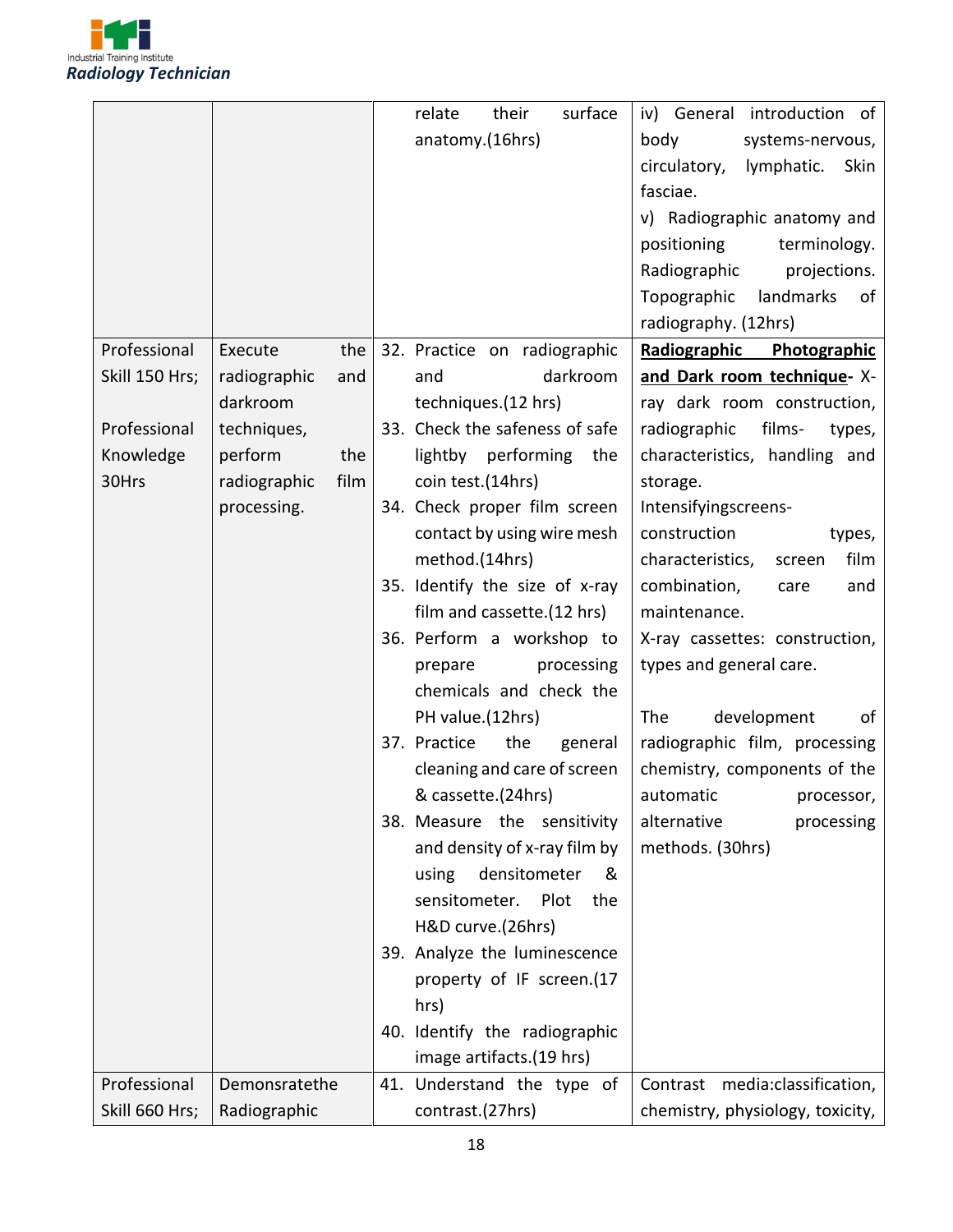

|                |                      | surface<br>their<br>relate     | iv) General introduction of        |
|----------------|----------------------|--------------------------------|------------------------------------|
|                |                      | anatomy.(16hrs)                | body<br>systems-nervous,           |
|                |                      |                                | circulatory,<br>Skin<br>lymphatic. |
|                |                      |                                | fasciae.                           |
|                |                      |                                | v) Radiographic anatomy and        |
|                |                      |                                | positioning<br>terminology.        |
|                |                      |                                | projections.<br>Radiographic       |
|                |                      |                                | Topographic<br>landmarks<br>0f     |
|                |                      |                                | radiography. (12hrs)               |
| Professional   | Execute<br>the       | 32. Practice on radiographic   | Radiographic Photographic          |
| Skill 150 Hrs; | radiographic<br>and  | darkroom<br>and                | and Dark room technique- X-        |
|                | darkroom             | techniques.(12 hrs)            | ray dark room construction,        |
| Professional   | techniques,          | 33. Check the safeness of safe | radiographic<br>films-<br>types,   |
| Knowledge      | perform<br>the       | lightby performing<br>the      | characteristics, handling and      |
| 30Hrs          | film<br>radiographic | coin test.(14hrs)              | storage.                           |
|                | processing.          | 34. Check proper film screen   | Intensifyingscreens-               |
|                |                      | contact by using wire mesh     | construction<br>types,             |
|                |                      | method.(14hrs)                 | film<br>characteristics,<br>screen |
|                |                      | 35. Identify the size of x-ray | combination,<br>and<br>care        |
|                |                      | film and cassette.(12 hrs)     | maintenance.                       |
|                |                      | 36. Perform a workshop to      | X-ray cassettes: construction,     |
|                |                      | processing<br>prepare          | types and general care.            |
|                |                      | chemicals and check the        |                                    |
|                |                      | PH value.(12hrs)               | development<br>The<br>of           |
|                |                      | 37. Practice<br>the<br>general | radiographic film, processing      |
|                |                      | cleaning and care of screen    | chemistry, components of the       |
|                |                      | & cassette.(24hrs)             | automatic<br>processor,            |
|                |                      | 38. Measure the sensitivity    | alternative<br>processing          |
|                |                      | and density of x-ray film by   | methods. (30hrs)                   |
|                |                      | using<br>densitometer<br>&     |                                    |
|                |                      | sensitometer.<br>Plot<br>the   |                                    |
|                |                      | H&D curve.(26hrs)              |                                    |
|                |                      | 39. Analyze the luminescence   |                                    |
|                |                      | property of IF screen.(17      |                                    |
|                |                      | hrs)                           |                                    |
|                |                      | 40. Identify the radiographic  |                                    |
|                |                      | image artifacts.(19 hrs)       |                                    |
| Professional   | Demonsratethe        | 41. Understand the type of     | Contrast media:classification,     |
| Skill 660 Hrs; | Radiographic         | contrast.(27hrs)               | chemistry, physiology, toxicity,   |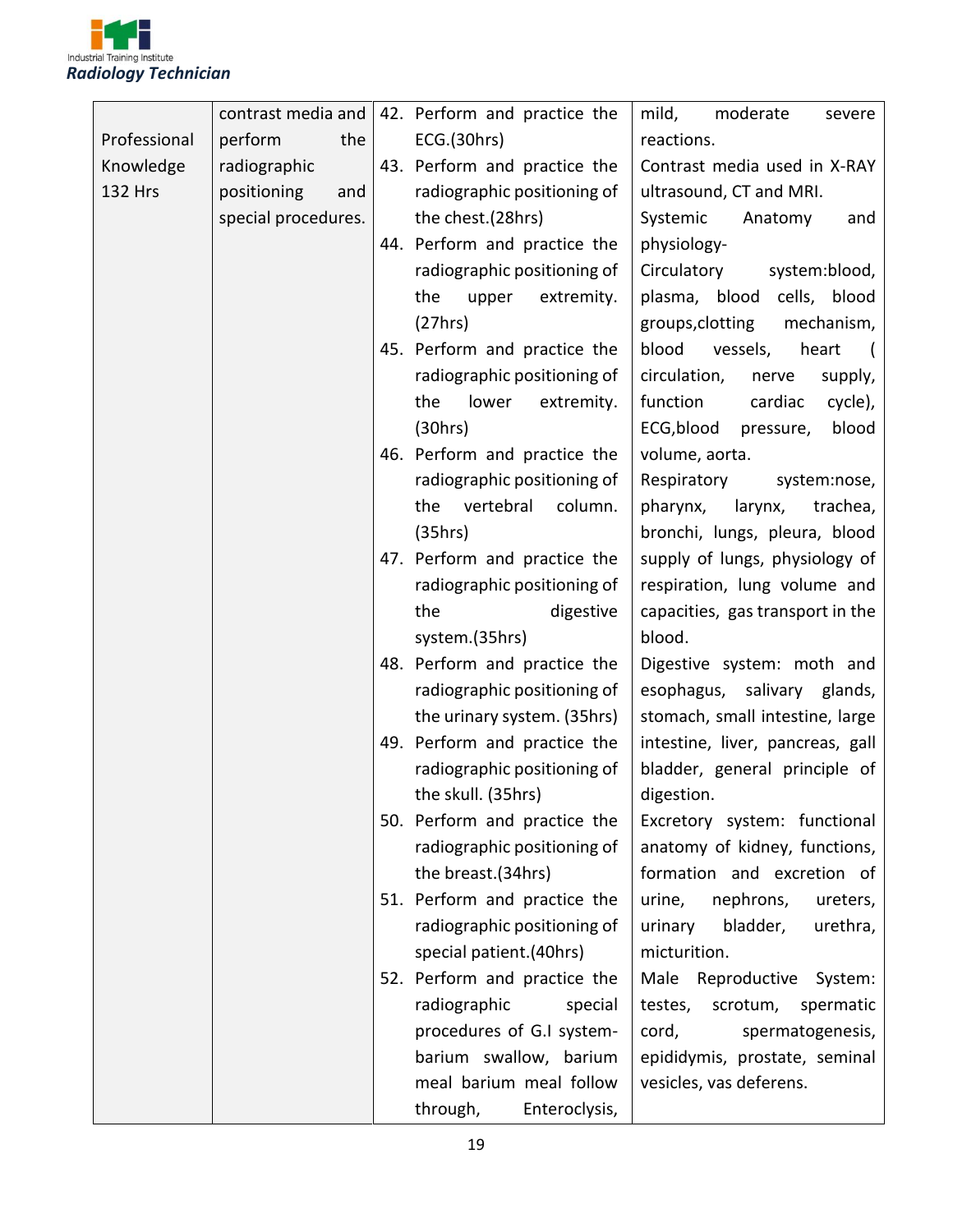

|                | contrast media and  | 42. Perform and practice the | mild,<br>moderate<br>severe      |
|----------------|---------------------|------------------------------|----------------------------------|
| Professional   | perform<br>the      | ECG.(30hrs)                  | reactions.                       |
| Knowledge      | radiographic        | 43. Perform and practice the | Contrast media used in X-RAY     |
| <b>132 Hrs</b> | positioning<br>and  | radiographic positioning of  | ultrasound, CT and MRI.          |
|                | special procedures. | the chest.(28hrs)            | Systemic<br>Anatomy<br>and       |
|                |                     | 44. Perform and practice the | physiology-                      |
|                |                     | radiographic positioning of  | Circulatory<br>system:blood,     |
|                |                     | the<br>upper<br>extremity.   | plasma, blood cells, blood       |
|                |                     | (27hrs)                      | groups, clotting<br>mechanism,   |
|                |                     | 45. Perform and practice the | blood<br>vessels,<br>heart       |
|                |                     | radiographic positioning of  | circulation,<br>nerve<br>supply, |
|                |                     | the<br>lower<br>extremity.   | function<br>cardiac<br>cycle),   |
|                |                     | (30hrs)                      | ECG,blood<br>blood<br>pressure,  |
|                |                     | 46. Perform and practice the | volume, aorta.                   |
|                |                     | radiographic positioning of  | Respiratory<br>system:nose,      |
|                |                     | the<br>vertebral<br>column.  | larynx,<br>pharynx,<br>trachea,  |
|                |                     | (35hrs)                      | bronchi, lungs, pleura, blood    |
|                |                     | 47. Perform and practice the | supply of lungs, physiology of   |
|                |                     | radiographic positioning of  | respiration, lung volume and     |
|                |                     | the<br>digestive             | capacities, gas transport in the |
|                |                     | system.(35hrs)               | blood.                           |
|                |                     | 48. Perform and practice the | Digestive system: moth and       |
|                |                     | radiographic positioning of  | esophagus, salivary glands,      |
|                |                     | the urinary system. (35hrs)  | stomach, small intestine, large  |
|                |                     | 49. Perform and practice the | intestine, liver, pancreas, gall |
|                |                     | radiographic positioning of  | bladder, general principle of    |
|                |                     | the skull. (35hrs)           | digestion.                       |
|                |                     | 50. Perform and practice the | Excretory system: functional     |
|                |                     | radiographic positioning of  | anatomy of kidney, functions,    |
|                |                     | the breast.(34hrs)           | formation and excretion of       |
|                |                     | 51. Perform and practice the | nephrons,<br>urine,<br>ureters,  |
|                |                     | radiographic positioning of  | bladder,<br>urinary<br>urethra,  |
|                |                     | special patient.(40hrs)      | micturition.                     |
|                |                     | 52. Perform and practice the | Male Reproductive System:        |
|                |                     | radiographic<br>special      | testes,<br>scrotum,<br>spermatic |
|                |                     | procedures of G.I system-    | cord,<br>spermatogenesis,        |
|                |                     | barium swallow, barium       | epididymis, prostate, seminal    |
|                |                     | meal barium meal follow      | vesicles, vas deferens.          |
|                |                     | through,<br>Enteroclysis,    |                                  |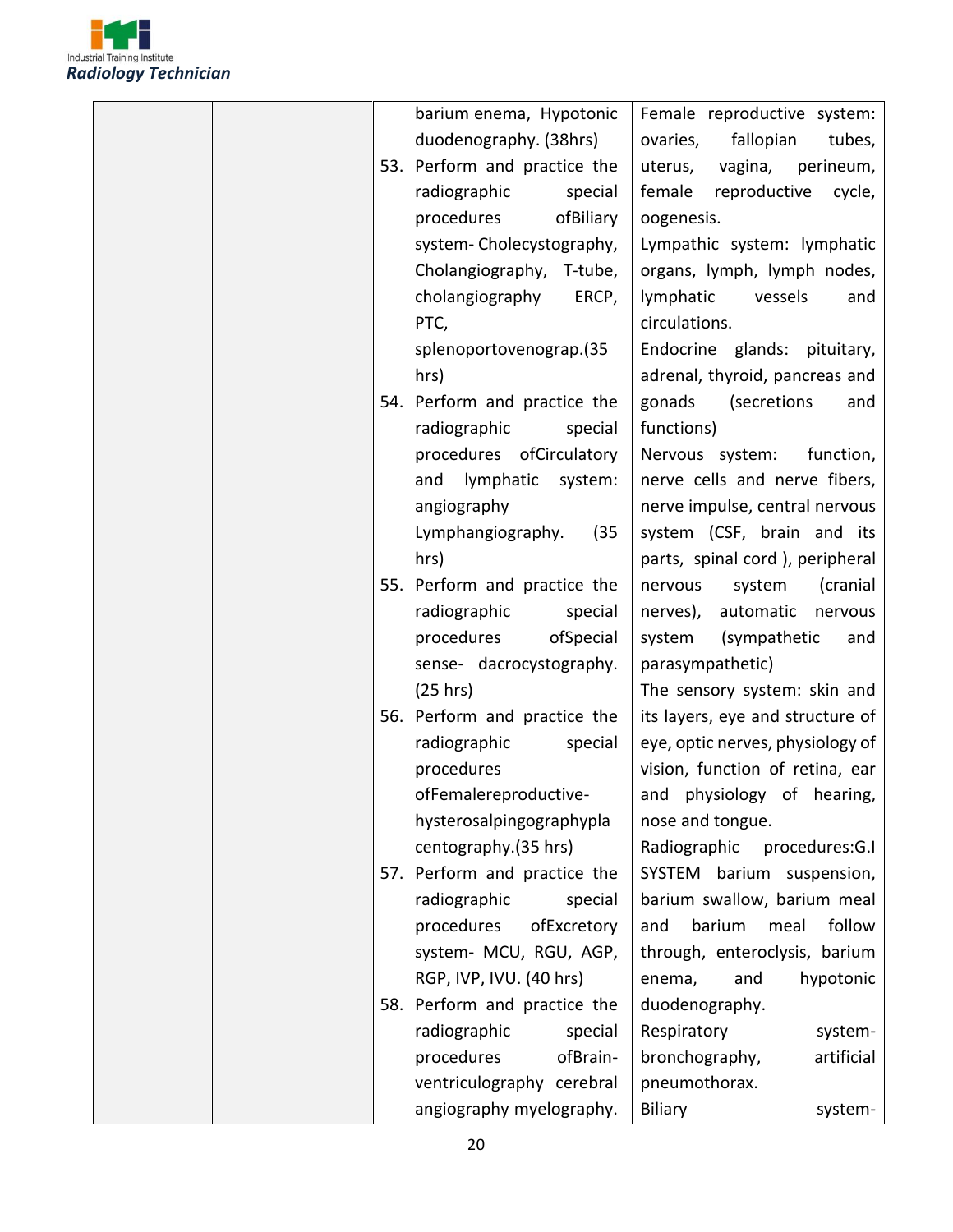

|  | barium enema, Hypotonic      | Female reproductive system:      |
|--|------------------------------|----------------------------------|
|  | duodenography. (38hrs)       | ovaries,<br>fallopian<br>tubes,  |
|  | 53. Perform and practice the | vagina,<br>perineum,<br>uterus,  |
|  | radiographic<br>special      | reproductive<br>female<br>cycle, |
|  | procedures<br>ofBiliary      | oogenesis.                       |
|  | system-Cholecystography,     | Lympathic system: lymphatic      |
|  | Cholangiography, T-tube,     | organs, lymph, lymph nodes,      |
|  | cholangiography<br>ERCP,     | lymphatic<br>vessels<br>and      |
|  | PTC,                         | circulations.                    |
|  | splenoportovenograp.(35      | Endocrine glands: pituitary,     |
|  | hrs)                         | adrenal, thyroid, pancreas and   |
|  | 54. Perform and practice the | (secretions<br>gonads<br>and     |
|  | radiographic<br>special      | functions)                       |
|  | procedures ofCirculatory     | Nervous system:<br>function,     |
|  | lymphatic<br>system:<br>and  | nerve cells and nerve fibers,    |
|  | angiography                  | nerve impulse, central nervous   |
|  | Lymphangiography.<br>(35)    | system (CSF, brain and its       |
|  | hrs)                         | parts, spinal cord), peripheral  |
|  | 55. Perform and practice the | system<br>(cranial<br>nervous    |
|  | radiographic<br>special      | nerves),<br>automatic nervous    |
|  | procedures<br>ofSpecial      | system<br>(sympathetic<br>and    |
|  | sense- dacrocystography.     | parasympathetic)                 |
|  | (25 hrs)                     | The sensory system: skin and     |
|  | 56. Perform and practice the | its layers, eye and structure of |
|  | radiographic<br>special      | eye, optic nerves, physiology of |
|  | procedures                   | vision, function of retina, ear  |
|  | ofFemalereproductive-        | and physiology of hearing,       |
|  | hysterosalpingographypla     | nose and tongue.                 |
|  | centography.(35 hrs)         | Radiographic<br>procedures:G.I   |
|  | 57. Perform and practice the | SYSTEM barium suspension,        |
|  | radiographic<br>special      | barium swallow, barium meal      |
|  | procedures<br>ofExcretory    | follow<br>barium<br>meal<br>and  |
|  | system- MCU, RGU, AGP,       | through, enteroclysis, barium    |
|  | RGP, IVP, IVU. (40 hrs)      | enema,<br>and<br>hypotonic       |
|  | 58. Perform and practice the | duodenography.                   |
|  | radiographic<br>special      | Respiratory<br>system-           |
|  | procedures<br>ofBrain-       | artificial<br>bronchography,     |
|  | ventriculography cerebral    | pneumothorax.                    |
|  | angiography myelography.     | <b>Biliary</b><br>system-        |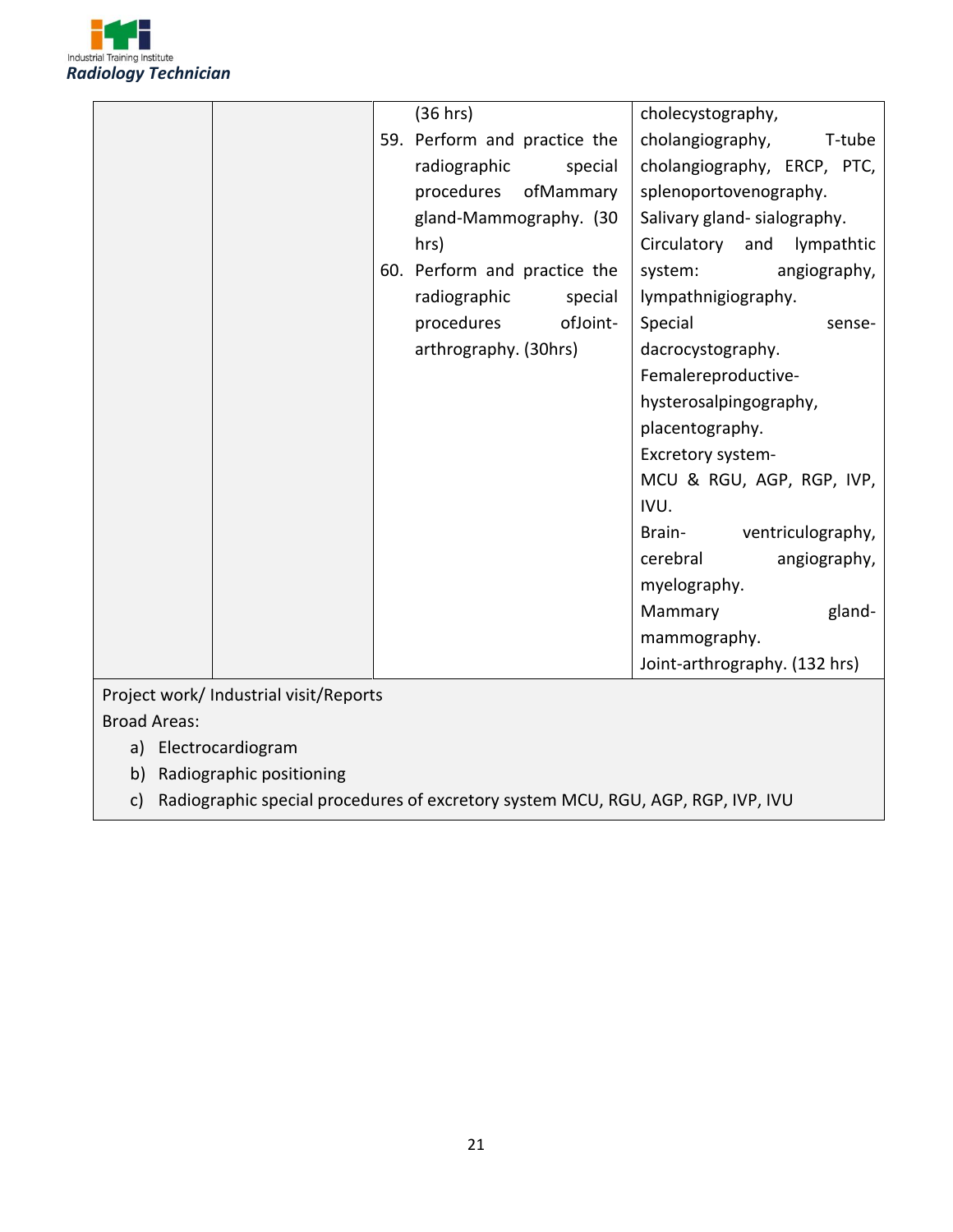

|                                        | (36 hrs)                     | cholecystography,                |
|----------------------------------------|------------------------------|----------------------------------|
|                                        | 59. Perform and practice the | cholangiography,<br>T-tube       |
|                                        | radiographic<br>special      | cholangiography, ERCP, PTC,      |
|                                        | procedures<br>ofMammary      | splenoportovenography.           |
|                                        | gland-Mammography. (30       | Salivary gland-sialography.      |
|                                        | hrs)                         | Circulatory<br>lympathtic<br>and |
|                                        | 60. Perform and practice the | angiography,<br>system:          |
|                                        | radiographic<br>special      | lympathnigiography.              |
|                                        | ofJoint-<br>procedures       | Special<br>sense-                |
|                                        | arthrography. (30hrs)        | dacrocystography.                |
|                                        |                              | Femalereproductive-              |
|                                        |                              | hysterosalpingography,           |
|                                        |                              | placentography.                  |
|                                        |                              | Excretory system-                |
|                                        |                              | MCU & RGU, AGP, RGP, IVP,        |
|                                        |                              | IVU.                             |
|                                        |                              | ventriculography,<br>Brain-      |
|                                        |                              | cerebral<br>angiography,         |
|                                        |                              | myelography.                     |
|                                        |                              | gland-<br>Mammary                |
|                                        |                              | mammography.                     |
|                                        |                              | Joint-arthrography. (132 hrs)    |
| Project work/ Industrial visit/Reports |                              |                                  |

Broad Areas:

- a) Electrocardiogram
- b) Radiographic positioning
- c) Radiographic special procedures of excretory system MCU, RGU, AGP, RGP, IVP, IVU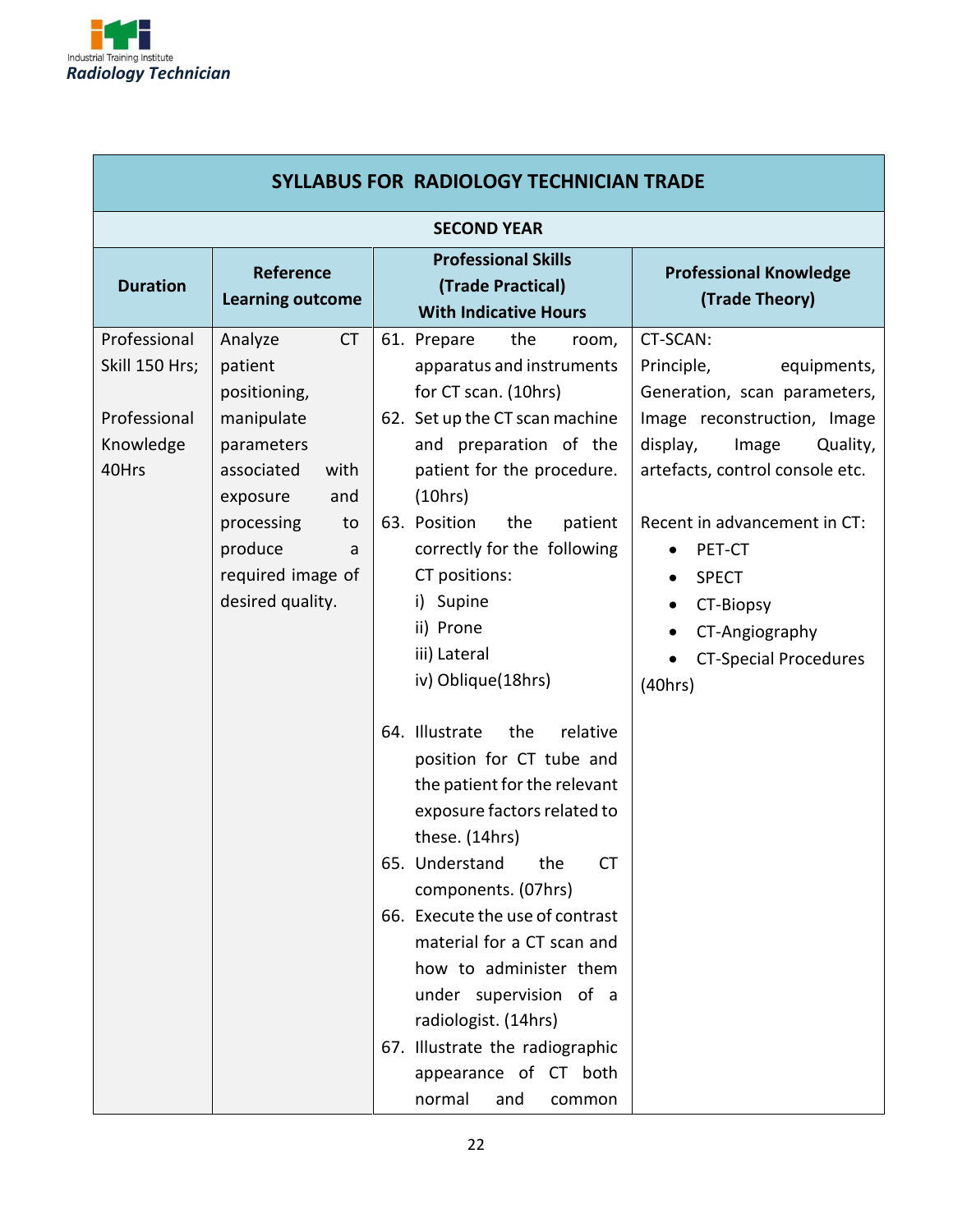

r

| <b>SYLLABUS FOR RADIOLOGY TECHNICIAN TRADE</b>                       |                                                                                                                                                                                                   |                                                                                                                                                                                                                                                                                                                                                                                                                                                                                                                                                                                                                                                                                                                                                                                            |                                                                                                                                                                                                                                                                                                                                                     |  |  |  |
|----------------------------------------------------------------------|---------------------------------------------------------------------------------------------------------------------------------------------------------------------------------------------------|--------------------------------------------------------------------------------------------------------------------------------------------------------------------------------------------------------------------------------------------------------------------------------------------------------------------------------------------------------------------------------------------------------------------------------------------------------------------------------------------------------------------------------------------------------------------------------------------------------------------------------------------------------------------------------------------------------------------------------------------------------------------------------------------|-----------------------------------------------------------------------------------------------------------------------------------------------------------------------------------------------------------------------------------------------------------------------------------------------------------------------------------------------------|--|--|--|
|                                                                      | <b>SECOND YEAR</b>                                                                                                                                                                                |                                                                                                                                                                                                                                                                                                                                                                                                                                                                                                                                                                                                                                                                                                                                                                                            |                                                                                                                                                                                                                                                                                                                                                     |  |  |  |
| <b>Duration</b>                                                      | <b>Reference</b><br><b>Learning outcome</b>                                                                                                                                                       | <b>Professional Skills</b><br>(Trade Practical)<br><b>With Indicative Hours</b>                                                                                                                                                                                                                                                                                                                                                                                                                                                                                                                                                                                                                                                                                                            | <b>Professional Knowledge</b><br>(Trade Theory)                                                                                                                                                                                                                                                                                                     |  |  |  |
| Professional<br>Skill 150 Hrs;<br>Professional<br>Knowledge<br>40Hrs | <b>CT</b><br>Analyze<br>patient<br>positioning,<br>manipulate<br>parameters<br>associated<br>with<br>exposure<br>and<br>processing<br>to<br>produce<br>a<br>required image of<br>desired quality. | 61. Prepare<br>the<br>room,<br>apparatus and instruments<br>for CT scan. (10hrs)<br>62. Set up the CT scan machine<br>and preparation of the<br>patient for the procedure.<br>(10hrs)<br>63. Position<br>the<br>patient<br>correctly for the following<br>CT positions:<br>i) Supine<br>ii) Prone<br>iii) Lateral<br>iv) Oblique(18hrs)<br>64. Illustrate<br>the<br>relative<br>position for CT tube and<br>the patient for the relevant<br>exposure factors related to<br>these. (14hrs)<br>the<br><b>CT</b><br>65. Understand<br>components. (07hrs)<br>66. Execute the use of contrast<br>material for a CT scan and<br>how to administer them<br>under supervision of a<br>radiologist. (14hrs)<br>67. Illustrate the radiographic<br>appearance of CT both<br>normal<br>and<br>common | CT-SCAN:<br>Principle,<br>equipments,<br>Generation, scan parameters,<br>Image reconstruction, Image<br>display,<br>Quality,<br>Image<br>artefacts, control console etc.<br>Recent in advancement in CT:<br>PET-CT<br>$\bullet$<br><b>SPECT</b><br>$\bullet$<br>CT-Biopsy<br>CT-Angiography<br>$\bullet$<br><b>CT-Special Procedures</b><br>(40hrs) |  |  |  |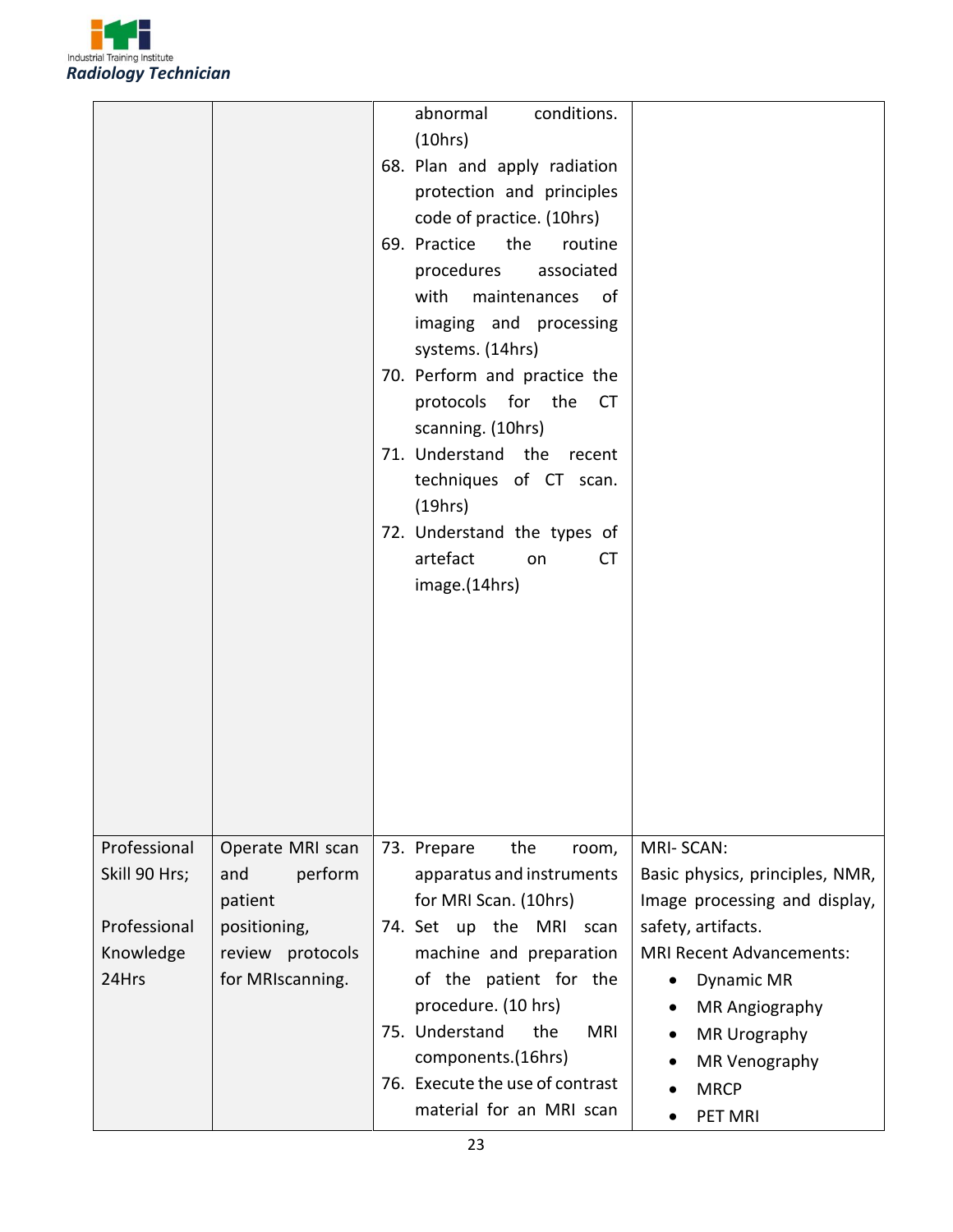

|                                                                     |                                                                                                       | abnormal<br>conditions.<br>(10hrs)<br>68. Plan and apply radiation<br>protection and principles<br>code of practice. (10hrs)<br>69. Practice<br>the<br>routine<br>associated<br>procedures<br>with maintenances of<br>imaging and processing<br>systems. (14hrs)<br>70. Perform and practice the<br>protocols for the<br><b>CT</b><br>scanning. (10hrs)<br>71. Understand the recent<br>techniques of CT scan.<br>(19hrs)<br>72. Understand the types of<br>artefact<br><b>CT</b><br>on<br>image.(14hrs) |                                                                                                                                                                             |
|---------------------------------------------------------------------|-------------------------------------------------------------------------------------------------------|----------------------------------------------------------------------------------------------------------------------------------------------------------------------------------------------------------------------------------------------------------------------------------------------------------------------------------------------------------------------------------------------------------------------------------------------------------------------------------------------------------|-----------------------------------------------------------------------------------------------------------------------------------------------------------------------------|
| Professional<br>Skill 90 Hrs;<br>Professional<br>Knowledge<br>24Hrs | Operate MRI scan<br>perform<br>and<br>patient<br>positioning,<br>review protocols<br>for MRIscanning. | MRI-SCAN:<br>73. Prepare<br>the<br>room,<br>apparatus and instruments<br>for MRI Scan. (10hrs)<br>74. Set up the<br>safety, artifacts.<br>MRI scan<br>machine and preparation<br>of the patient for the<br>procedure. (10 hrs)<br>75. Understand<br>the<br><b>MRI</b><br>components.(16hrs)<br>76. Execute the use of contrast<br><b>MRCP</b><br>material for an MRI scan<br>PET MRI                                                                                                                     | Basic physics, principles, NMR,<br>Image processing and display,<br><b>MRI Recent Advancements:</b><br>Dynamic MR<br><b>MR Angiography</b><br>MR Urography<br>MR Venography |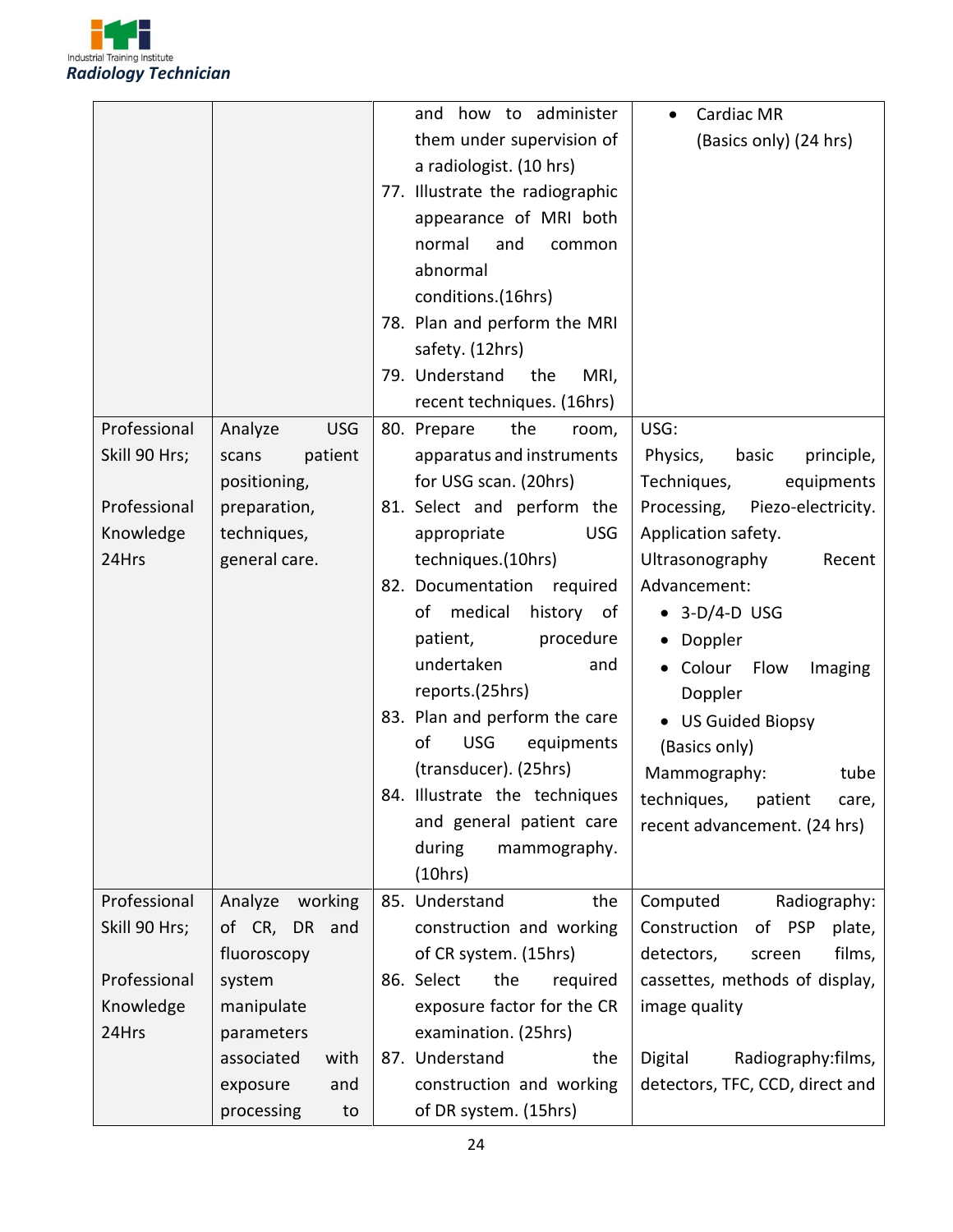

|                               |                                           | how to administer<br>and<br>them under supervision of<br>a radiologist. (10 hrs)<br>77. Illustrate the radiographic<br>appearance of MRI both<br>normal<br>and<br>common<br>abnormal<br>conditions.(16hrs)<br>78. Plan and perform the MRI<br>safety. (12hrs)<br>79. Understand<br>MRI,<br>the<br>recent techniques. (16hrs) | Cardiac MR<br>(Basics only) (24 hrs)                         |
|-------------------------------|-------------------------------------------|------------------------------------------------------------------------------------------------------------------------------------------------------------------------------------------------------------------------------------------------------------------------------------------------------------------------------|--------------------------------------------------------------|
| Professional<br>Skill 90 Hrs; | <b>USG</b><br>Analyze<br>patient<br>scans | 80. Prepare<br>the<br>room,<br>apparatus and instruments                                                                                                                                                                                                                                                                     | USG:<br>Physics,<br>basic<br>principle,                      |
|                               | positioning,                              | for USG scan. (20hrs)                                                                                                                                                                                                                                                                                                        | Techniques,<br>equipments                                    |
| Professional                  | preparation,                              | 81. Select and perform the                                                                                                                                                                                                                                                                                                   | Processing, Piezo-electricity.                               |
| Knowledge                     | techniques,                               | <b>USG</b><br>appropriate                                                                                                                                                                                                                                                                                                    | Application safety.                                          |
| 24Hrs                         | general care.                             | techniques.(10hrs)                                                                                                                                                                                                                                                                                                           | Ultrasonography<br>Recent                                    |
|                               |                                           | 82. Documentation required                                                                                                                                                                                                                                                                                                   | Advancement:                                                 |
|                               |                                           | medical<br>history of<br>of                                                                                                                                                                                                                                                                                                  | $\bullet$ 3-D/4-D USG                                        |
|                               |                                           | patient,<br>procedure                                                                                                                                                                                                                                                                                                        | • Doppler                                                    |
|                               |                                           | undertaken<br>and                                                                                                                                                                                                                                                                                                            | • Colour Flow<br>Imaging                                     |
|                               |                                           | reports.(25hrs)<br>83. Plan and perform the care                                                                                                                                                                                                                                                                             | Doppler                                                      |
|                               |                                           | οf<br><b>USG</b><br>equipments                                                                                                                                                                                                                                                                                               | • US Guided Biopsy                                           |
|                               |                                           | (transducer). (25hrs)                                                                                                                                                                                                                                                                                                        | (Basics only)                                                |
|                               |                                           | 84. Illustrate the techniques                                                                                                                                                                                                                                                                                                | Mammography:<br>tube                                         |
|                               |                                           | and general patient care                                                                                                                                                                                                                                                                                                     | techniques, patient<br>care,<br>recent advancement. (24 hrs) |
|                               |                                           | during<br>mammography.                                                                                                                                                                                                                                                                                                       |                                                              |
|                               |                                           | (10 hrs)                                                                                                                                                                                                                                                                                                                     |                                                              |
| Professional                  | Analyze working                           | the<br>85. Understand                                                                                                                                                                                                                                                                                                        | Computed<br>Radiography:                                     |
| Skill 90 Hrs;                 | of CR, DR and                             | construction and working                                                                                                                                                                                                                                                                                                     | Construction<br>of PSP<br>plate,                             |
|                               | fluoroscopy                               | of CR system. (15hrs)                                                                                                                                                                                                                                                                                                        | films,<br>detectors,<br>screen                               |
| Professional                  | system                                    | 86. Select<br>the<br>required                                                                                                                                                                                                                                                                                                | cassettes, methods of display,                               |
| Knowledge                     | manipulate                                | exposure factor for the CR                                                                                                                                                                                                                                                                                                   | image quality                                                |
| 24Hrs                         | parameters                                | examination. (25hrs)                                                                                                                                                                                                                                                                                                         |                                                              |
|                               | associated<br>with                        | 87. Understand<br>the                                                                                                                                                                                                                                                                                                        | Digital<br>Radiography:films,                                |
|                               | exposure<br>and                           | construction and working                                                                                                                                                                                                                                                                                                     | detectors, TFC, CCD, direct and                              |
|                               | processing<br>to                          | of DR system. (15hrs)                                                                                                                                                                                                                                                                                                        |                                                              |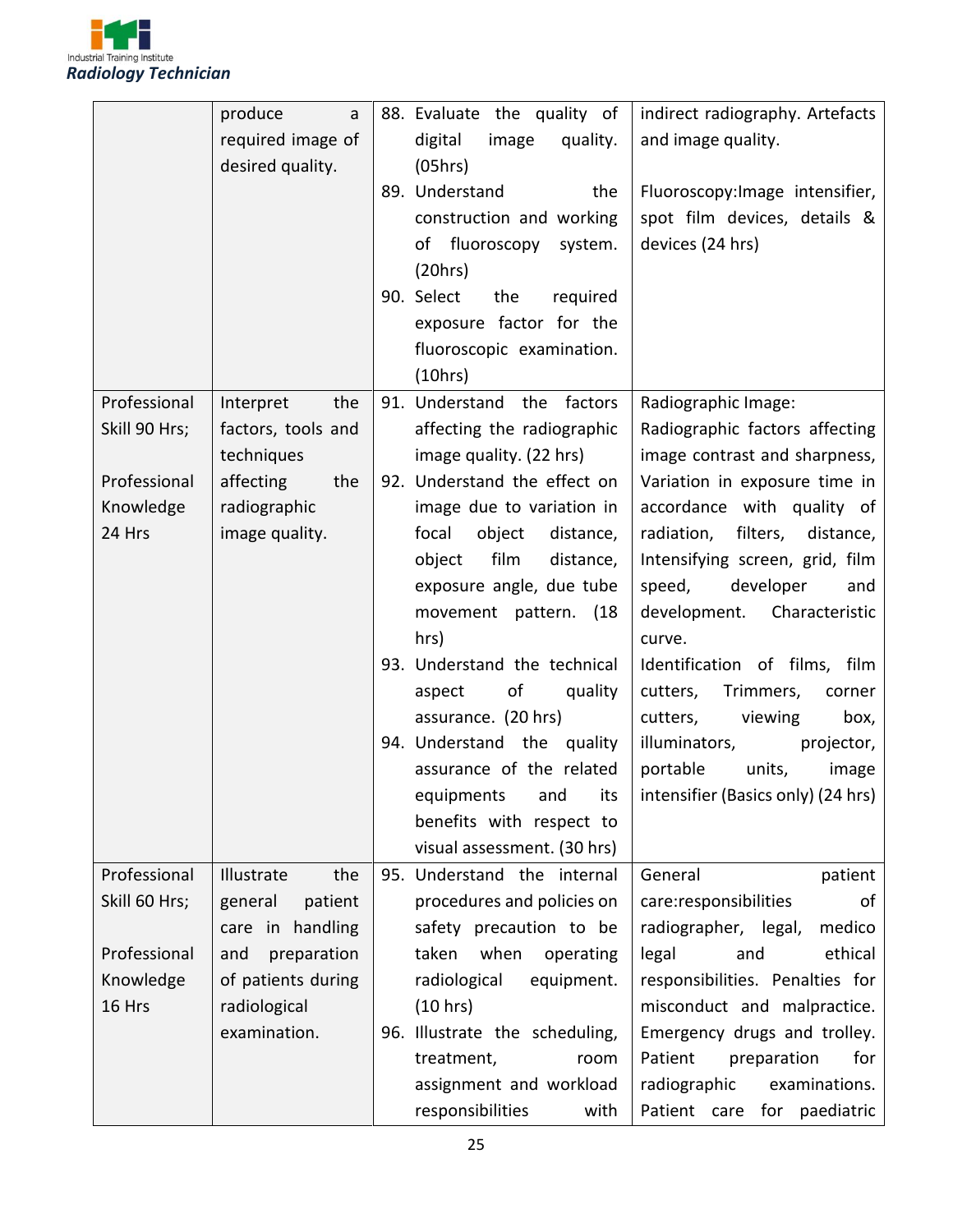

|               | produce<br>a       | 88. Evaluate the quality of    | indirect radiography. Artefacts                       |
|---------------|--------------------|--------------------------------|-------------------------------------------------------|
|               | required image of  | digital<br>image<br>quality.   | and image quality.                                    |
|               | desired quality.   | (05hrs)                        |                                                       |
|               |                    | 89. Understand<br>the          | Fluoroscopy: Image intensifier,                       |
|               |                    | construction and working       | spot film devices, details &                          |
|               |                    | of fluoroscopy<br>system.      | devices (24 hrs)                                      |
|               |                    | (20 hrs)                       |                                                       |
|               |                    | 90. Select<br>the<br>required  |                                                       |
|               |                    | exposure factor for the        |                                                       |
|               |                    | fluoroscopic examination.      |                                                       |
|               |                    | (10hrs)                        |                                                       |
| Professional  | the<br>Interpret   | 91. Understand the factors     | Radiographic Image:                                   |
| Skill 90 Hrs; | factors, tools and | affecting the radiographic     | Radiographic factors affecting                        |
|               | techniques         | image quality. (22 hrs)        | image contrast and sharpness,                         |
| Professional  | affecting<br>the   | 92. Understand the effect on   | Variation in exposure time in                         |
| Knowledge     | radiographic       | image due to variation in      | accordance with quality of                            |
| 24 Hrs        | image quality.     | focal<br>object<br>distance,   | radiation, filters,<br>distance,                      |
|               |                    | object<br>film<br>distance,    | Intensifying screen, grid, film                       |
|               |                    | exposure angle, due tube       | developer<br>speed,<br>and                            |
|               |                    | movement pattern. (18          | Characteristic<br>development.                        |
|               |                    | hrs)                           | curve.                                                |
|               |                    | 93. Understand the technical   | Identification of films, film                         |
|               |                    | of<br>quality<br>aspect        | cutters,<br>Trimmers,<br>corner                       |
|               |                    | assurance. (20 hrs)            | cutters,<br>viewing<br>box,                           |
|               |                    | 94. Understand the quality     | illuminators,<br>projector,                           |
|               |                    | assurance of the related       | portable<br>units,<br>image                           |
|               |                    |                                | equipments and its intensifier (Basics only) (24 hrs) |
|               |                    | benefits with respect to       |                                                       |
|               |                    | visual assessment. (30 hrs)    |                                                       |
| Professional  | Illustrate<br>the  | 95. Understand the internal    | General<br>patient                                    |
| Skill 60 Hrs; | general<br>patient | procedures and policies on     | care:responsibilities<br>of                           |
|               | care in handling   | safety precaution to be        | radiographer, legal,<br>medico                        |
| Professional  | preparation<br>and | when operating<br>taken        | ethical<br>legal<br>and                               |
| Knowledge     | of patients during | radiological<br>equipment.     | responsibilities. Penalties for                       |
| 16 Hrs        | radiological       | (10 hrs)                       | misconduct and malpractice.                           |
|               | examination.       | 96. Illustrate the scheduling, | Emergency drugs and trolley.                          |
|               |                    | treatment,<br>room             | Patient<br>preparation<br>for                         |
|               |                    | assignment and workload        | examinations.<br>radiographic                         |
|               |                    | responsibilities<br>with       | Patient care for paediatric                           |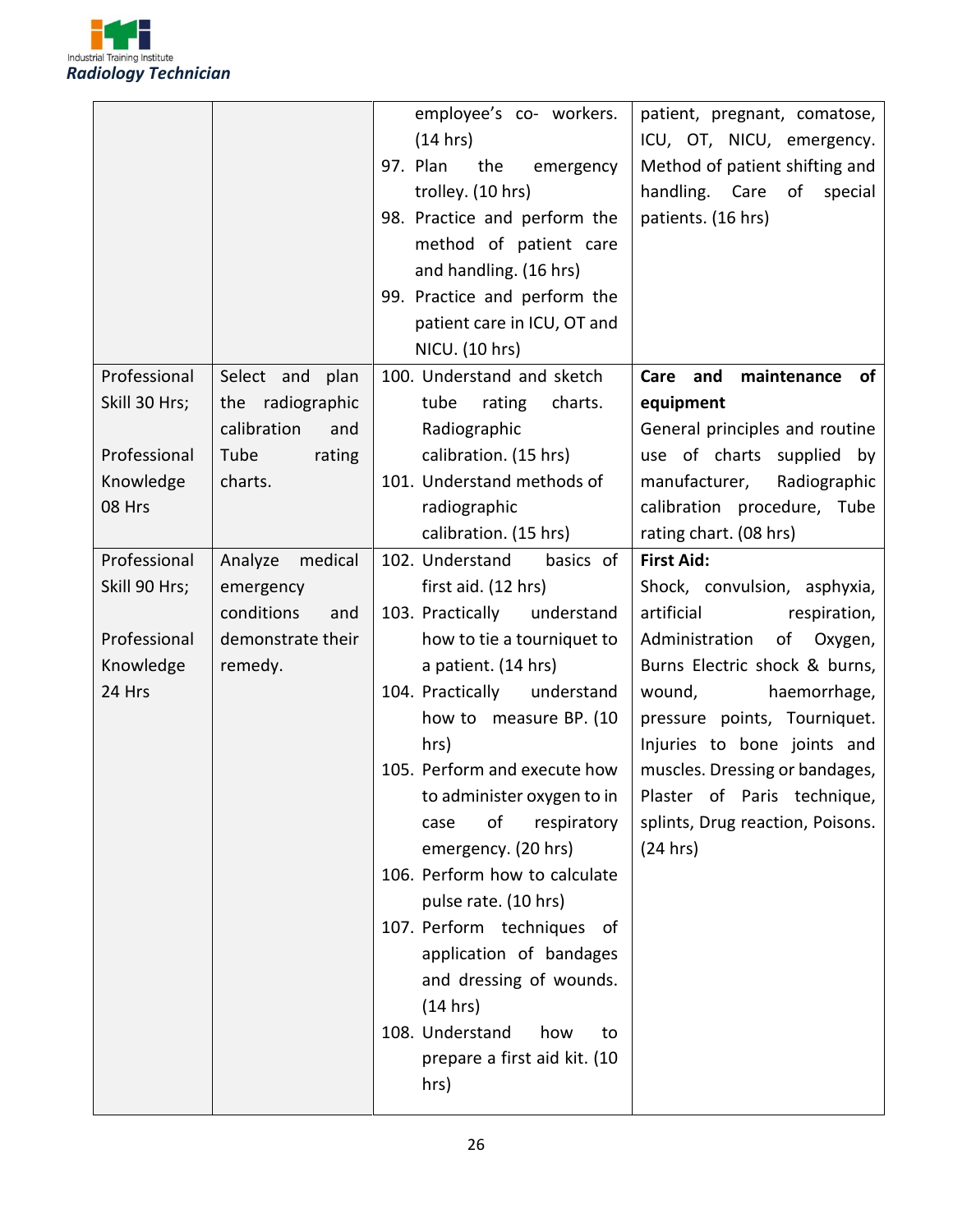

|               |                    | employee's co- workers.        | patient, pregnant, comatose,     |
|---------------|--------------------|--------------------------------|----------------------------------|
|               |                    | (14 hrs)                       | ICU, OT, NICU, emergency.        |
|               |                    | 97. Plan<br>the<br>emergency   | Method of patient shifting and   |
|               |                    | trolley. (10 hrs)              | handling. Care<br>of<br>special  |
|               |                    | 98. Practice and perform the   | patients. (16 hrs)               |
|               |                    | method of patient care         |                                  |
|               |                    | and handling. (16 hrs)         |                                  |
|               |                    | 99. Practice and perform the   |                                  |
|               |                    | patient care in ICU, OT and    |                                  |
|               |                    | NICU. (10 hrs)                 |                                  |
| Professional  | Select and plan    | 100. Understand and sketch     | Care and<br>maintenance<br>of    |
| Skill 30 Hrs; | the radiographic   | tube<br>rating<br>charts.      | equipment                        |
|               | calibration<br>and | Radiographic                   | General principles and routine   |
| Professional  | Tube<br>rating     | calibration. (15 hrs)          | use of charts supplied by        |
| Knowledge     | charts.            | 101. Understand methods of     | manufacturer, Radiographic       |
| 08 Hrs        |                    | radiographic                   | calibration procedure, Tube      |
|               |                    | calibration. (15 hrs)          | rating chart. (08 hrs)           |
| Professional  | Analyze medical    | 102. Understand<br>basics of   | <b>First Aid:</b>                |
| Skill 90 Hrs; | emergency          | first aid. (12 hrs)            | Shock, convulsion, asphyxia,     |
|               | conditions<br>and  | 103. Practically<br>understand | artificial<br>respiration,       |
| Professional  | demonstrate their  | how to tie a tourniquet to     | Administration<br>of Oxygen,     |
| Knowledge     | remedy.            | a patient. (14 hrs)            | Burns Electric shock & burns,    |
| 24 Hrs        |                    | 104. Practically<br>understand | wound,<br>haemorrhage,           |
|               |                    | how to measure BP. (10         | pressure points, Tourniquet.     |
|               |                    | hrs)                           | Injuries to bone joints and      |
|               |                    | 105. Perform and execute how   | muscles. Dressing or bandages,   |
|               |                    | to administer oxygen to in     | Plaster of Paris technique,      |
|               |                    | οf<br>respiratory<br>case      | splints, Drug reaction, Poisons. |
|               |                    | emergency. (20 hrs)            | (24 hrs)                         |
|               |                    | 106. Perform how to calculate  |                                  |
|               |                    | pulse rate. (10 hrs)           |                                  |
|               |                    | 107. Perform techniques of     |                                  |
|               |                    | application of bandages        |                                  |
|               |                    | and dressing of wounds.        |                                  |
|               |                    | (14 hrs)                       |                                  |
|               |                    | 108. Understand<br>how<br>to   |                                  |
|               |                    | prepare a first aid kit. (10   |                                  |
|               |                    | hrs)                           |                                  |
|               |                    |                                |                                  |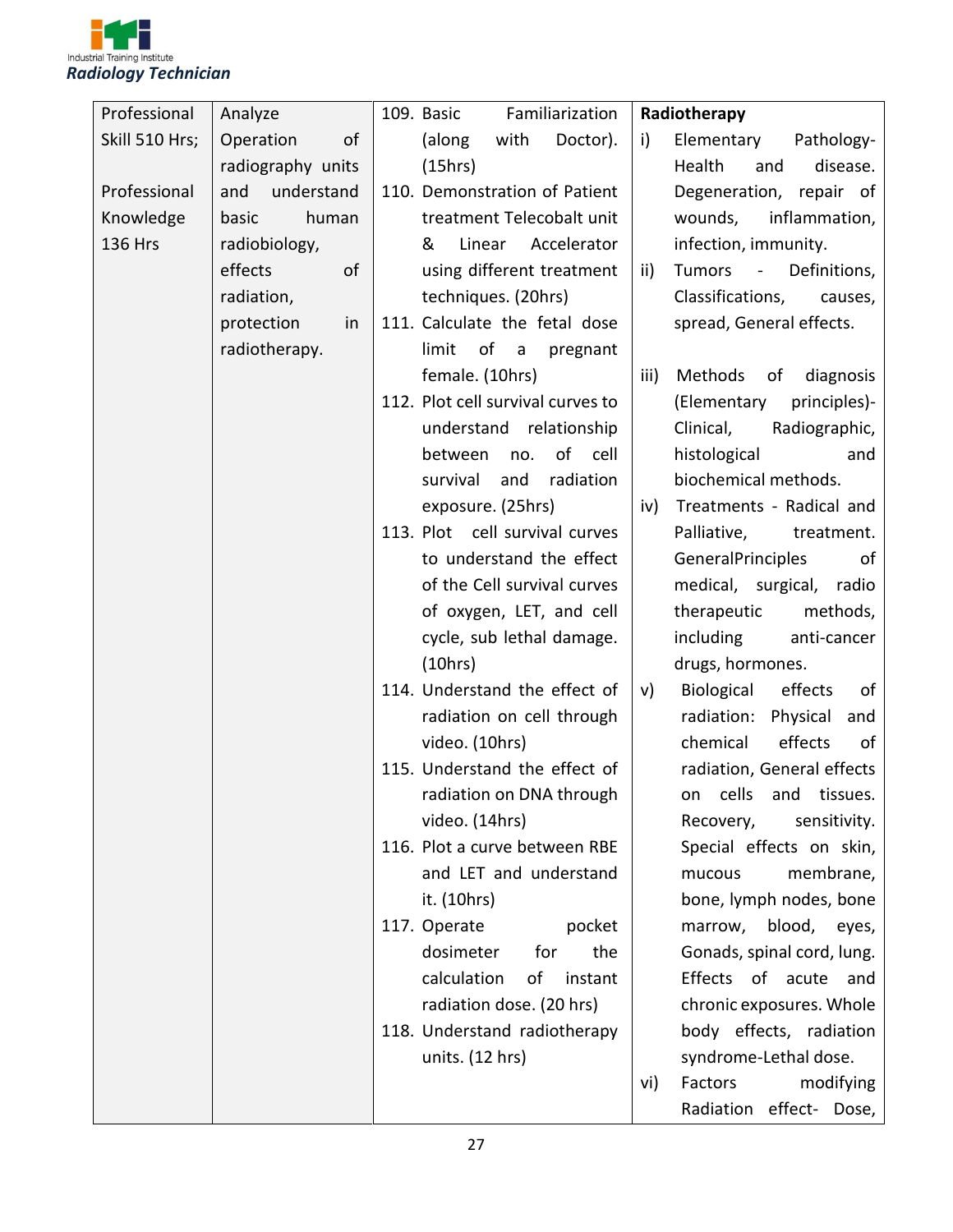

| Professional   | Analyze           | Familiarization<br>109. Basic     | Radiotherapy                                |
|----------------|-------------------|-----------------------------------|---------------------------------------------|
| Skill 510 Hrs; | Operation<br>of   | (along<br>with<br>Doctor).        | Elementary<br>Pathology-<br>i)              |
|                | radiography units | (15hrs)                           | Health<br>disease.<br>and                   |
| Professional   | and<br>understand | 110. Demonstration of Patient     | Degeneration, repair of                     |
| Knowledge      | basic<br>human    | treatment Telecobalt unit         | inflammation,<br>wounds,                    |
| <b>136 Hrs</b> | radiobiology,     | Accelerator<br>&<br>Linear        | infection, immunity.                        |
|                | effects<br>of     | using different treatment         | Tumors<br>Definitions,<br>ii)<br>$\sim$ $-$ |
|                | radiation,        | techniques. (20hrs)               | Classifications,<br>causes,                 |
|                | protection<br>in  | 111. Calculate the fetal dose     | spread, General effects.                    |
|                | radiotherapy.     | of<br>limit<br>pregnant<br>a a    |                                             |
|                |                   | female. (10hrs)                   | Methods<br>iii)<br>diagnosis<br>of          |
|                |                   | 112. Plot cell survival curves to | (Elementary<br>principles)-                 |
|                |                   | understand relationship           | Clinical,<br>Radiographic,                  |
|                |                   | of cell<br>between<br>no.         | histological<br>and                         |
|                |                   | survival<br>radiation<br>and      | biochemical methods.                        |
|                |                   | exposure. (25hrs)                 | Treatments - Radical and<br>iv)             |
|                |                   | 113. Plot cell survival curves    | Palliative,<br>treatment.                   |
|                |                   | to understand the effect          | GeneralPrinciples<br>of                     |
|                |                   | of the Cell survival curves       | medical, surgical, radio                    |
|                |                   | of oxygen, LET, and cell          | methods,<br>therapeutic                     |
|                |                   | cycle, sub lethal damage.         | including<br>anti-cancer                    |
|                |                   | (10hrs)                           | drugs, hormones.                            |
|                |                   | 114. Understand the effect of     | Biological<br>effects<br>of<br>V)           |
|                |                   | radiation on cell through         | Physical<br>radiation:<br>and               |
|                |                   | video. (10hrs)                    | chemical<br>effects<br>of                   |
|                |                   | 115. Understand the effect of     | radiation, General effects                  |
|                |                   | radiation on DNA through          | on cells and tissues.                       |
|                |                   | video. (14hrs)                    | Recovery,<br>sensitivity.                   |
|                |                   | 116. Plot a curve between RBE     | Special effects on skin,                    |
|                |                   | and LET and understand            | membrane,<br>mucous                         |
|                |                   | it. (10hrs)                       | bone, lymph nodes, bone                     |
|                |                   | 117. Operate<br>pocket            | marrow, blood, eyes,                        |
|                |                   | the<br>dosimeter<br>for           | Gonads, spinal cord, lung.                  |
|                |                   | calculation<br>of<br>instant      | Effects of acute and                        |
|                |                   | radiation dose. (20 hrs)          | chronic exposures. Whole                    |
|                |                   | 118. Understand radiotherapy      | body effects, radiation                     |
|                |                   | units. (12 hrs)                   | syndrome-Lethal dose.                       |
|                |                   |                                   | Factors<br>modifying<br>vi)                 |
|                |                   |                                   | Radiation effect- Dose,                     |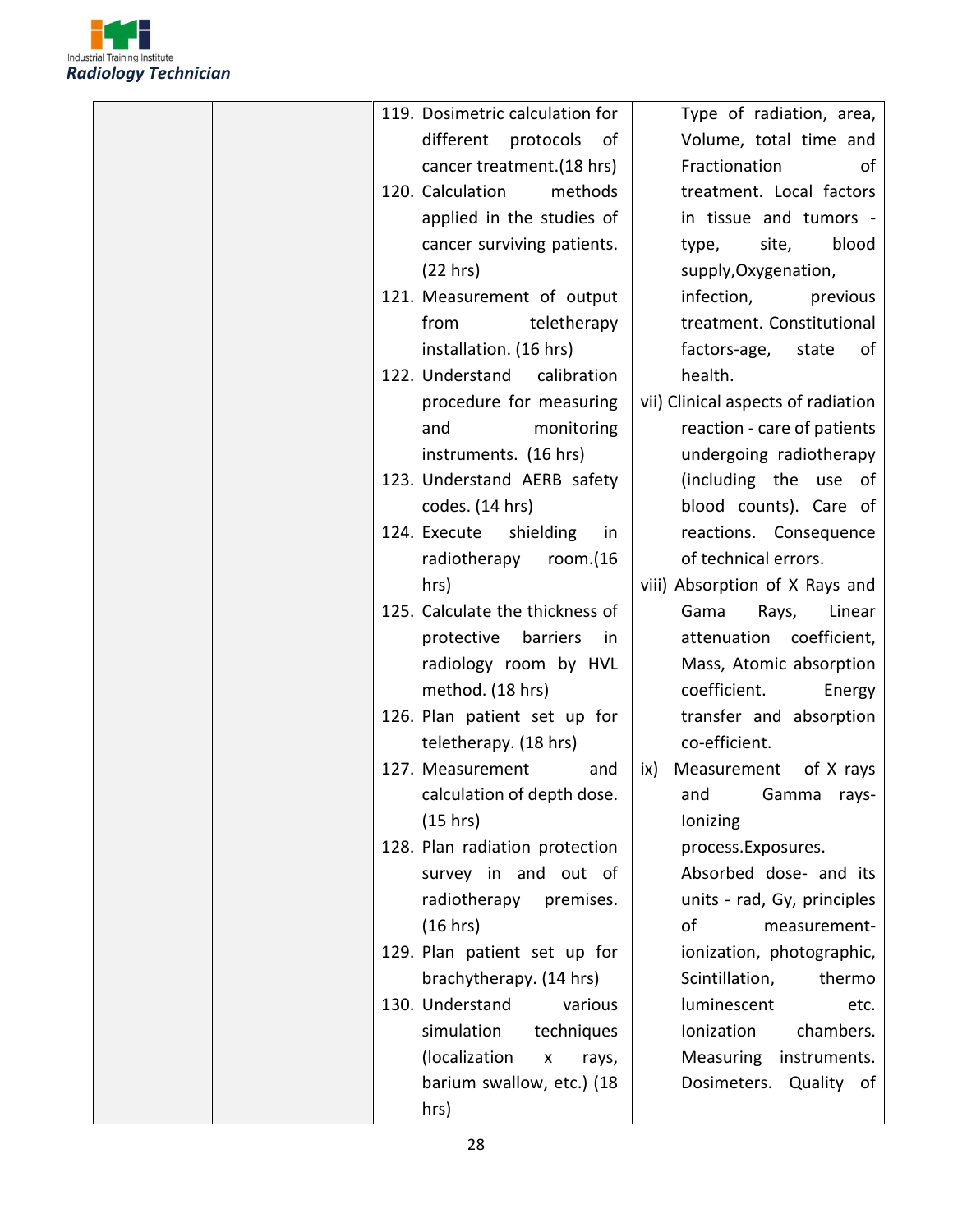

| 119. Dosimetric calculation for        | Type of radiation, area,           |
|----------------------------------------|------------------------------------|
| different<br>protocols<br>0f           | Volume, total time and             |
| cancer treatment. (18 hrs)             | Fractionation<br>ot                |
| 120. Calculation<br>methods            | treatment. Local factors           |
| applied in the studies of              | in tissue and tumors -             |
| cancer surviving patients.             | site,<br>blood<br>type,            |
| (22 hrs)                               | supply, Oxygenation,               |
| 121. Measurement of output             | infection,<br>previous             |
| from<br>teletherapy                    | treatment. Constitutional          |
| installation. (16 hrs)                 | factors-age,<br>state<br>0f        |
| 122. Understand<br>calibration         | health.                            |
| procedure for measuring                | vii) Clinical aspects of radiation |
| monitoring<br>and                      | reaction - care of patients        |
| instruments. (16 hrs)                  | undergoing radiotherapy            |
| 123. Understand AERB safety            | (including the use of              |
| codes. (14 hrs)                        | blood counts). Care of             |
| 124. Execute<br>shielding<br>in        | reactions. Consequence             |
| radiotherapy<br>room. $(16)$           | of technical errors.               |
| hrs)                                   | viii) Absorption of X Rays and     |
| 125. Calculate the thickness of        | Gama<br>Rays,<br>Linear            |
| protective<br>barriers<br>in           | attenuation coefficient,           |
| radiology room by HVL                  | Mass, Atomic absorption            |
| method. (18 hrs)                       | coefficient.<br>Energy             |
| 126. Plan patient set up for           | transfer and absorption            |
| teletherapy. (18 hrs)                  | co-efficient.                      |
| 127. Measurement<br>and                | ix) Measurement<br>of X rays       |
| calculation of depth dose.             | and Gamma rays-                    |
| (15 hrs)                               | lonizing                           |
| 128. Plan radiation protection         | process.Exposures.                 |
| survey in and out of                   | Absorbed dose- and its             |
| radiotherapy<br>premises.              | units - rad, Gy, principles        |
| (16 hrs)                               | оf<br>measurement-                 |
| 129. Plan patient set up for           | ionization, photographic,          |
| brachytherapy. (14 hrs)                | Scintillation,<br>thermo           |
| 130. Understand<br>various             | luminescent<br>etc.                |
| simulation<br>techniques               | chambers.<br>Ionization            |
| (localization<br>$\mathsf{x}$<br>rays, | Measuring<br>instruments.          |
| barium swallow, etc.) (18              | Dosimeters.<br>Quality of          |
| hrs)                                   |                                    |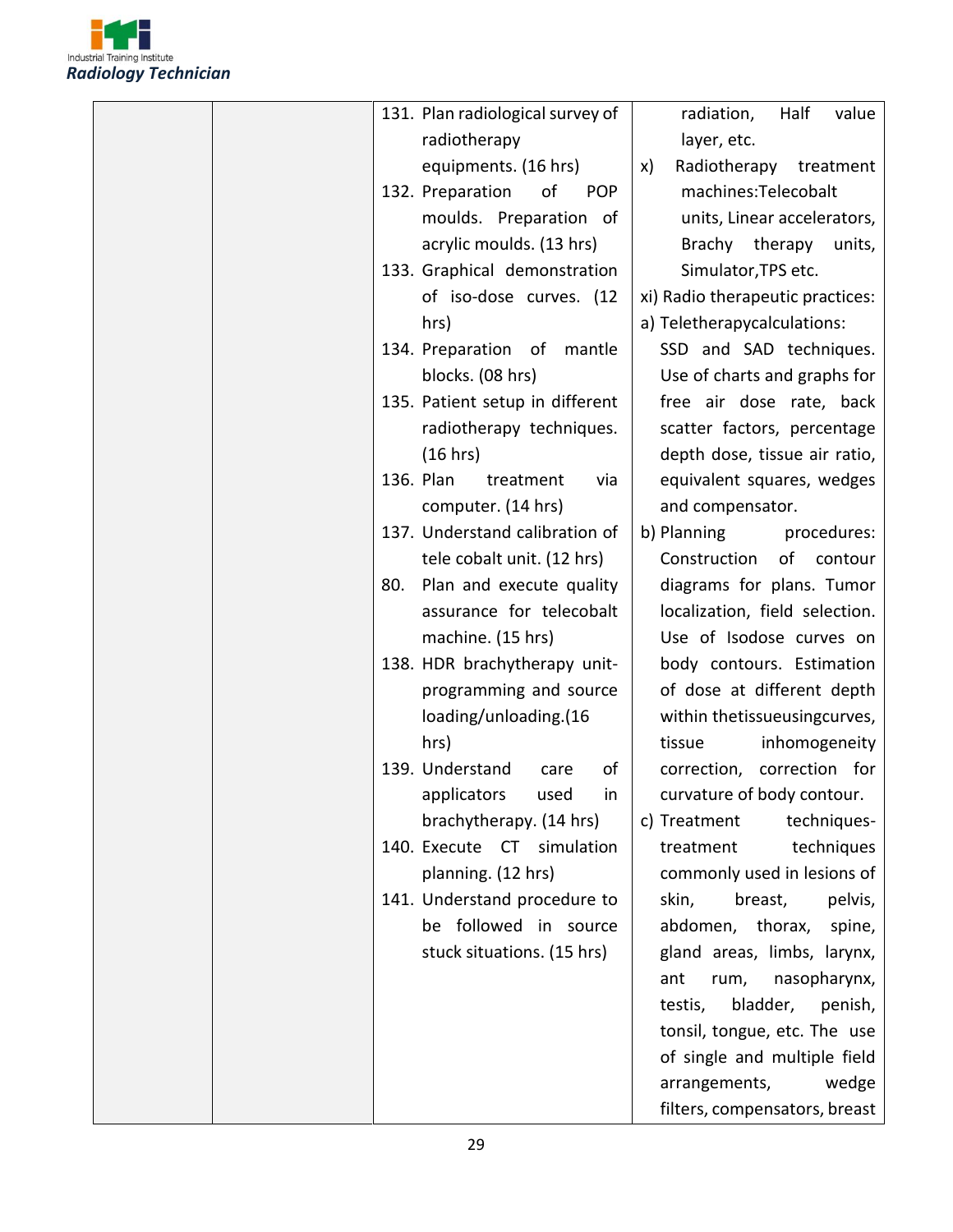

| 131. Plan radiological survey of     | radiation,<br>Half<br>value      |
|--------------------------------------|----------------------------------|
| radiotherapy                         | layer, etc.                      |
| equipments. (16 hrs)                 | Radiotherapy<br>treatment<br>X)  |
| 132. Preparation<br>οf<br><b>POP</b> | machines:Telecobalt              |
| moulds. Preparation of               | units, Linear accelerators,      |
| acrylic moulds. (13 hrs)             | Brachy therapy<br>units,         |
| 133. Graphical demonstration         | Simulator, TPS etc.              |
| of iso-dose curves. (12              | xi) Radio therapeutic practices: |
| hrs)                                 | a) Teletherapycalculations:      |
| 134. Preparation of mantle           | SSD and SAD techniques.          |
| blocks. (08 hrs)                     | Use of charts and graphs for     |
| 135. Patient setup in different      | free air dose rate, back         |
| radiotherapy techniques.             | scatter factors, percentage      |
| (16 hrs)                             | depth dose, tissue air ratio,    |
| 136. Plan<br>treatment<br>via        | equivalent squares, wedges       |
| computer. (14 hrs)                   | and compensator.                 |
| 137. Understand calibration of       | b) Planning<br>procedures:       |
| tele cobalt unit. (12 hrs)           | Construction<br>of<br>contour    |
| Plan and execute quality<br>80.      | diagrams for plans. Tumor        |
| assurance for telecobalt             | localization, field selection.   |
| machine. (15 hrs)                    | Use of Isodose curves on         |
| 138. HDR brachytherapy unit-         | body contours. Estimation        |
| programming and source               | of dose at different depth       |
| loading/unloading.(16                | within thetissueusingcurves,     |
| hrs)                                 | inhomogeneity<br>tissue          |
| 139. Understand<br>οf<br>care        | correction, correction for       |
| applicators used<br>in               | curvature of body contour.       |
| brachytherapy. (14 hrs)              | c) Treatment<br>techniques-      |
| 140. Execute CT simulation           | techniques<br>treatment          |
| planning. (12 hrs)                   | commonly used in lesions of      |
| 141. Understand procedure to         | skin,<br>breast,<br>pelvis,      |
| be followed in source                | abdomen, thorax,<br>spine,       |
| stuck situations. (15 hrs)           | gland areas, limbs, larynx,      |
|                                      | nasopharynx,<br>ant<br>rum,      |
|                                      | bladder,<br>testis,<br>penish,   |
|                                      | tonsil, tongue, etc. The use     |
|                                      | of single and multiple field     |
|                                      | arrangements,<br>wedge           |
|                                      | filters, compensators, breast    |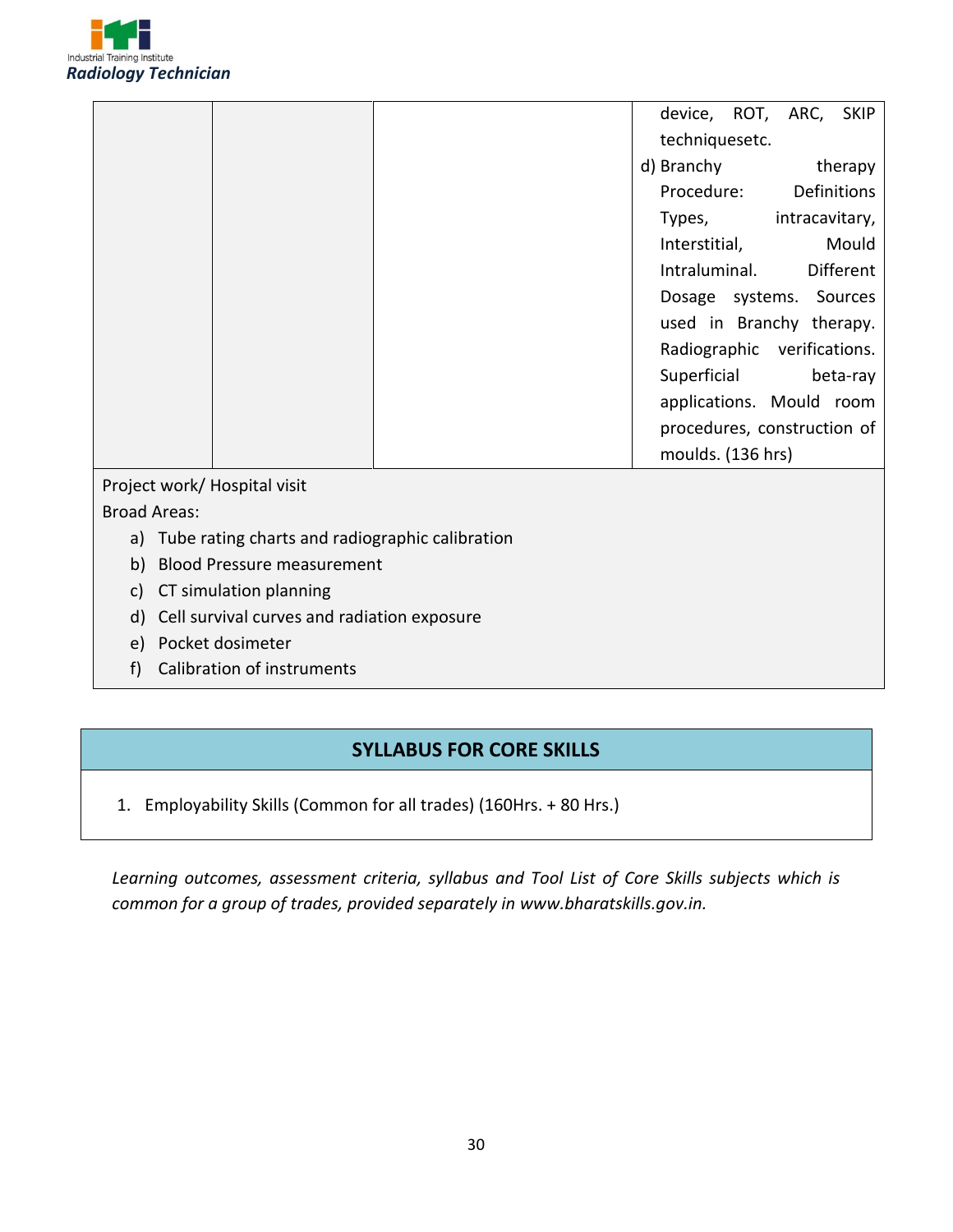

|  |  |  |  |  |  |  |  |  |  |  |  |  |  |  |  |  |  |  | device, ROT, ARC, SKIP      |  |  |  |  |          |
|--|--|--|--|--|--|--|--|--|--|--|--|--|--|--|--|--|--|--|-----------------------------|--|--|--|--|----------|
|  |  |  |  |  |  |  |  |  |  |  |  |  |  |  |  |  |  |  | techniquesetc.              |  |  |  |  |          |
|  |  |  |  |  |  |  |  |  |  |  |  |  |  |  |  |  |  |  | d) Branchy                  |  |  |  |  | therapy  |
|  |  |  |  |  |  |  |  |  |  |  |  |  |  |  |  |  |  |  | Procedure: Definitions      |  |  |  |  |          |
|  |  |  |  |  |  |  |  |  |  |  |  |  |  |  |  |  |  |  | Types, intracavitary,       |  |  |  |  |          |
|  |  |  |  |  |  |  |  |  |  |  |  |  |  |  |  |  |  |  | Interstitial,               |  |  |  |  | Mould    |
|  |  |  |  |  |  |  |  |  |  |  |  |  |  |  |  |  |  |  | Intraluminal. Different     |  |  |  |  |          |
|  |  |  |  |  |  |  |  |  |  |  |  |  |  |  |  |  |  |  | Dosage systems. Sources     |  |  |  |  |          |
|  |  |  |  |  |  |  |  |  |  |  |  |  |  |  |  |  |  |  | used in Branchy therapy.    |  |  |  |  |          |
|  |  |  |  |  |  |  |  |  |  |  |  |  |  |  |  |  |  |  | Radiographic verifications. |  |  |  |  |          |
|  |  |  |  |  |  |  |  |  |  |  |  |  |  |  |  |  |  |  | Superficial                 |  |  |  |  | beta-ray |
|  |  |  |  |  |  |  |  |  |  |  |  |  |  |  |  |  |  |  | applications. Mould room    |  |  |  |  |          |
|  |  |  |  |  |  |  |  |  |  |  |  |  |  |  |  |  |  |  | procedures, construction of |  |  |  |  |          |
|  |  |  |  |  |  |  |  |  |  |  |  |  |  |  |  |  |  |  | moulds. (136 hrs)           |  |  |  |  |          |
|  |  |  |  |  |  |  |  |  |  |  |  |  |  |  |  |  |  |  |                             |  |  |  |  |          |

Project work/ Hospital visit

Broad Areas:

- a) Tube rating charts and radiographic calibration
- b) Blood Pressure measurement
- c) CT simulation planning
- d) Cell survival curves and radiation exposure
- e) Pocket dosimeter
- f) Calibration of instruments

#### **SYLLABUS FOR CORE SKILLS**

1. Employability Skills (Common for all trades) (160Hrs. + 80 Hrs.)

*Learning outcomes, assessment criteria, syllabus and Tool List of Core Skills subjects which is common for a group of trades, provided separately in www.bharatskills.gov.in.*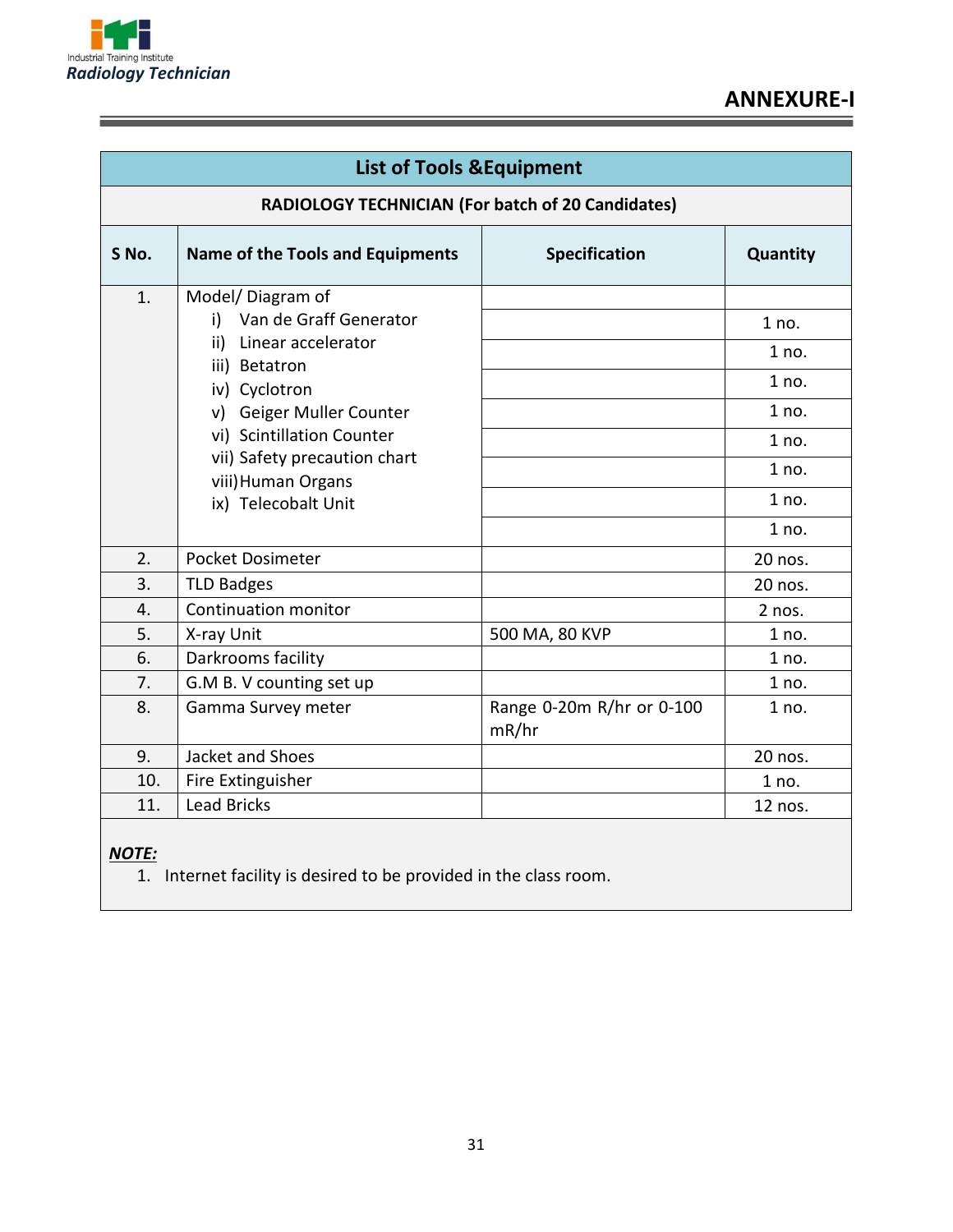

÷

=

|                  | <b>List of Tools &amp; Equipment</b>                                                                                                                                                                                                                     |                                    |                                                                      |  |  |  |  |  |
|------------------|----------------------------------------------------------------------------------------------------------------------------------------------------------------------------------------------------------------------------------------------------------|------------------------------------|----------------------------------------------------------------------|--|--|--|--|--|
|                  | <b>RADIOLOGY TECHNICIAN (For batch of 20 Candidates)</b>                                                                                                                                                                                                 |                                    |                                                                      |  |  |  |  |  |
| S No.            | <b>Name of the Tools and Equipments</b>                                                                                                                                                                                                                  | Specification                      | Quantity                                                             |  |  |  |  |  |
| 1.               | Model/Diagram of<br>Van de Graff Generator<br>i)<br>Linear accelerator<br>ii)<br>iii) Betatron<br>iv) Cyclotron<br>Geiger Muller Counter<br>v)<br>vi) Scintillation Counter<br>vii) Safety precaution chart<br>viii) Human Organs<br>ix) Telecobalt Unit |                                    | 1 no.<br>1 no.<br>1 no.<br>1 no.<br>1 no.<br>1 no.<br>1 no.<br>1 no. |  |  |  |  |  |
| 2.               | Pocket Dosimeter                                                                                                                                                                                                                                         |                                    | 20 nos.                                                              |  |  |  |  |  |
| $\overline{3}$ . | <b>TLD Badges</b>                                                                                                                                                                                                                                        |                                    | 20 nos.                                                              |  |  |  |  |  |
| 4.               | <b>Continuation monitor</b>                                                                                                                                                                                                                              |                                    | 2 nos.                                                               |  |  |  |  |  |
| 5.               | X-ray Unit                                                                                                                                                                                                                                               | 500 MA, 80 KVP                     | 1 no.                                                                |  |  |  |  |  |
| 6.               | Darkrooms facility                                                                                                                                                                                                                                       |                                    | 1 no.                                                                |  |  |  |  |  |
| 7.               | G.M B. V counting set up                                                                                                                                                                                                                                 |                                    | 1 no.                                                                |  |  |  |  |  |
| 8.               | Gamma Survey meter                                                                                                                                                                                                                                       | Range 0-20m R/hr or 0-100<br>mR/hr | 1 no.                                                                |  |  |  |  |  |
| 9.               | Jacket and Shoes                                                                                                                                                                                                                                         |                                    | 20 nos.                                                              |  |  |  |  |  |
| 10.              | Fire Extinguisher                                                                                                                                                                                                                                        |                                    | 1 no.                                                                |  |  |  |  |  |
| 11.              | <b>Lead Bricks</b>                                                                                                                                                                                                                                       |                                    | 12 nos.                                                              |  |  |  |  |  |

#### *NOTE:*

 $\overline{1.}$  Internet facility is desired to be provided in the class room.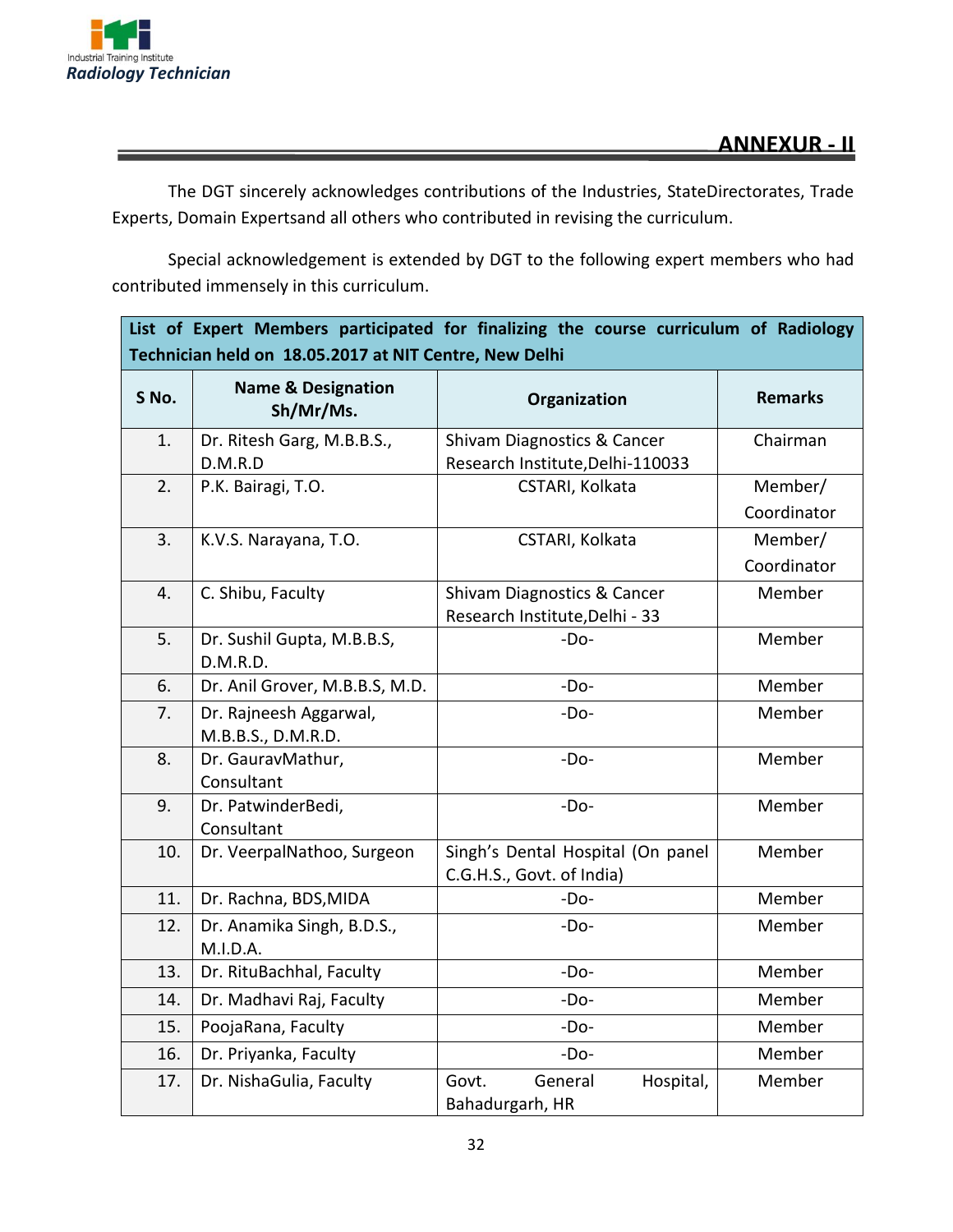

The DGT sincerely acknowledges contributions of the Industries, StateDirectorates, Trade Experts, Domain Expertsand all others who contributed in revising the curriculum.

Special acknowledgement is extended by DGT to the following expert members who had contributed immensely in this curriculum.

| List of Expert Members participated for finalizing the course curriculum of Radiology<br>Technician held on 18.05.2017 at NIT Centre, New Delhi |                                              |                                                                 |                        |  |  |  |  |
|-------------------------------------------------------------------------------------------------------------------------------------------------|----------------------------------------------|-----------------------------------------------------------------|------------------------|--|--|--|--|
| S No.                                                                                                                                           | <b>Name &amp; Designation</b><br>Sh/Mr/Ms.   | Organization                                                    | <b>Remarks</b>         |  |  |  |  |
| 1.                                                                                                                                              | Dr. Ritesh Garg, M.B.B.S.,<br>D.M.R.D        | Shivam Diagnostics & Cancer<br>Research Institute, Delhi-110033 | Chairman               |  |  |  |  |
| 2.                                                                                                                                              | P.K. Bairagi, T.O.                           | CSTARI, Kolkata                                                 | Member/<br>Coordinator |  |  |  |  |
| 3.                                                                                                                                              | K.V.S. Narayana, T.O.                        | CSTARI, Kolkata                                                 | Member/<br>Coordinator |  |  |  |  |
| 4.                                                                                                                                              | C. Shibu, Faculty                            | Shivam Diagnostics & Cancer<br>Research Institute, Delhi - 33   | Member                 |  |  |  |  |
| 5.                                                                                                                                              | Dr. Sushil Gupta, M.B.B.S,<br>D.M.R.D.       | $-Do-$                                                          | Member                 |  |  |  |  |
| 6.                                                                                                                                              | Dr. Anil Grover, M.B.B.S, M.D.               | $-DO-$                                                          | Member                 |  |  |  |  |
| 7.                                                                                                                                              | Dr. Rajneesh Aggarwal,<br>M.B.B.S., D.M.R.D. | $-Do-$                                                          | Member                 |  |  |  |  |
| 8.                                                                                                                                              | Dr. GauravMathur,<br>Consultant              | $-Do-$                                                          | Member                 |  |  |  |  |
| 9.                                                                                                                                              | Dr. PatwinderBedi,<br>Consultant             | $-Do-$                                                          | Member                 |  |  |  |  |
| 10.                                                                                                                                             | Dr. VeerpalNathoo, Surgeon                   | Singh's Dental Hospital (On panel<br>C.G.H.S., Govt. of India)  | Member                 |  |  |  |  |
| 11.                                                                                                                                             | Dr. Rachna, BDS, MIDA                        | $-Do-$                                                          | Member                 |  |  |  |  |
| 12.                                                                                                                                             | Dr. Anamika Singh, B.D.S.,<br>M.I.D.A.       | $-Do-$                                                          | Member                 |  |  |  |  |
| 13.                                                                                                                                             | Dr. RituBachhal, Faculty                     | $-Do-$                                                          | Member                 |  |  |  |  |
| 14.                                                                                                                                             | Dr. Madhavi Raj, Faculty                     | -Do-                                                            | Member                 |  |  |  |  |
| 15.                                                                                                                                             | PoojaRana, Faculty                           | $-Do-$                                                          | Member                 |  |  |  |  |
| 16.                                                                                                                                             | Dr. Priyanka, Faculty                        | $-Do-$                                                          | Member                 |  |  |  |  |
| 17.                                                                                                                                             | Dr. NishaGulia, Faculty                      | General<br>Hospital,<br>Govt.<br>Bahadurgarh, HR                | Member                 |  |  |  |  |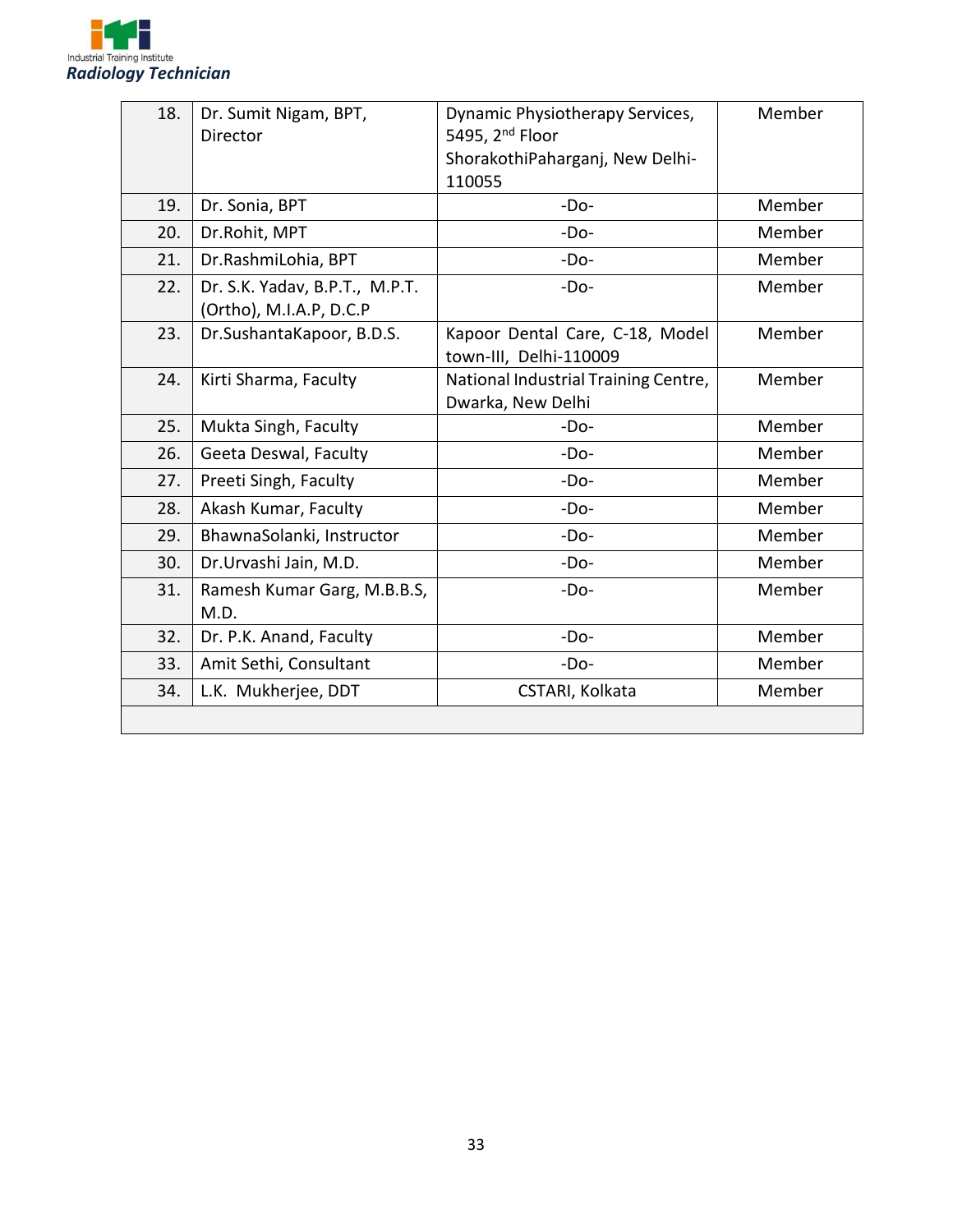

| 18. | Dr. Sumit Nigam, BPT,<br><b>Director</b> | Dynamic Physiotherapy Services,<br>5495, 2 <sup>nd</sup> Floor | Member |
|-----|------------------------------------------|----------------------------------------------------------------|--------|
|     |                                          | ShorakothiPaharganj, New Delhi-                                |        |
|     |                                          | 110055                                                         |        |
| 19. | Dr. Sonia, BPT                           | $-DO-$                                                         | Member |
| 20. | Dr.Rohit, MPT                            | $-DO-$                                                         | Member |
| 21. | Dr.RashmiLohia, BPT                      | $-DO-$                                                         | Member |
| 22. | Dr. S.K. Yadav, B.P.T., M.P.T.           | $-DO-$                                                         | Member |
|     | (Ortho), M.I.A.P, D.C.P                  |                                                                |        |
| 23. | Dr.SushantaKapoor, B.D.S.                | Kapoor Dental Care, C-18, Model                                | Member |
|     |                                          | town-III, Delhi-110009                                         |        |
| 24. | Kirti Sharma, Faculty                    | National Industrial Training Centre,                           | Member |
|     |                                          | Dwarka, New Delhi                                              |        |
| 25. | Mukta Singh, Faculty                     | $-DO-$                                                         | Member |
| 26. | Geeta Deswal, Faculty                    | $-DO-$                                                         | Member |
| 27. | Preeti Singh, Faculty                    | $-DO-$                                                         | Member |
| 28. | Akash Kumar, Faculty                     | $-DO-$                                                         | Member |
| 29. | BhawnaSolanki, Instructor                | $-DO-$                                                         | Member |
| 30. | Dr.Urvashi Jain, M.D.                    | $-DO-$                                                         | Member |
| 31. | Ramesh Kumar Garg, M.B.B.S,<br>M.D.      | $-DO-$                                                         | Member |
| 32. | Dr. P.K. Anand, Faculty                  | $-DO-$                                                         | Member |
| 33. | Amit Sethi, Consultant                   | $-DO-$                                                         | Member |
| 34. | L.K. Mukherjee, DDT                      | CSTARI, Kolkata                                                | Member |
|     |                                          |                                                                |        |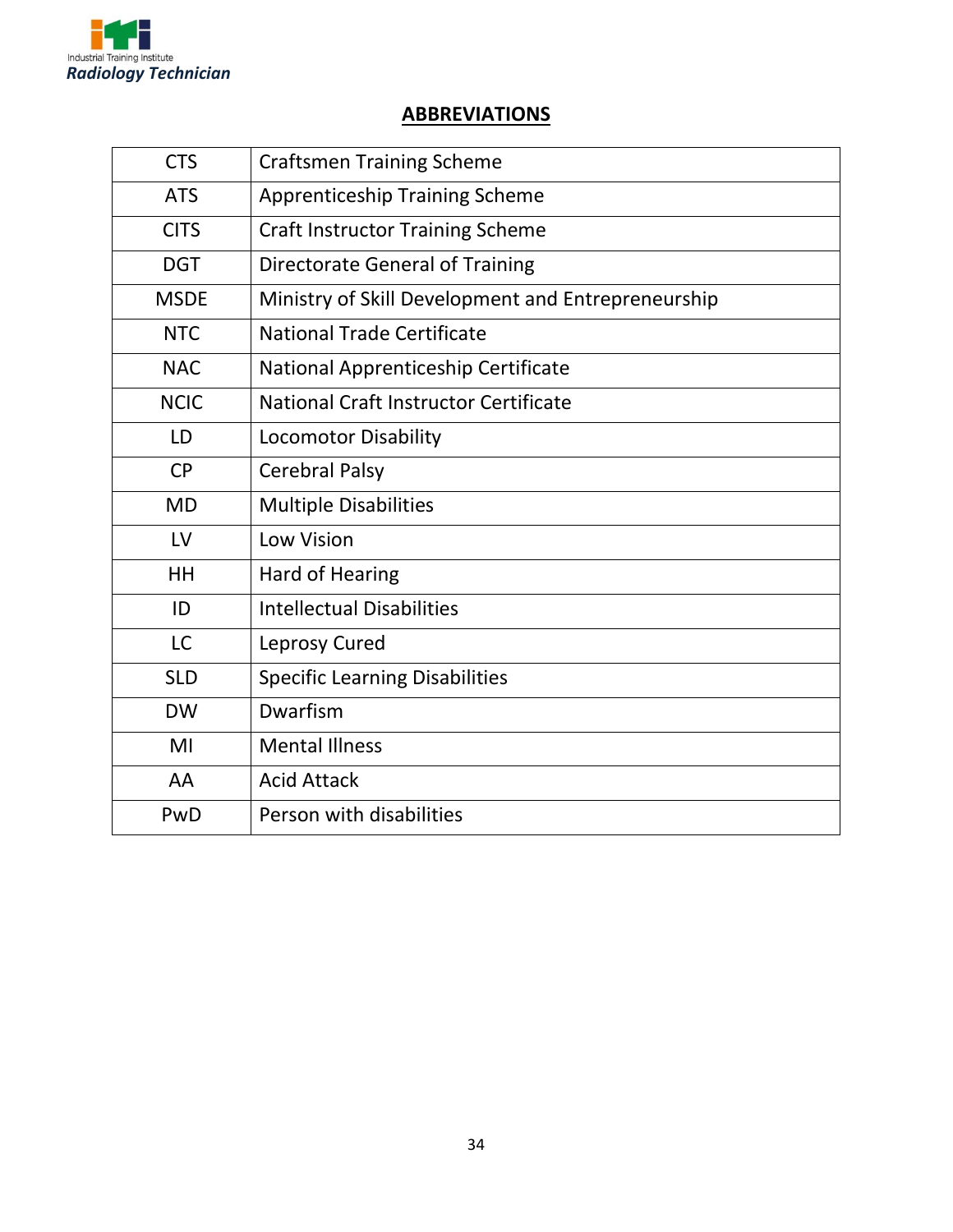

#### **ABBREVIATIONS**

| <b>CTS</b>  | <b>Craftsmen Training Scheme</b>                   |
|-------------|----------------------------------------------------|
| <b>ATS</b>  | <b>Apprenticeship Training Scheme</b>              |
| <b>CITS</b> | <b>Craft Instructor Training Scheme</b>            |
| <b>DGT</b>  | <b>Directorate General of Training</b>             |
| <b>MSDE</b> | Ministry of Skill Development and Entrepreneurship |
| <b>NTC</b>  | National Trade Certificate                         |
| <b>NAC</b>  | National Apprenticeship Certificate                |
| <b>NCIC</b> | National Craft Instructor Certificate              |
| LD          | <b>Locomotor Disability</b>                        |
| <b>CP</b>   | <b>Cerebral Palsy</b>                              |
| <b>MD</b>   | <b>Multiple Disabilities</b>                       |
| LV          | <b>Low Vision</b>                                  |
| HH          | <b>Hard of Hearing</b>                             |
| ID          | <b>Intellectual Disabilities</b>                   |
| <b>LC</b>   | Leprosy Cured                                      |
| <b>SLD</b>  | <b>Specific Learning Disabilities</b>              |
| <b>DW</b>   | Dwarfism                                           |
| MI          | <b>Mental Illness</b>                              |
| AA          | <b>Acid Attack</b>                                 |
| PwD         | Person with disabilities                           |